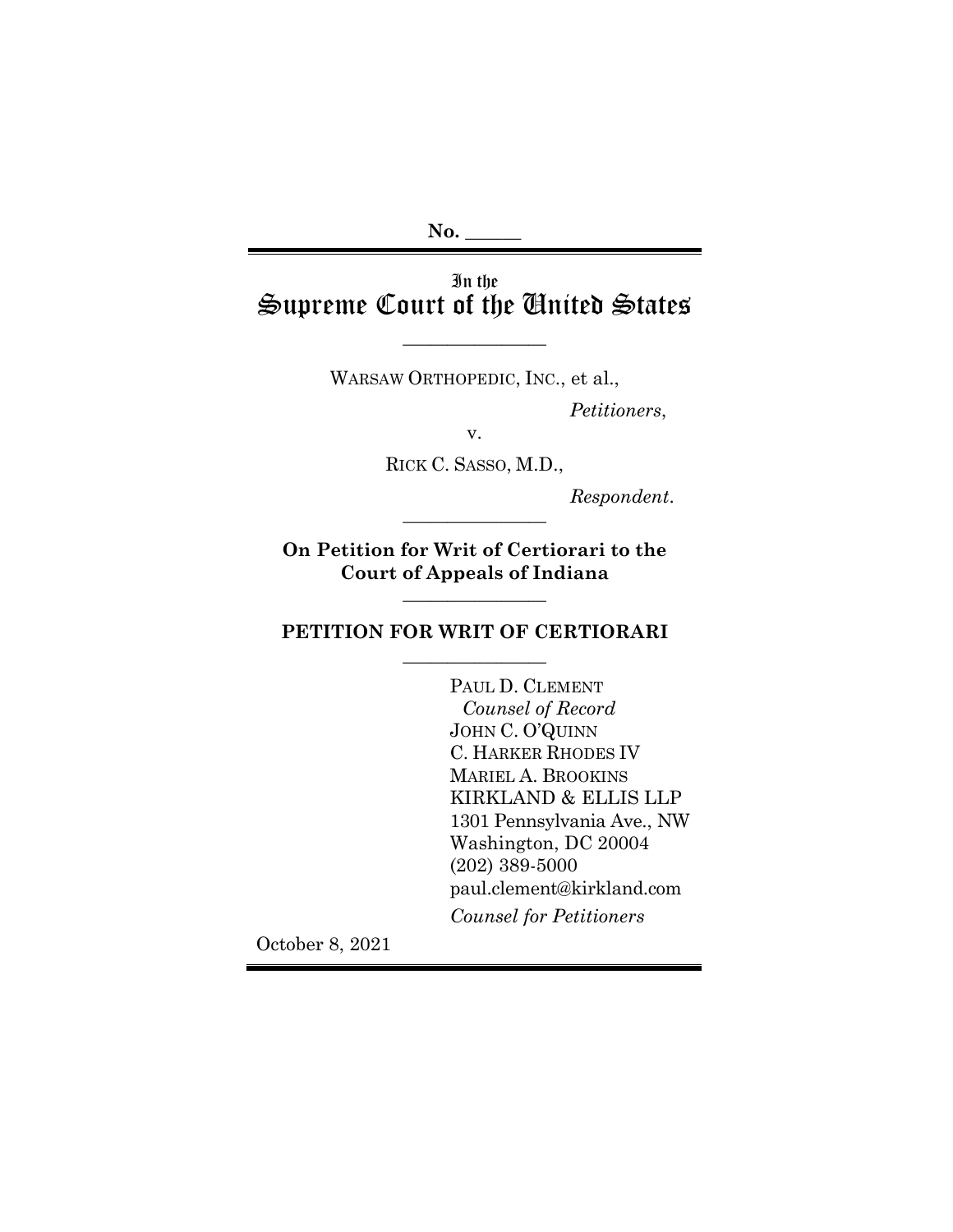# In the Supreme Court of the United States

WARSAW ORTHOPEDIC, INC., et al.,

 $\overline{\phantom{a}}$  , where  $\overline{\phantom{a}}$ 

*Petitioners*,

v.

RICK C. SASSO, M.D.,

*Respondent*. \_\_\_\_\_\_\_\_\_\_\_\_\_\_\_\_

**On Petition for Writ of Certiorari to the Court of Appeals of Indiana** 

 $\overline{\phantom{a}}$  , where  $\overline{\phantom{a}}$ 

# **PETITION FOR WRIT OF CERTIORARI**  $\overline{\phantom{a}}$  , where  $\overline{\phantom{a}}$

PAUL D. CLEMENT *Counsel of Record* JOHN C. O'QUINN C. HARKER RHODES IV MARIEL A. BROOKINS KIRKLAND & ELLIS LLP 1301 Pennsylvania Ave., NW Washington, DC 20004 (202) 389-5000 paul.clement@kirkland.com *Counsel for Petitioners*

October 8, 2021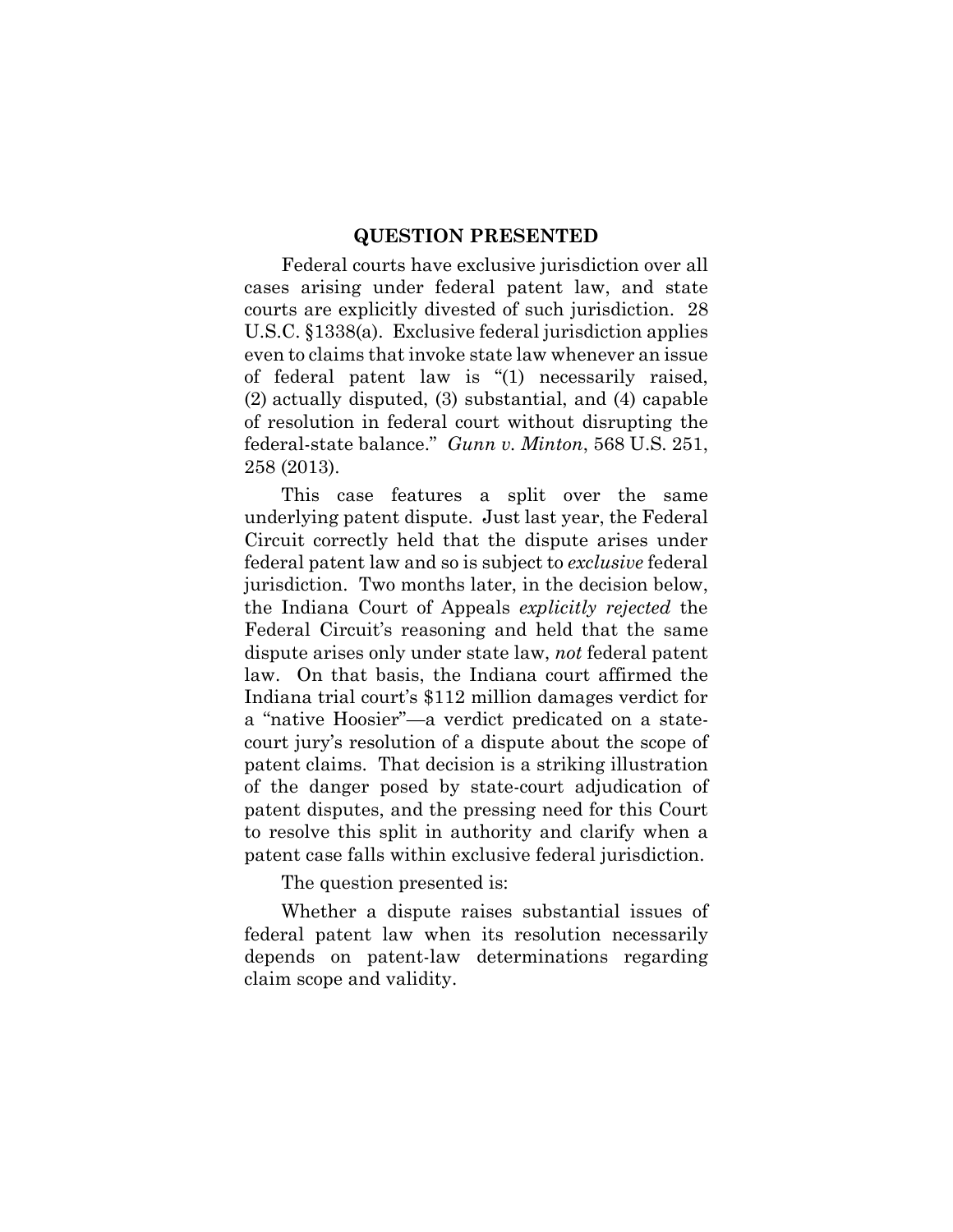#### **QUESTION PRESENTED**

Federal courts have exclusive jurisdiction over all cases arising under federal patent law, and state courts are explicitly divested of such jurisdiction. 28 U.S.C. §1338(a). Exclusive federal jurisdiction applies even to claims that invoke state law whenever an issue of federal patent law is "(1) necessarily raised, (2) actually disputed, (3) substantial, and (4) capable of resolution in federal court without disrupting the federal-state balance." *Gunn v. Minton*, 568 U.S. 251, 258 (2013).

This case features a split over the same underlying patent dispute. Just last year, the Federal Circuit correctly held that the dispute arises under federal patent law and so is subject to *exclusive* federal jurisdiction. Two months later, in the decision below, the Indiana Court of Appeals *explicitly rejected* the Federal Circuit's reasoning and held that the same dispute arises only under state law, *not* federal patent law. On that basis, the Indiana court affirmed the Indiana trial court's \$112 million damages verdict for a "native Hoosier"—a verdict predicated on a statecourt jury's resolution of a dispute about the scope of patent claims. That decision is a striking illustration of the danger posed by state-court adjudication of patent disputes, and the pressing need for this Court to resolve this split in authority and clarify when a patent case falls within exclusive federal jurisdiction.

The question presented is:

Whether a dispute raises substantial issues of federal patent law when its resolution necessarily depends on patent-law determinations regarding claim scope and validity.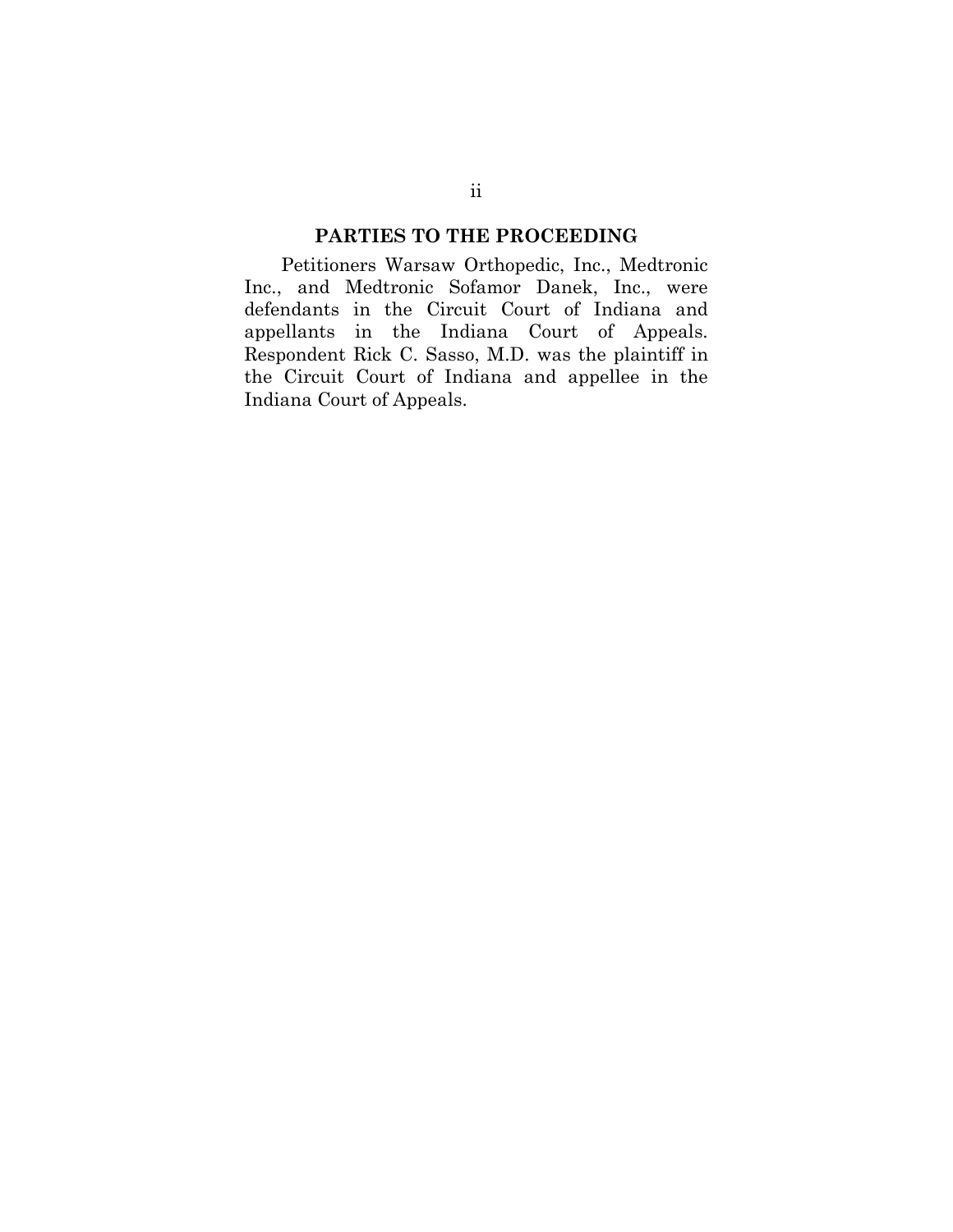### **PARTIES TO THE PROCEEDING**

Petitioners Warsaw Orthopedic, Inc., Medtronic Inc., and Medtronic Sofamor Danek, Inc., were defendants in the Circuit Court of Indiana and appellants in the Indiana Court of Appeals. Respondent Rick C. Sasso, M.D. was the plaintiff in the Circuit Court of Indiana and appellee in the Indiana Court of Appeals.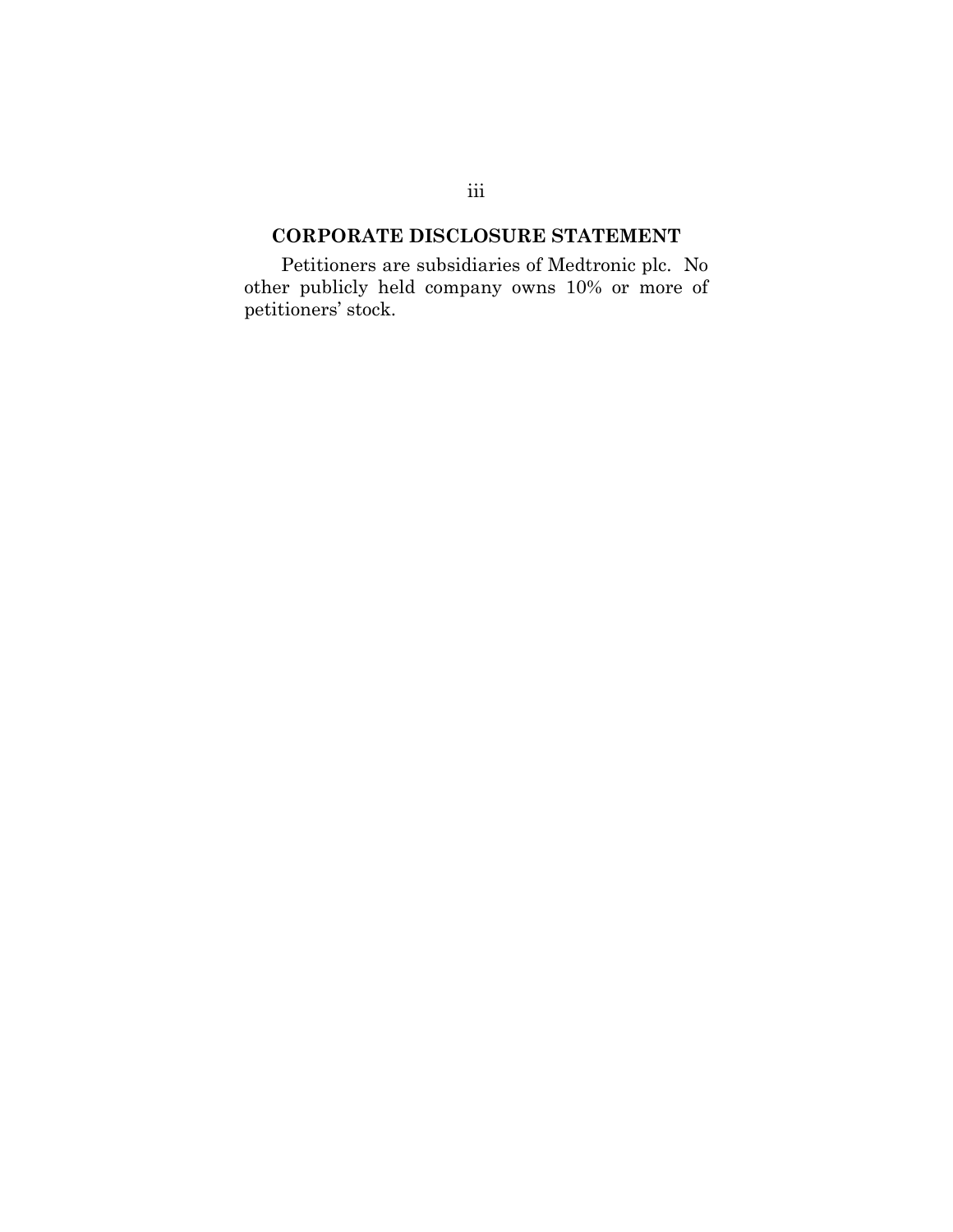# **CORPORATE DISCLOSURE STATEMENT**

Petitioners are subsidiaries of Medtronic plc. No other publicly held company owns 10% or more of petitioners' stock.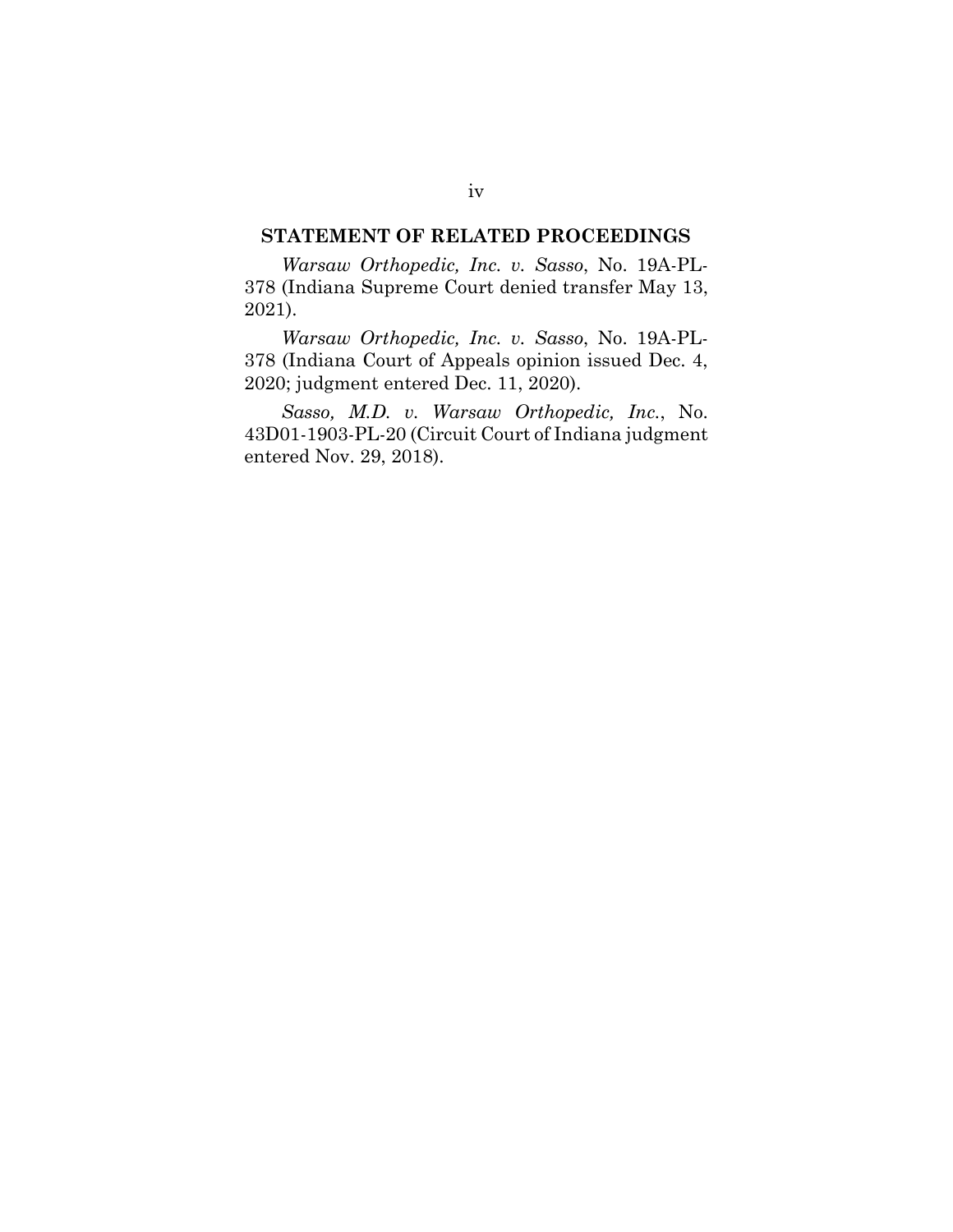### **STATEMENT OF RELATED PROCEEDINGS**

*Warsaw Orthopedic, Inc. v. Sasso*, No. 19A-PL-378 (Indiana Supreme Court denied transfer May 13, 2021).

*Warsaw Orthopedic, Inc. v. Sasso*, No. 19A-PL-378 (Indiana Court of Appeals opinion issued Dec. 4, 2020; judgment entered Dec. 11, 2020).

*Sasso, M.D. v. Warsaw Orthopedic, Inc.*, No. 43D01-1903-PL-20 (Circuit Court of Indiana judgment entered Nov. 29, 2018).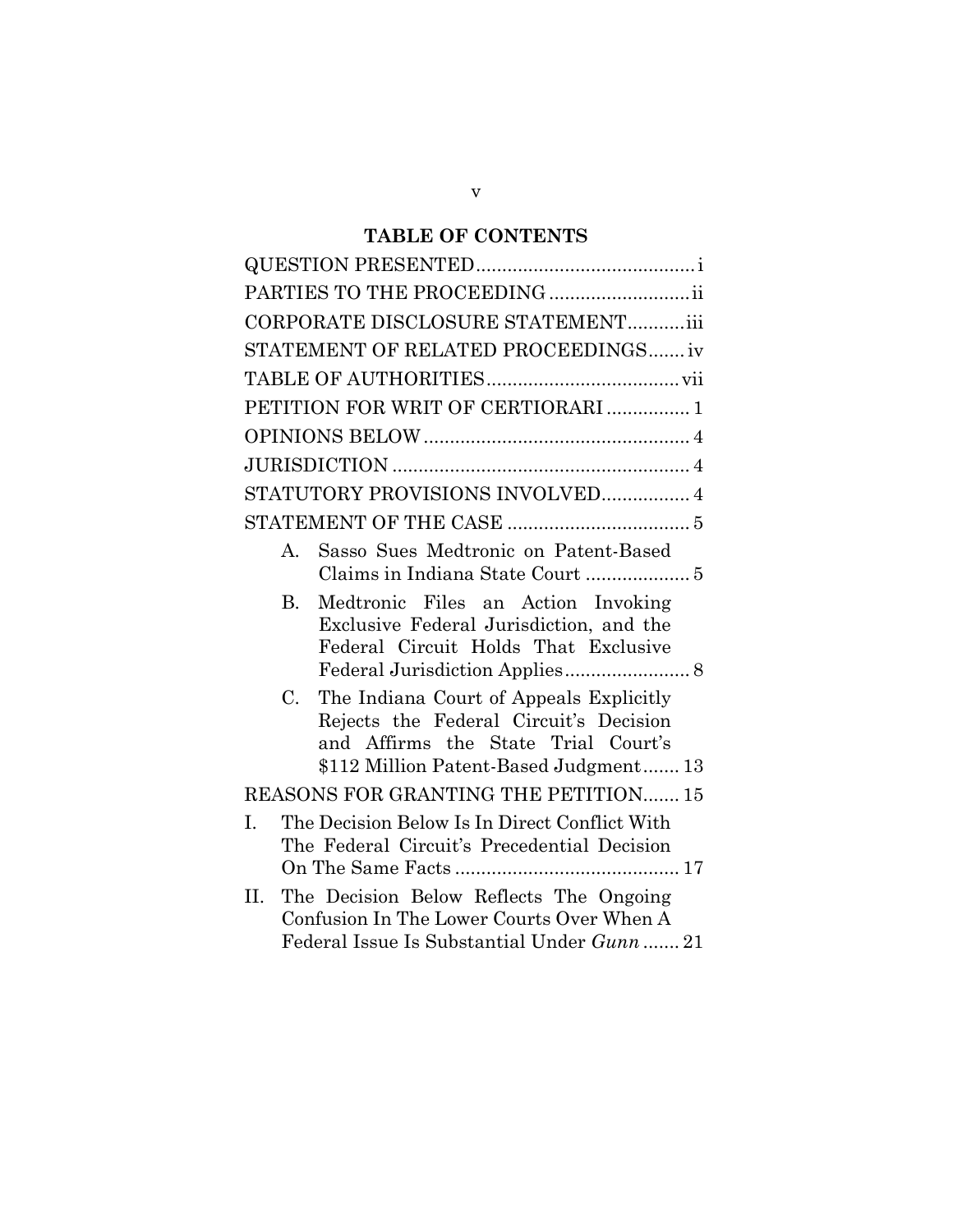# **TABLE OF CONTENTS**

| PARTIES TO THE PROCEEDING                                                                                                                                                         |
|-----------------------------------------------------------------------------------------------------------------------------------------------------------------------------------|
| CORPORATE DISCLOSURE STATEMENTiii                                                                                                                                                 |
| STATEMENT OF RELATED PROCEEDINGS iv                                                                                                                                               |
|                                                                                                                                                                                   |
| PETITION FOR WRIT OF CERTIORARI  1                                                                                                                                                |
|                                                                                                                                                                                   |
|                                                                                                                                                                                   |
| STATUTORY PROVISIONS INVOLVED 4                                                                                                                                                   |
|                                                                                                                                                                                   |
| Sasso Sues Medtronic on Patent-Based<br>$A_{\cdot}$                                                                                                                               |
| Medtronic Files an Action Invoking<br>$\mathbf{B}$<br>Exclusive Federal Jurisdiction, and the<br>Federal Circuit Holds That Exclusive                                             |
| The Indiana Court of Appeals Explicitly<br>$C_{\cdot}$<br>Rejects the Federal Circuit's Decision<br>and Affirms the State Trial Court's<br>\$112 Million Patent-Based Judgment 13 |
| REASONS FOR GRANTING THE PETITION 15                                                                                                                                              |
| The Decision Below Is In Direct Conflict With<br>I.<br>The Federal Circuit's Precedential Decision                                                                                |
| The Decision Below Reflects The Ongoing<br>Η.<br>Confusion In The Lower Courts Over When A<br>Federal Issue Is Substantial Under Gunn  21                                         |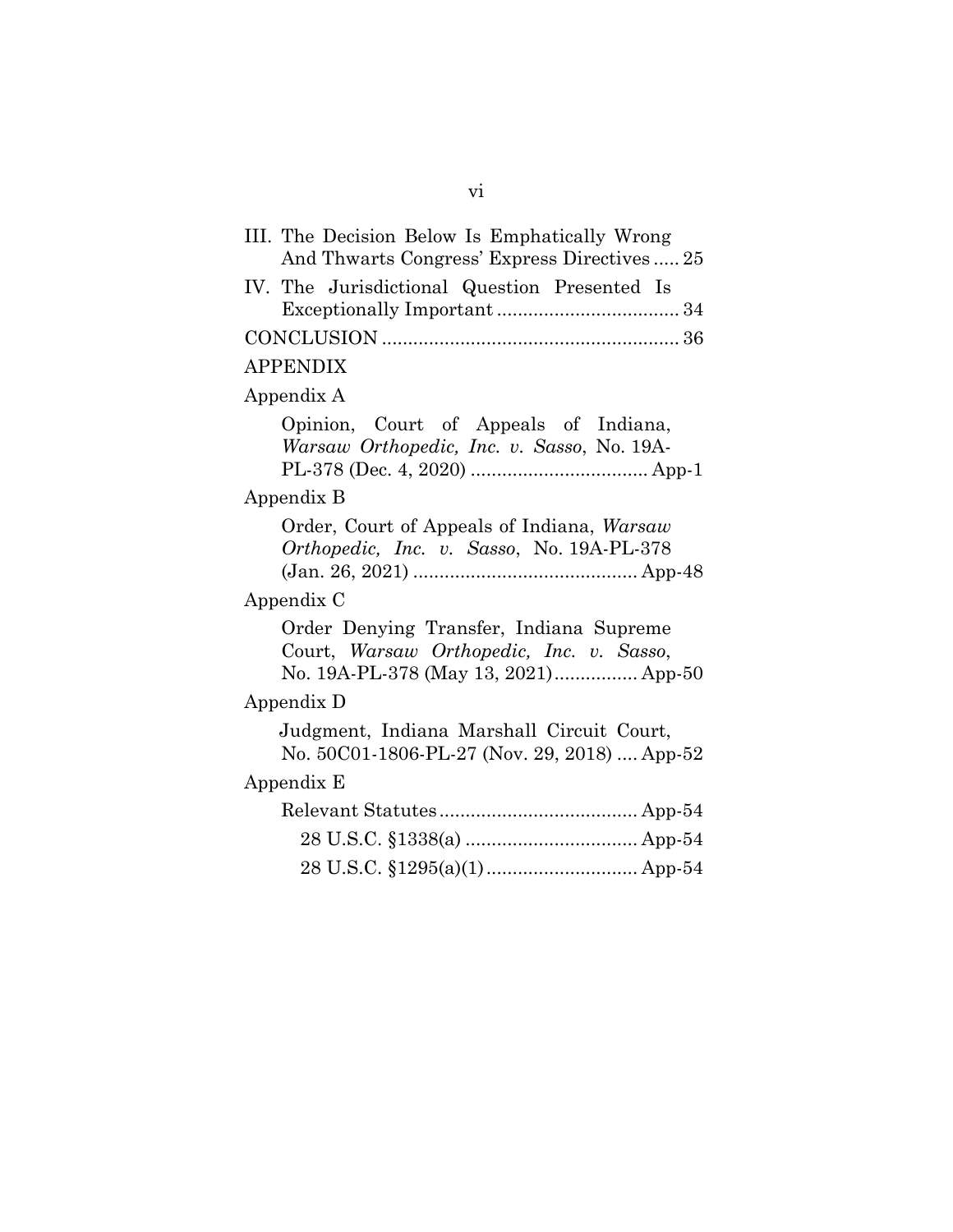| III. The Decision Below Is Emphatically Wrong<br>And Thwarts Congress' Express Directives25                                 |
|-----------------------------------------------------------------------------------------------------------------------------|
| IV. The Jurisdictional Question Presented Is                                                                                |
|                                                                                                                             |
| <b>APPENDIX</b>                                                                                                             |
| Appendix A                                                                                                                  |
| Opinion, Court of Appeals of Indiana,<br>Warsaw Orthopedic, Inc. v. Sasso, No. 19A-                                         |
| Appendix B                                                                                                                  |
| Order, Court of Appeals of Indiana, Warsaw<br><i>Orthopedic, Inc. v. Sasso, No.</i> 19A-PL-378                              |
| Appendix C                                                                                                                  |
| Order Denying Transfer, Indiana Supreme<br>Court, Warsaw Orthopedic, Inc. v. Sasso,<br>No. 19A-PL-378 (May 13, 2021) App-50 |
| Appendix D                                                                                                                  |
| Judgment, Indiana Marshall Circuit Court,<br>No. 50C01-1806-PL-27 (Nov. 29, 2018)  App-52                                   |
| Appendix E                                                                                                                  |
|                                                                                                                             |
|                                                                                                                             |
|                                                                                                                             |

vi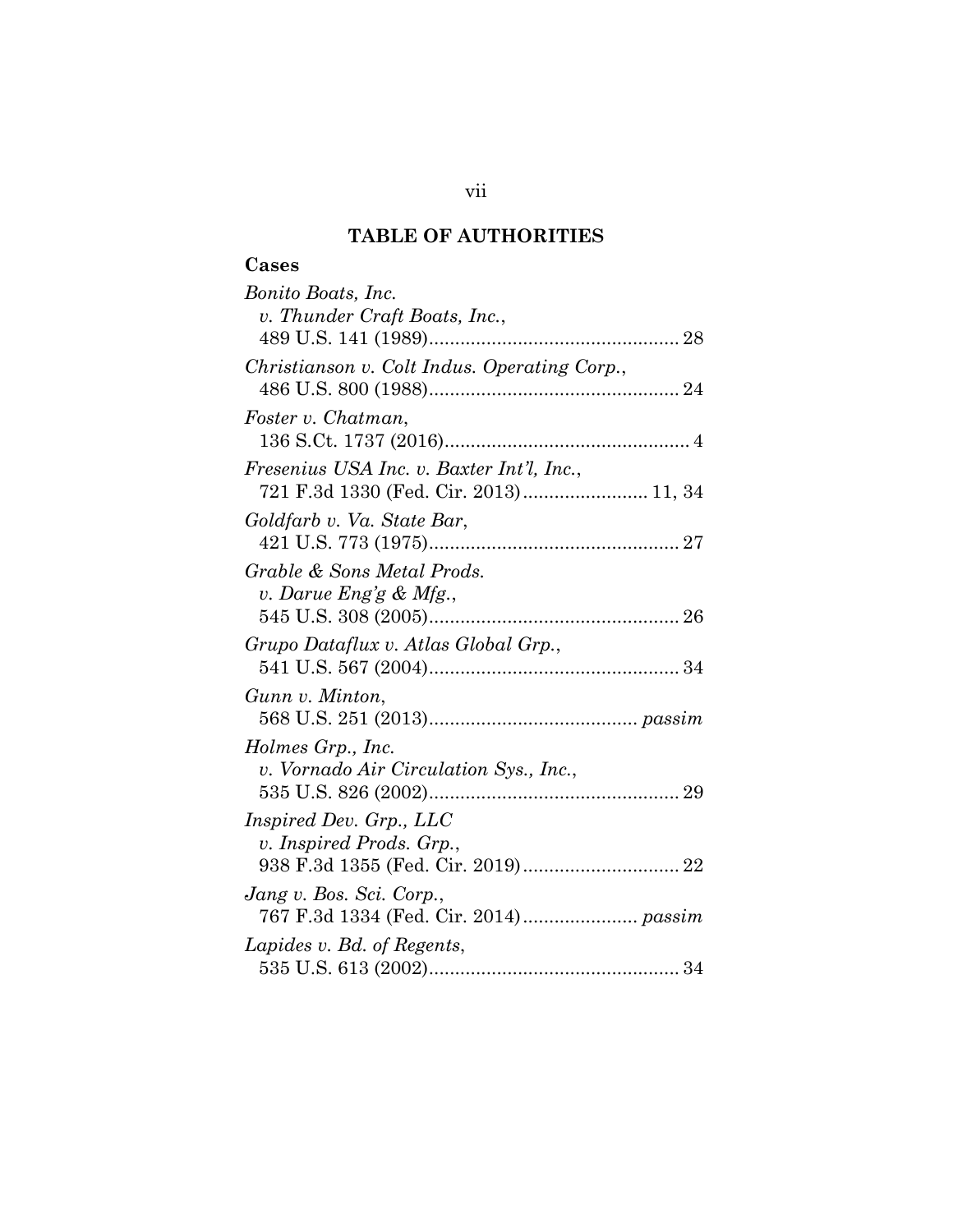# **TABLE OF AUTHORITIES**

# **Cases**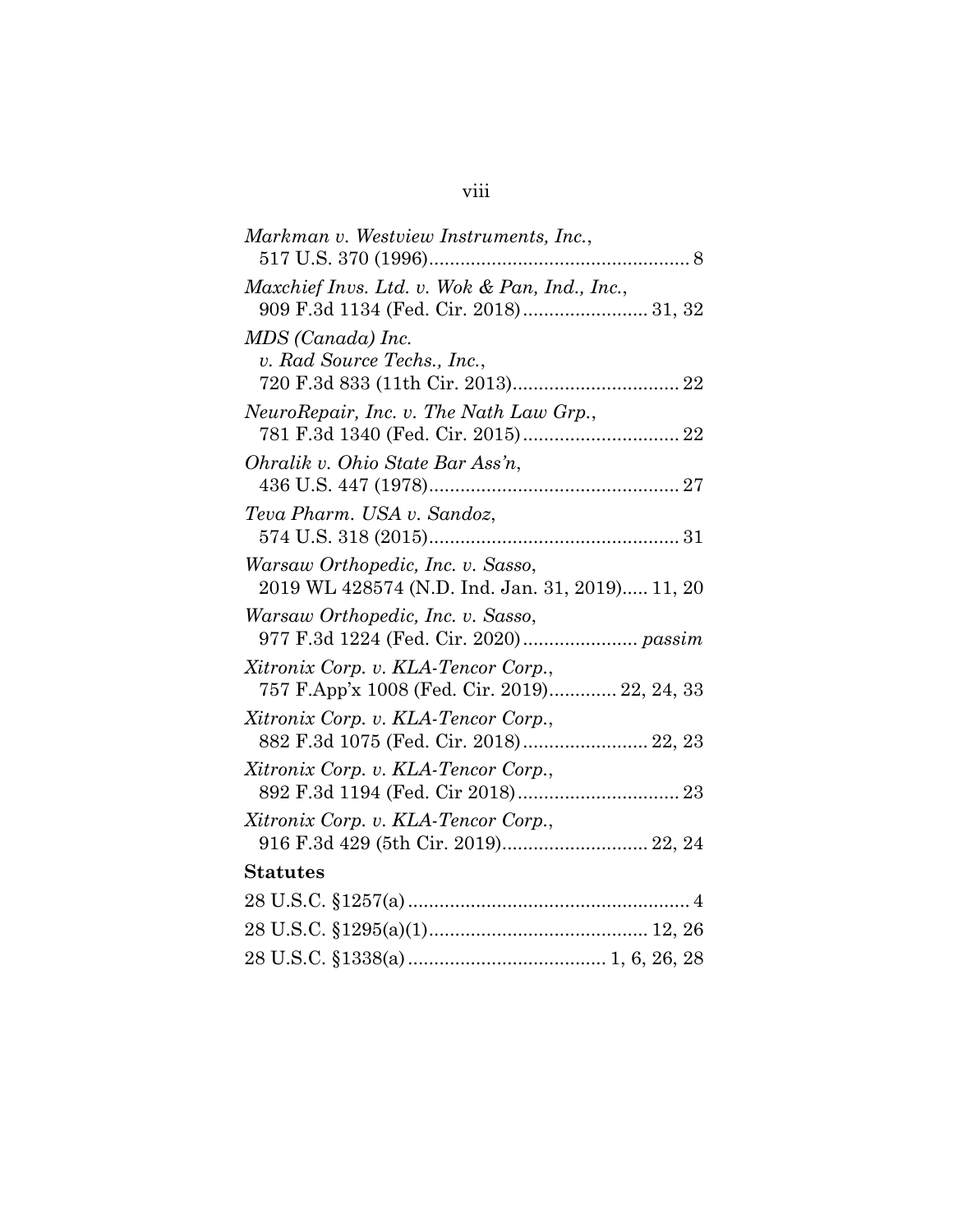| Markman v. Westview Instruments, Inc.,                                               |
|--------------------------------------------------------------------------------------|
| Maxchief Invs. Ltd. v. Wok & Pan, Ind., Inc.,                                        |
| MDS (Canada) Inc.<br>v. Rad Source Techs., Inc.,                                     |
| NeuroRepair, Inc. v. The Nath Law Grp.,                                              |
| Ohralik v. Ohio State Bar Ass'n,                                                     |
| Teva Pharm. USA v. Sandoz,                                                           |
| Warsaw Orthopedic, Inc. v. Sasso,<br>2019 WL 428574 (N.D. Ind. Jan. 31, 2019) 11, 20 |
| Warsaw Orthopedic, Inc. v. Sasso,<br>977 F.3d 1224 (Fed. Cir. 2020) passim           |
| Xitronix Corp. v. KLA-Tencor Corp.,<br>757 F.App'x 1008 (Fed. Cir. 2019) 22, 24, 33  |
| Xitronix Corp. v. KLA-Tencor Corp.,<br>882 F.3d 1075 (Fed. Cir. 2018) 22, 23         |
| Xitronix Corp. v. KLA-Tencor Corp.,                                                  |
| Xitronix Corp. v. KLA-Tencor Corp.,<br>916 F.3d 429 (5th Cir. 2019) 22, 24           |
| <b>Statutes</b>                                                                      |
|                                                                                      |
|                                                                                      |
|                                                                                      |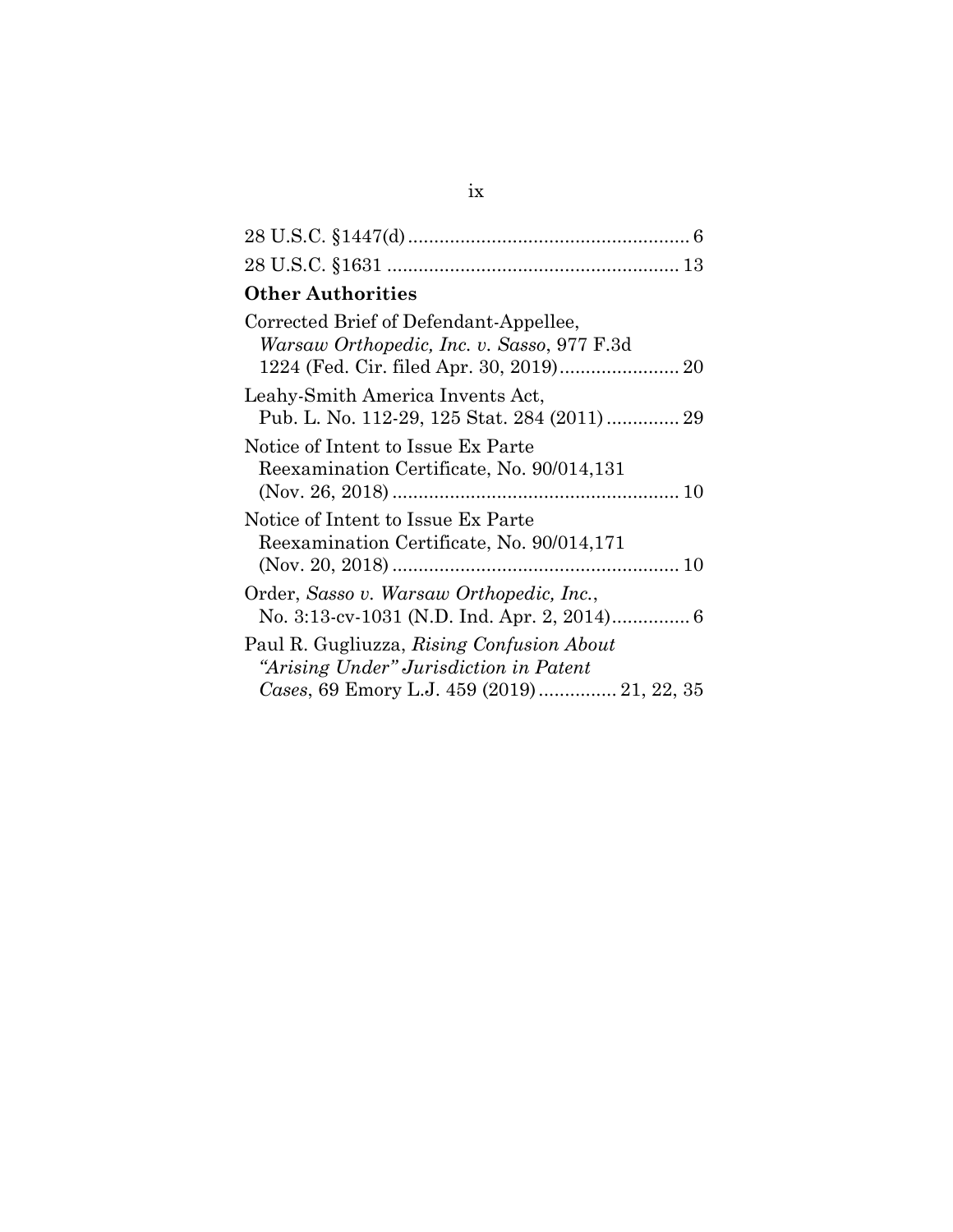| <b>Other Authorities</b>                                                                                                          |
|-----------------------------------------------------------------------------------------------------------------------------------|
| Corrected Brief of Defendant-Appellee,<br>Warsaw Orthopedic, Inc. v. Sasso, 977 F.3d                                              |
| Leahy-Smith America Invents Act,<br>Pub. L. No. 112-29, 125 Stat. 284 (2011)  29                                                  |
| Notice of Intent to Issue Ex Parte<br>Reexamination Certificate, No. 90/014,131                                                   |
| Notice of Intent to Issue Ex Parte<br>Reexamination Certificate, No. 90/014,171                                                   |
| Order, Sasso v. Warsaw Orthopedic, Inc.,                                                                                          |
| Paul R. Gugliuzza, Rising Confusion About<br>"Arising Under" Jurisdiction in Patent<br>Cases, 69 Emory L.J. 459 (2019) 21, 22, 35 |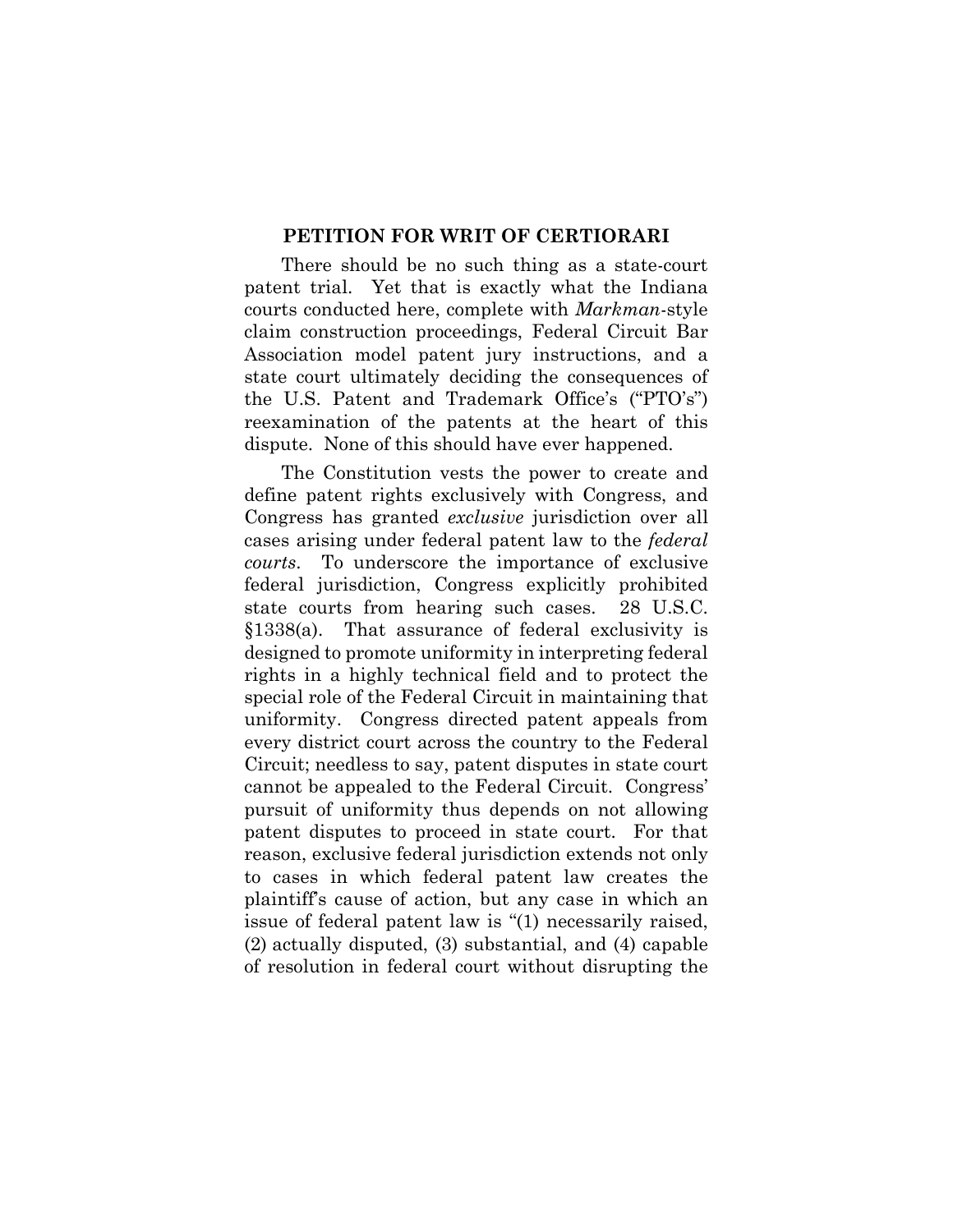#### **PETITION FOR WRIT OF CERTIORARI**

There should be no such thing as a state-court patent trial. Yet that is exactly what the Indiana courts conducted here, complete with *Markman*-style claim construction proceedings, Federal Circuit Bar Association model patent jury instructions, and a state court ultimately deciding the consequences of the U.S. Patent and Trademark Office's ("PTO's") reexamination of the patents at the heart of this dispute. None of this should have ever happened.

The Constitution vests the power to create and define patent rights exclusively with Congress, and Congress has granted *exclusive* jurisdiction over all cases arising under federal patent law to the *federal courts*. To underscore the importance of exclusive federal jurisdiction, Congress explicitly prohibited state courts from hearing such cases. 28 U.S.C. §1338(a). That assurance of federal exclusivity is designed to promote uniformity in interpreting federal rights in a highly technical field and to protect the special role of the Federal Circuit in maintaining that uniformity. Congress directed patent appeals from every district court across the country to the Federal Circuit; needless to say, patent disputes in state court cannot be appealed to the Federal Circuit. Congress' pursuit of uniformity thus depends on not allowing patent disputes to proceed in state court. For that reason, exclusive federal jurisdiction extends not only to cases in which federal patent law creates the plaintiff's cause of action, but any case in which an issue of federal patent law is "(1) necessarily raised, (2) actually disputed, (3) substantial, and (4) capable of resolution in federal court without disrupting the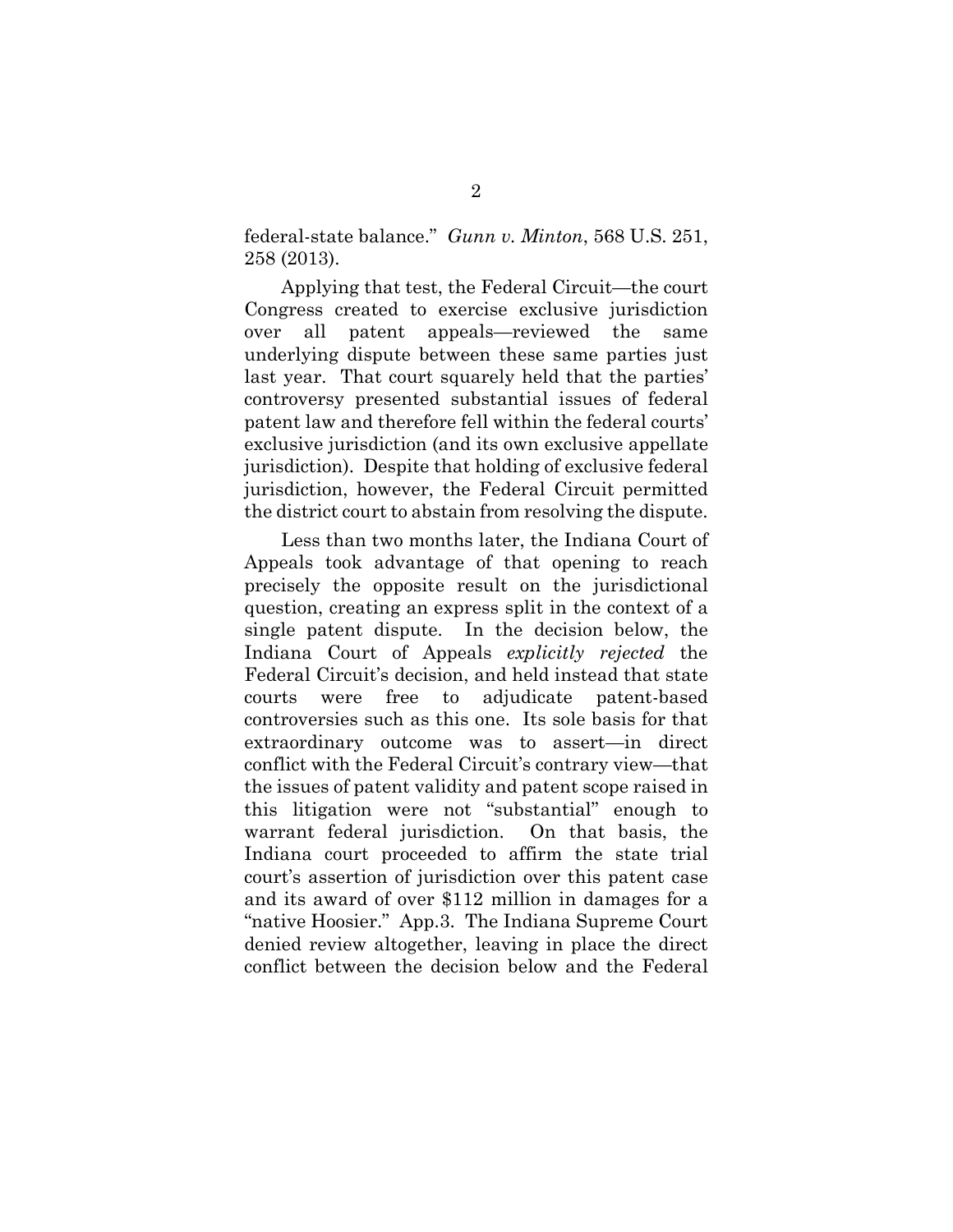federal-state balance." *Gunn v. Minton*, 568 U.S. 251, 258 (2013).

Applying that test, the Federal Circuit—the court Congress created to exercise exclusive jurisdiction over all patent appeals—reviewed the same underlying dispute between these same parties just last year. That court squarely held that the parties' controversy presented substantial issues of federal patent law and therefore fell within the federal courts' exclusive jurisdiction (and its own exclusive appellate jurisdiction). Despite that holding of exclusive federal jurisdiction, however, the Federal Circuit permitted the district court to abstain from resolving the dispute.

Less than two months later, the Indiana Court of Appeals took advantage of that opening to reach precisely the opposite result on the jurisdictional question, creating an express split in the context of a single patent dispute. In the decision below, the Indiana Court of Appeals *explicitly rejected* the Federal Circuit's decision, and held instead that state courts were free to adjudicate patent-based controversies such as this one. Its sole basis for that extraordinary outcome was to assert—in direct conflict with the Federal Circuit's contrary view—that the issues of patent validity and patent scope raised in this litigation were not "substantial" enough to warrant federal jurisdiction. On that basis, the Indiana court proceeded to affirm the state trial court's assertion of jurisdiction over this patent case and its award of over \$112 million in damages for a "native Hoosier." App.3. The Indiana Supreme Court denied review altogether, leaving in place the direct conflict between the decision below and the Federal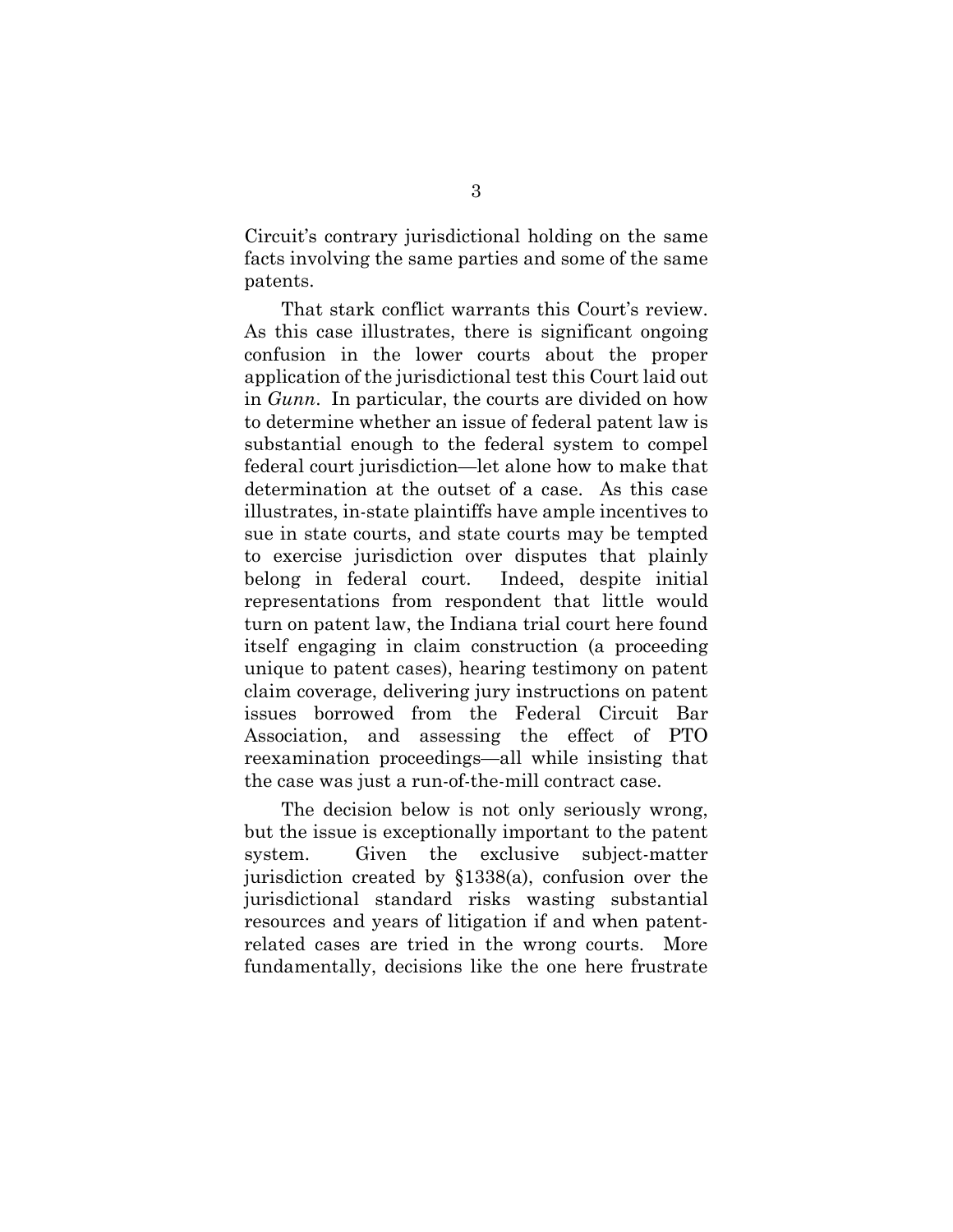Circuit's contrary jurisdictional holding on the same facts involving the same parties and some of the same patents.

That stark conflict warrants this Court's review. As this case illustrates, there is significant ongoing confusion in the lower courts about the proper application of the jurisdictional test this Court laid out in *Gunn*. In particular, the courts are divided on how to determine whether an issue of federal patent law is substantial enough to the federal system to compel federal court jurisdiction—let alone how to make that determination at the outset of a case. As this case illustrates, in-state plaintiffs have ample incentives to sue in state courts, and state courts may be tempted to exercise jurisdiction over disputes that plainly belong in federal court. Indeed, despite initial representations from respondent that little would turn on patent law, the Indiana trial court here found itself engaging in claim construction (a proceeding unique to patent cases), hearing testimony on patent claim coverage, delivering jury instructions on patent issues borrowed from the Federal Circuit Bar Association, and assessing the effect of PTO reexamination proceedings—all while insisting that the case was just a run-of-the-mill contract case.

The decision below is not only seriously wrong, but the issue is exceptionally important to the patent system. Given the exclusive subject-matter jurisdiction created by §1338(a), confusion over the jurisdictional standard risks wasting substantial resources and years of litigation if and when patentrelated cases are tried in the wrong courts. More fundamentally, decisions like the one here frustrate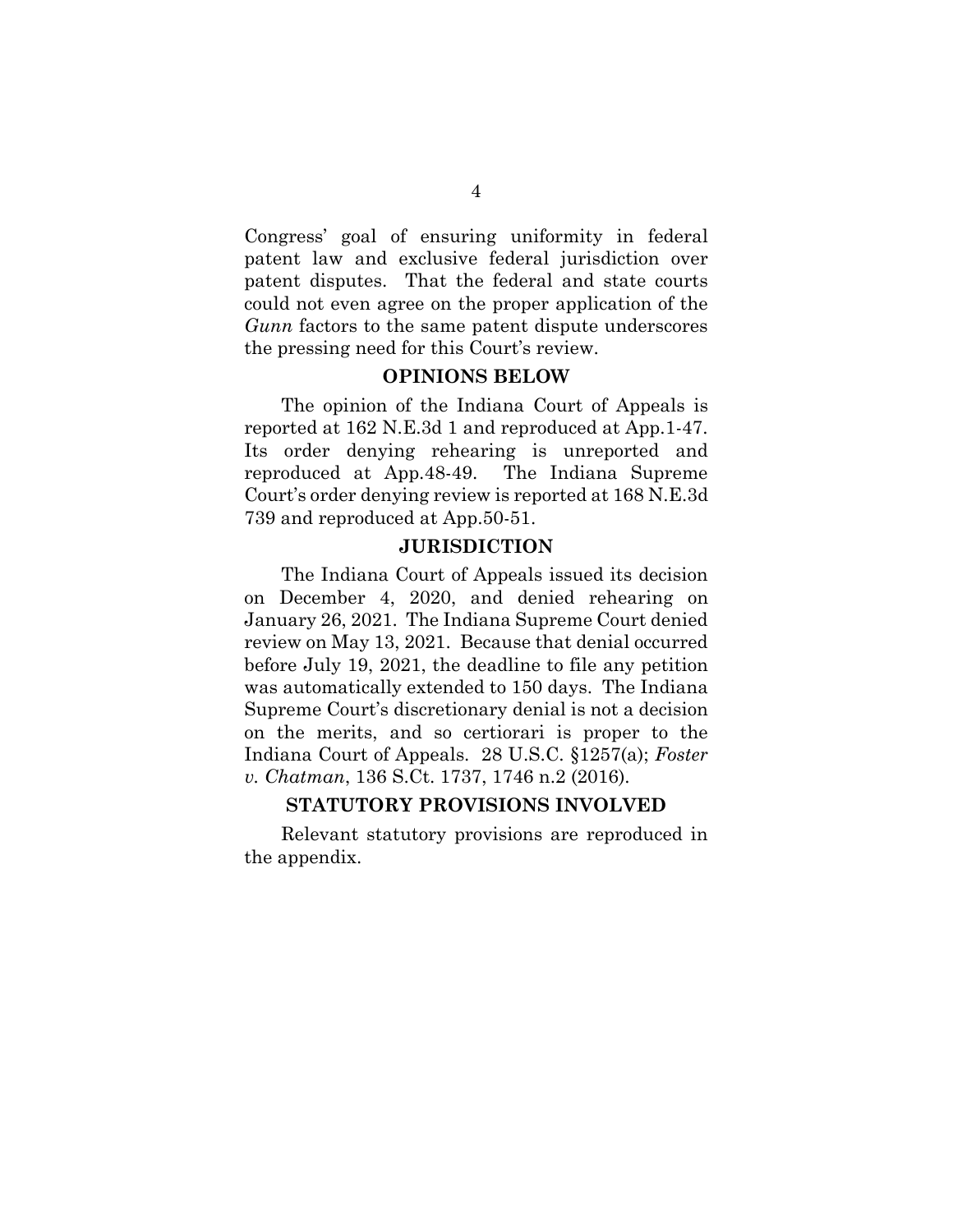Congress' goal of ensuring uniformity in federal patent law and exclusive federal jurisdiction over patent disputes. That the federal and state courts could not even agree on the proper application of the *Gunn* factors to the same patent dispute underscores the pressing need for this Court's review.

### **OPINIONS BELOW**

The opinion of the Indiana Court of Appeals is reported at 162 N.E.3d 1 and reproduced at App.1-47. Its order denying rehearing is unreported and reproduced at App.48-49. The Indiana Supreme Court's order denying review is reported at 168 N.E.3d 739 and reproduced at App.50-51.

#### **JURISDICTION**

The Indiana Court of Appeals issued its decision on December 4, 2020, and denied rehearing on January 26, 2021. The Indiana Supreme Court denied review on May 13, 2021. Because that denial occurred before July 19, 2021, the deadline to file any petition was automatically extended to 150 days. The Indiana Supreme Court's discretionary denial is not a decision on the merits, and so certiorari is proper to the Indiana Court of Appeals. 28 U.S.C. §1257(a); *Foster v. Chatman*, 136 S.Ct. 1737, 1746 n.2 (2016).

### **STATUTORY PROVISIONS INVOLVED**

Relevant statutory provisions are reproduced in the appendix.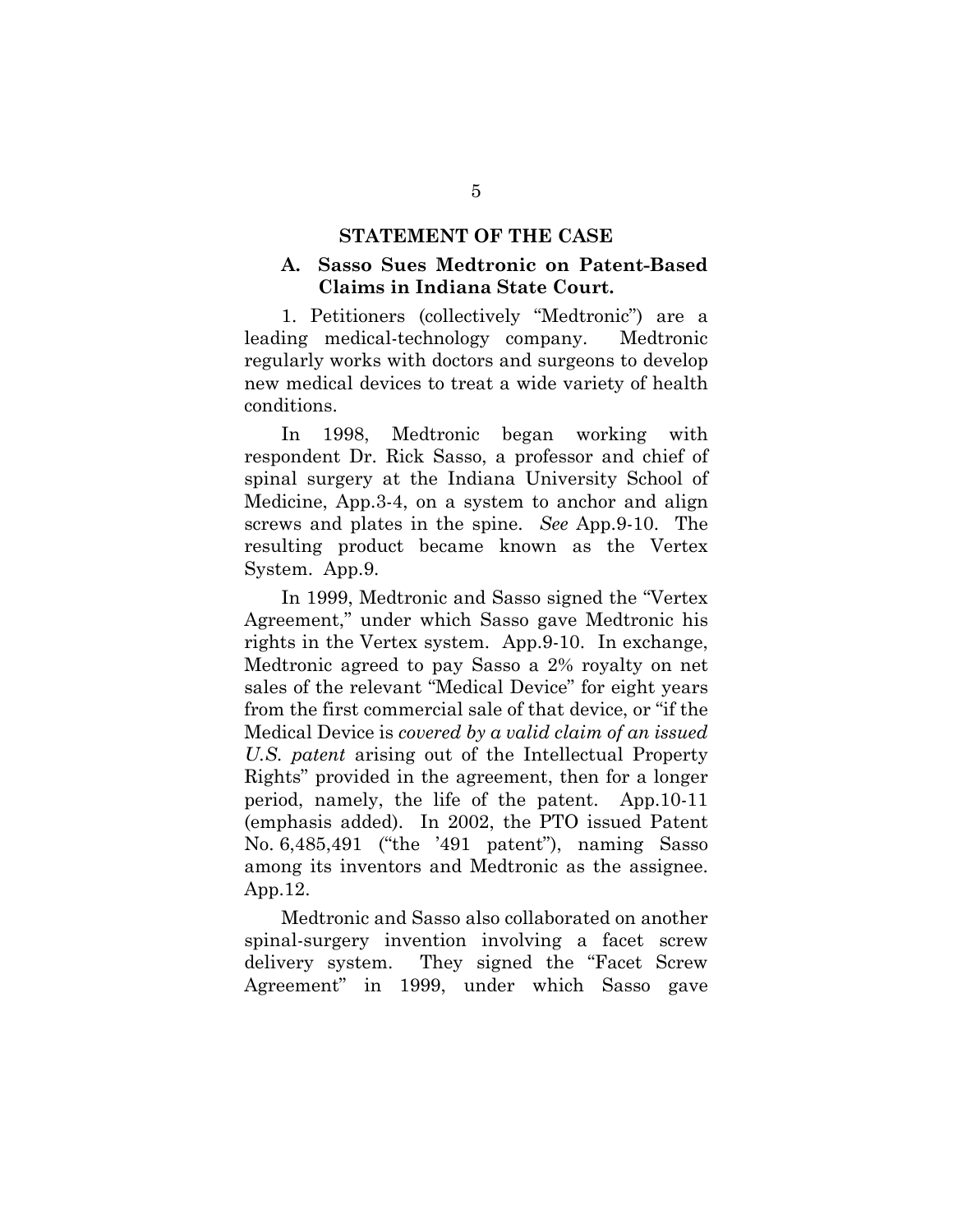#### **STATEMENT OF THE CASE**

## **A. Sasso Sues Medtronic on Patent-Based Claims in Indiana State Court.**

1. Petitioners (collectively "Medtronic") are a leading medical-technology company. Medtronic regularly works with doctors and surgeons to develop new medical devices to treat a wide variety of health conditions.

In 1998, Medtronic began working with respondent Dr. Rick Sasso, a professor and chief of spinal surgery at the Indiana University School of Medicine, App.3-4, on a system to anchor and align screws and plates in the spine. *See* App.9-10. The resulting product became known as the Vertex System. App.9.

In 1999, Medtronic and Sasso signed the "Vertex Agreement," under which Sasso gave Medtronic his rights in the Vertex system. App.9-10. In exchange, Medtronic agreed to pay Sasso a 2% royalty on net sales of the relevant "Medical Device" for eight years from the first commercial sale of that device, or "if the Medical Device is *covered by a valid claim of an issued U.S. patent* arising out of the Intellectual Property Rights" provided in the agreement, then for a longer period, namely, the life of the patent. App.10-11 (emphasis added). In 2002, the PTO issued Patent No. 6,485,491 ("the '491 patent"), naming Sasso among its inventors and Medtronic as the assignee. App.12.

Medtronic and Sasso also collaborated on another spinal-surgery invention involving a facet screw delivery system. They signed the "Facet Screw Agreement" in 1999, under which Sasso gave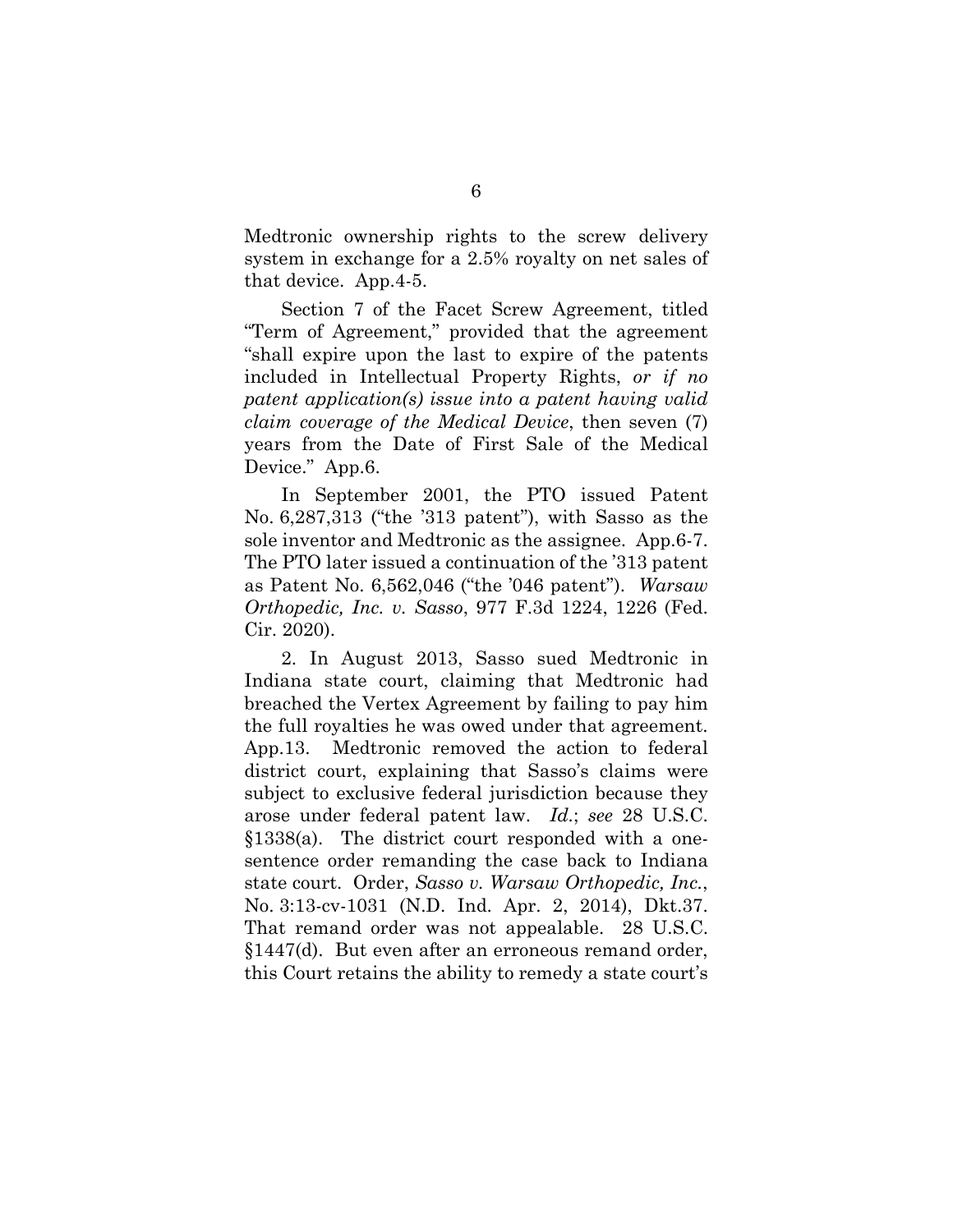Medtronic ownership rights to the screw delivery system in exchange for a 2.5% royalty on net sales of that device. App.4-5.

Section 7 of the Facet Screw Agreement, titled "Term of Agreement," provided that the agreement "shall expire upon the last to expire of the patents included in Intellectual Property Rights, *or if no patent application(s) issue into a patent having valid claim coverage of the Medical Device*, then seven (7) years from the Date of First Sale of the Medical Device." App.6.

In September 2001, the PTO issued Patent No. 6,287,313 ("the '313 patent"), with Sasso as the sole inventor and Medtronic as the assignee. App.6-7. The PTO later issued a continuation of the '313 patent as Patent No. 6,562,046 ("the '046 patent"). *Warsaw Orthopedic, Inc. v. Sasso*, 977 F.3d 1224, 1226 (Fed. Cir. 2020).

2. In August 2013, Sasso sued Medtronic in Indiana state court, claiming that Medtronic had breached the Vertex Agreement by failing to pay him the full royalties he was owed under that agreement. App.13. Medtronic removed the action to federal district court, explaining that Sasso's claims were subject to exclusive federal jurisdiction because they arose under federal patent law. *Id.*; *see* 28 U.S.C. §1338(a). The district court responded with a onesentence order remanding the case back to Indiana state court. Order, *Sasso v. Warsaw Orthopedic, Inc.*, No. 3:13-cv-1031 (N.D. Ind. Apr. 2, 2014), Dkt.37. That remand order was not appealable. 28 U.S.C. §1447(d). But even after an erroneous remand order, this Court retains the ability to remedy a state court's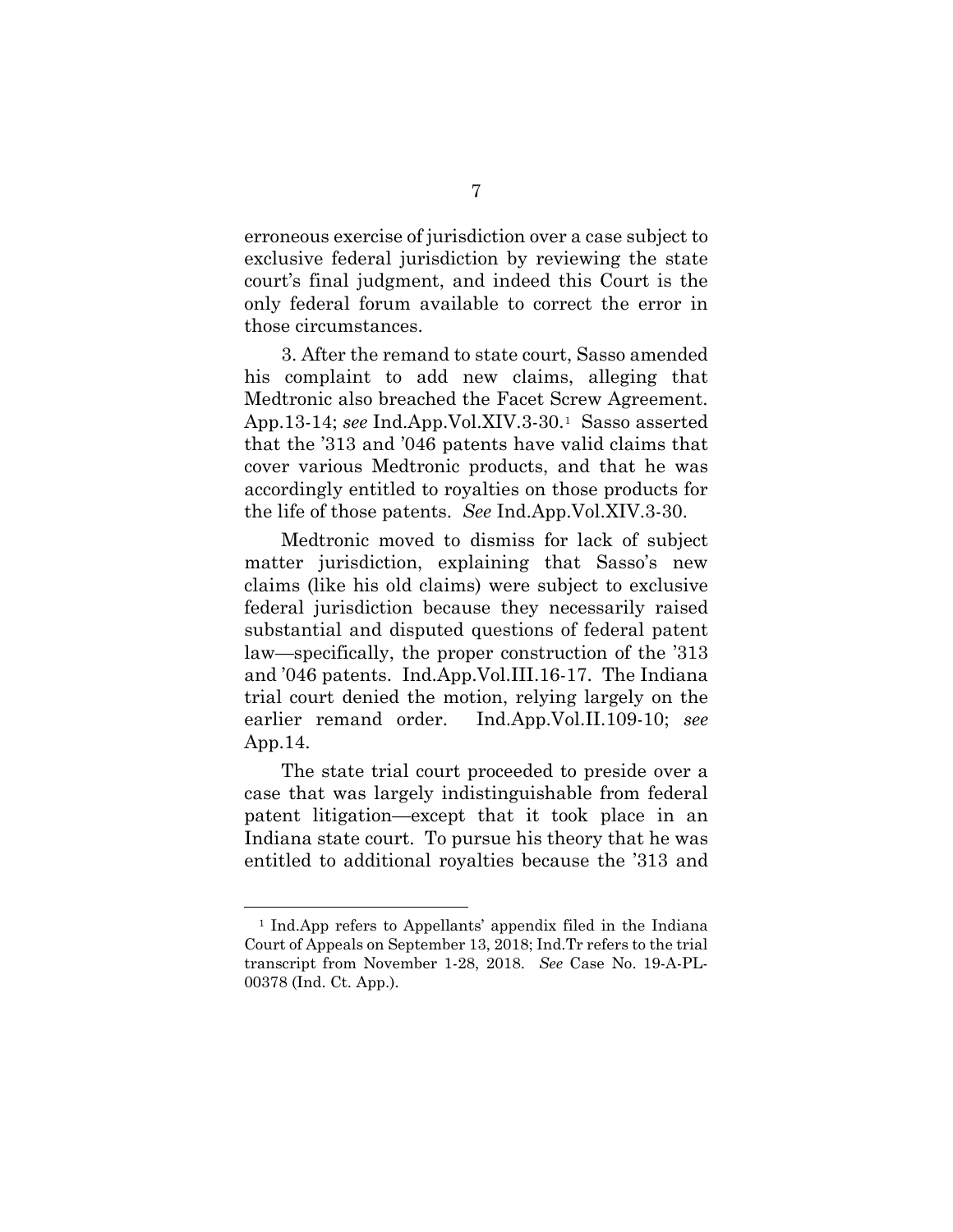erroneous exercise of jurisdiction over a case subject to exclusive federal jurisdiction by reviewing the state court's final judgment, and indeed this Court is the only federal forum available to correct the error in those circumstances.

3. After the remand to state court, Sasso amended his complaint to add new claims, alleging that Medtronic also breached the Facet Screw Agreement. App.13-14; *see* Ind.App.Vol.XIV.3-30.[1](#page-16-0) Sasso asserted that the '313 and '046 patents have valid claims that cover various Medtronic products, and that he was accordingly entitled to royalties on those products for the life of those patents. *See* Ind.App.Vol.XIV.3-30.

Medtronic moved to dismiss for lack of subject matter jurisdiction, explaining that Sasso's new claims (like his old claims) were subject to exclusive federal jurisdiction because they necessarily raised substantial and disputed questions of federal patent law—specifically, the proper construction of the '313 and '046 patents. Ind.App.Vol.III.16-17. The Indiana trial court denied the motion, relying largely on the earlier remand order. Ind.App.Vol.II.109-10; *see*  App.14.

The state trial court proceeded to preside over a case that was largely indistinguishable from federal patent litigation—except that it took place in an Indiana state court. To pursue his theory that he was entitled to additional royalties because the '313 and

<u>.</u>

<span id="page-16-0"></span><sup>1</sup> Ind.App refers to Appellants' appendix filed in the Indiana Court of Appeals on September 13, 2018; Ind.Tr refers to the trial transcript from November 1-28, 2018. *See* Case No. 19-A-PL-00378 (Ind. Ct. App.).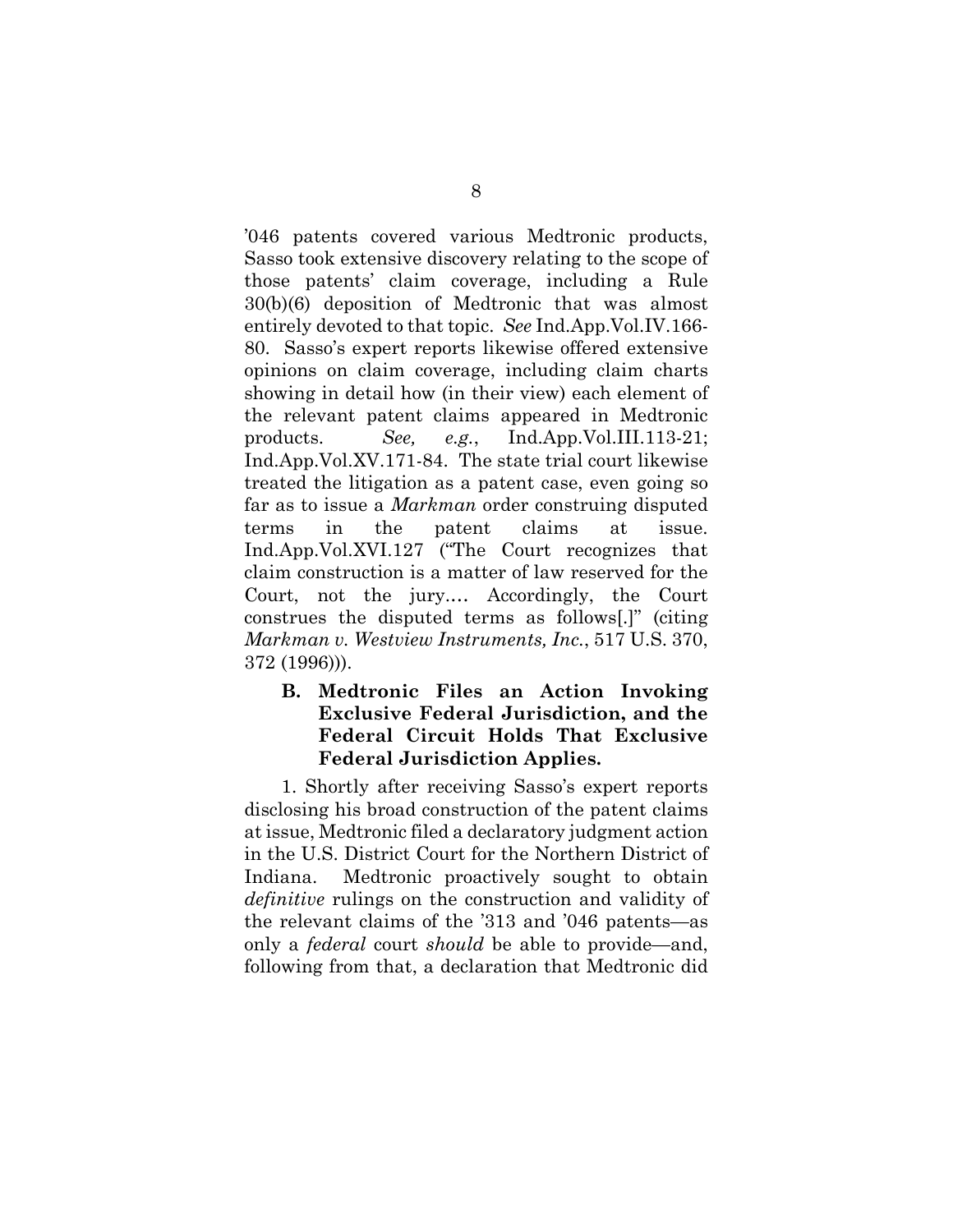'046 patents covered various Medtronic products, Sasso took extensive discovery relating to the scope of those patents' claim coverage, including a Rule 30(b)(6) deposition of Medtronic that was almost entirely devoted to that topic. *See* Ind.App.Vol.IV.166- 80. Sasso's expert reports likewise offered extensive opinions on claim coverage, including claim charts showing in detail how (in their view) each element of the relevant patent claims appeared in Medtronic products. *See, e.g.*, Ind.App.Vol.III.113-21; Ind.App.Vol.XV.171-84. The state trial court likewise treated the litigation as a patent case, even going so far as to issue a *Markman* order construing disputed terms in the patent claims at issue. Ind.App.Vol.XVI.127 ("The Court recognizes that claim construction is a matter of law reserved for the Court, not the jury.… Accordingly, the Court construes the disputed terms as follows[.]" (citing *Markman v. Westview Instruments, Inc.*, 517 U.S. 370, 372 (1996))).

# **B. Medtronic Files an Action Invoking Exclusive Federal Jurisdiction, and the Federal Circuit Holds That Exclusive Federal Jurisdiction Applies.**

1. Shortly after receiving Sasso's expert reports disclosing his broad construction of the patent claims at issue, Medtronic filed a declaratory judgment action in the U.S. District Court for the Northern District of Indiana. Medtronic proactively sought to obtain *definitive* rulings on the construction and validity of the relevant claims of the '313 and '046 patents—as only a *federal* court *should* be able to provide—and, following from that, a declaration that Medtronic did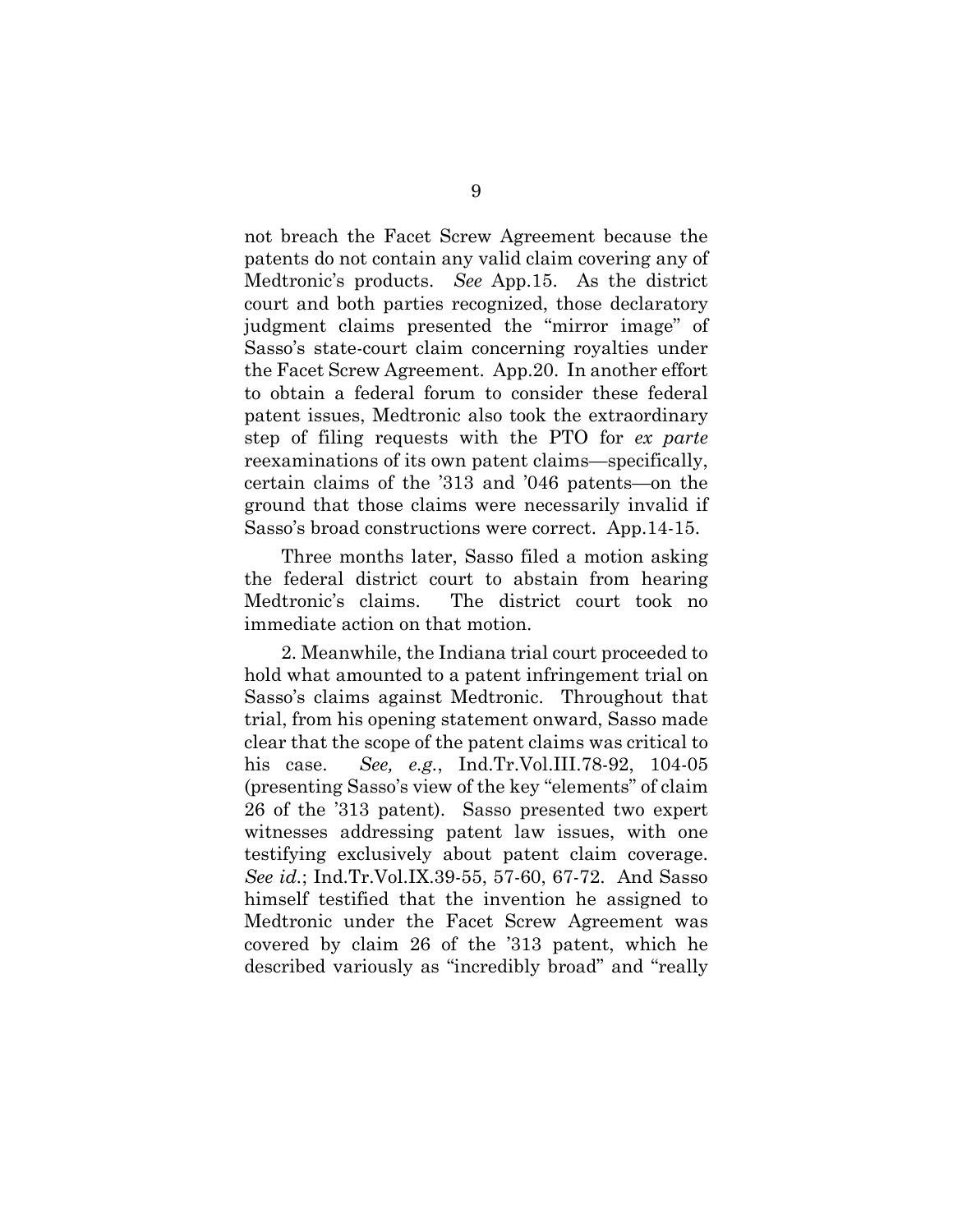not breach the Facet Screw Agreement because the patents do not contain any valid claim covering any of Medtronic's products. *See* App.15. As the district court and both parties recognized, those declaratory judgment claims presented the "mirror image" of Sasso's state-court claim concerning royalties under the Facet Screw Agreement. App.20. In another effort to obtain a federal forum to consider these federal patent issues, Medtronic also took the extraordinary step of filing requests with the PTO for *ex parte* reexaminations of its own patent claims—specifically, certain claims of the '313 and '046 patents—on the ground that those claims were necessarily invalid if Sasso's broad constructions were correct. App.14-15.

Three months later, Sasso filed a motion asking the federal district court to abstain from hearing Medtronic's claims. The district court took no immediate action on that motion.

2. Meanwhile, the Indiana trial court proceeded to hold what amounted to a patent infringement trial on Sasso's claims against Medtronic. Throughout that trial, from his opening statement onward, Sasso made clear that the scope of the patent claims was critical to his case. *See, e.g.*, Ind.Tr.Vol.III.78-92, 104-05 (presenting Sasso's view of the key "elements" of claim 26 of the '313 patent). Sasso presented two expert witnesses addressing patent law issues, with one testifying exclusively about patent claim coverage. *See id.*; Ind.Tr.Vol.IX.39-55, 57-60, 67-72. And Sasso himself testified that the invention he assigned to Medtronic under the Facet Screw Agreement was covered by claim 26 of the '313 patent, which he described variously as "incredibly broad" and "really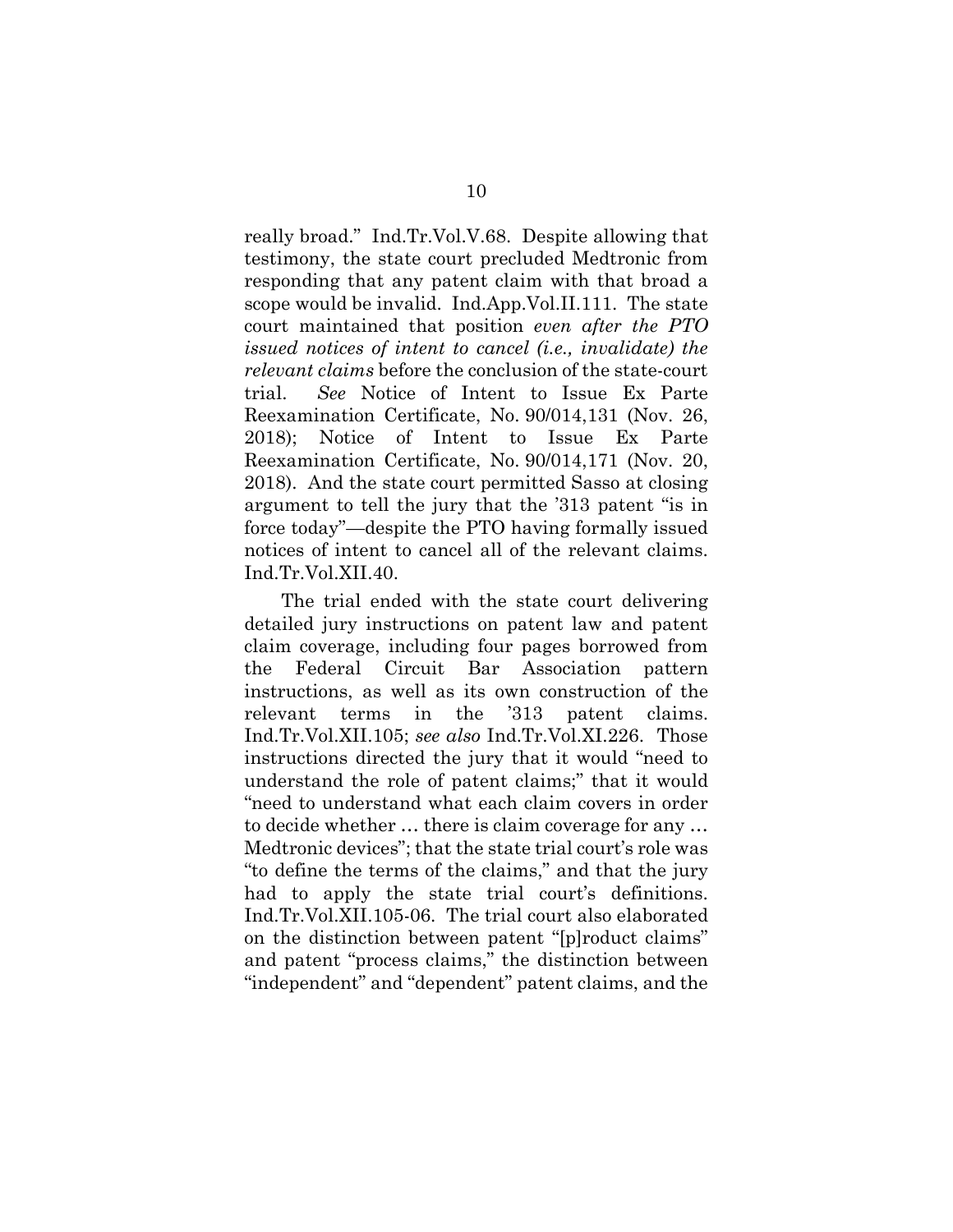really broad." Ind.Tr.Vol.V.68. Despite allowing that testimony, the state court precluded Medtronic from responding that any patent claim with that broad a scope would be invalid. Ind.App.Vol.II.111. The state court maintained that position *even after the PTO issued notices of intent to cancel (i.e., invalidate) the relevant claims* before the conclusion of the state-court trial. *See* Notice of Intent to Issue Ex Parte Reexamination Certificate, No. 90/014,131 (Nov. 26, 2018); Notice of Intent to Issue Ex Parte Reexamination Certificate, No. 90/014,171 (Nov. 20, 2018). And the state court permitted Sasso at closing argument to tell the jury that the '313 patent "is in force today"—despite the PTO having formally issued notices of intent to cancel all of the relevant claims. Ind.Tr.Vol.XII.40.

The trial ended with the state court delivering detailed jury instructions on patent law and patent claim coverage, including four pages borrowed from the Federal Circuit Bar Association pattern instructions, as well as its own construction of the relevant terms in the '313 patent claims. Ind.Tr.Vol.XII.105; *see also* Ind.Tr.Vol.XI.226. Those instructions directed the jury that it would "need to understand the role of patent claims;" that it would "need to understand what each claim covers in order to decide whether … there is claim coverage for any … Medtronic devices"; that the state trial court's role was "to define the terms of the claims," and that the jury had to apply the state trial court's definitions. Ind.Tr.Vol.XII.105-06. The trial court also elaborated on the distinction between patent "[p]roduct claims" and patent "process claims," the distinction between "independent" and "dependent" patent claims, and the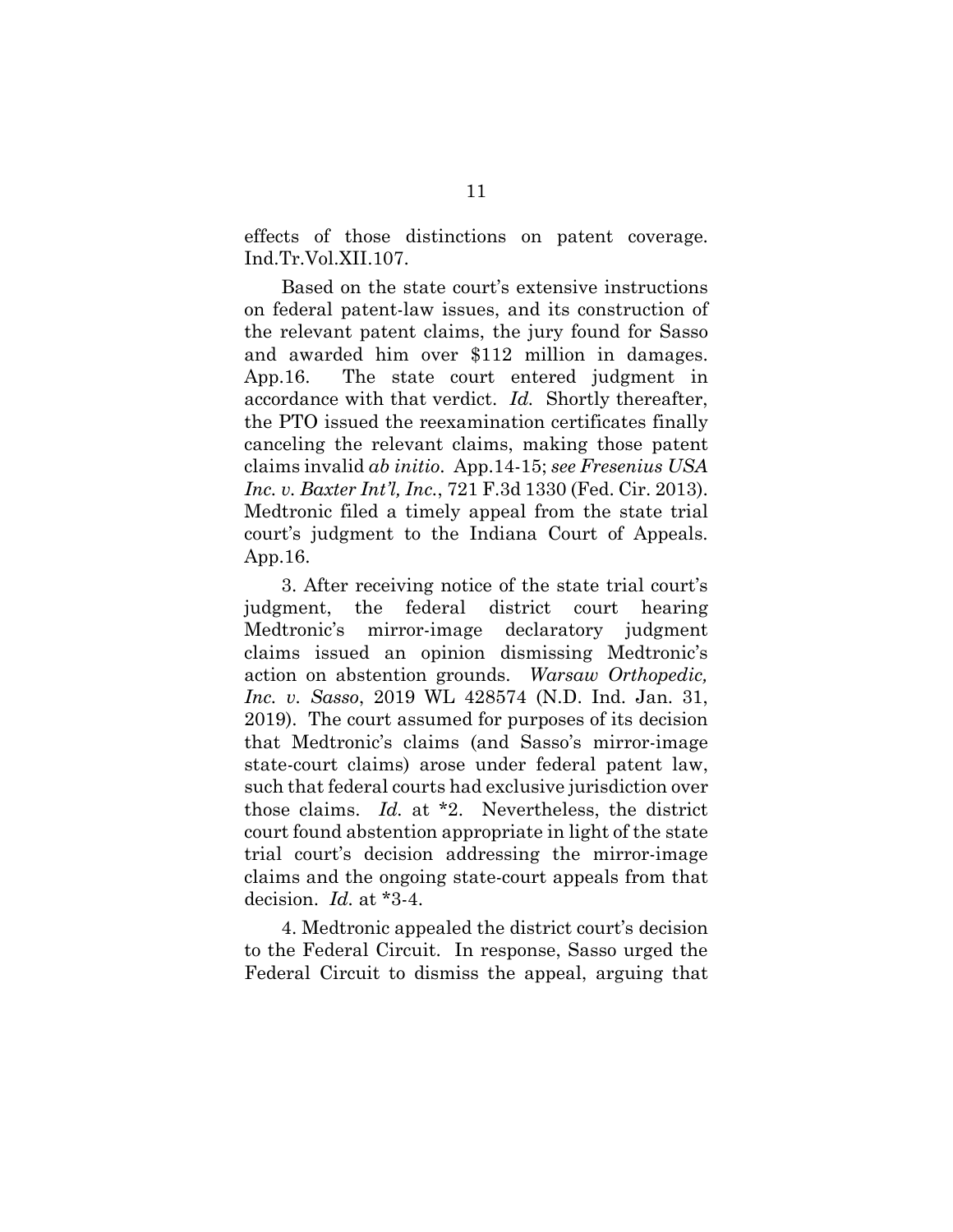effects of those distinctions on patent coverage. Ind.Tr.Vol.XII.107.

Based on the state court's extensive instructions on federal patent-law issues, and its construction of the relevant patent claims, the jury found for Sasso and awarded him over \$112 million in damages. App.16. The state court entered judgment in accordance with that verdict. *Id.* Shortly thereafter, the PTO issued the reexamination certificates finally canceling the relevant claims, making those patent claims invalid *ab initio*. App.14-15; *see Fresenius USA Inc. v. Baxter Int'l, Inc.*, 721 F.3d 1330 (Fed. Cir. 2013). Medtronic filed a timely appeal from the state trial court's judgment to the Indiana Court of Appeals. App.16.

3. After receiving notice of the state trial court's judgment, the federal district court hearing Medtronic's mirror-image declaratory judgment claims issued an opinion dismissing Medtronic's action on abstention grounds. *Warsaw Orthopedic, Inc. v. Sasso*, 2019 WL 428574 (N.D. Ind. Jan. 31, 2019). The court assumed for purposes of its decision that Medtronic's claims (and Sasso's mirror-image state-court claims) arose under federal patent law, such that federal courts had exclusive jurisdiction over those claims. *Id.* at \*2. Nevertheless, the district court found abstention appropriate in light of the state trial court's decision addressing the mirror-image claims and the ongoing state-court appeals from that decision. *Id.* at \*3-4.

4. Medtronic appealed the district court's decision to the Federal Circuit. In response, Sasso urged the Federal Circuit to dismiss the appeal, arguing that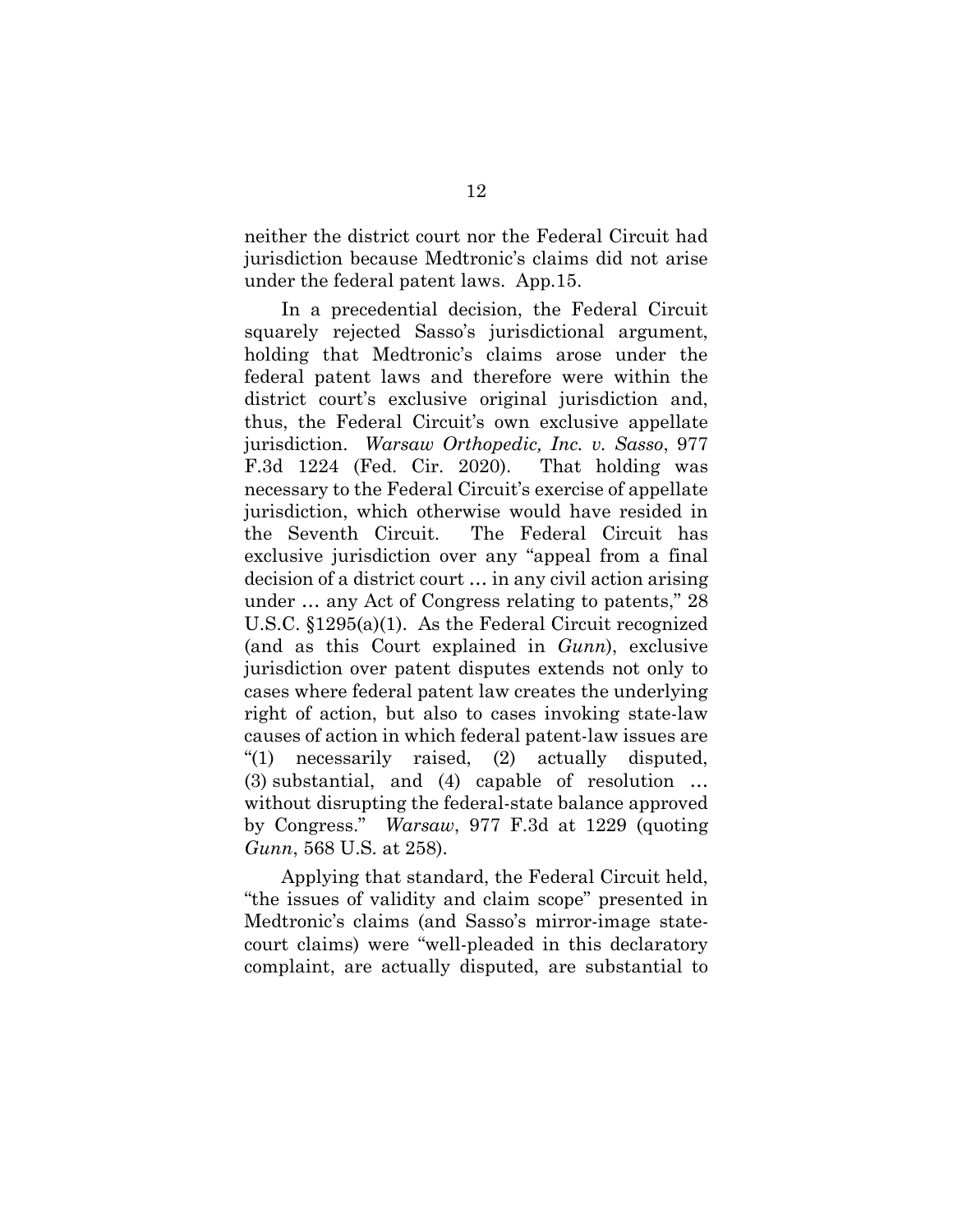neither the district court nor the Federal Circuit had jurisdiction because Medtronic's claims did not arise under the federal patent laws. App.15.

In a precedential decision, the Federal Circuit squarely rejected Sasso's jurisdictional argument, holding that Medtronic's claims arose under the federal patent laws and therefore were within the district court's exclusive original jurisdiction and, thus, the Federal Circuit's own exclusive appellate jurisdiction. *Warsaw Orthopedic, Inc. v. Sasso*, 977 F.3d 1224 (Fed. Cir. 2020). That holding was necessary to the Federal Circuit's exercise of appellate jurisdiction, which otherwise would have resided in the Seventh Circuit. The Federal Circuit has exclusive jurisdiction over any "appeal from a final decision of a district court … in any civil action arising under … any Act of Congress relating to patents," 28 U.S.C. §1295(a)(1). As the Federal Circuit recognized (and as this Court explained in *Gunn*), exclusive jurisdiction over patent disputes extends not only to cases where federal patent law creates the underlying right of action, but also to cases invoking state-law causes of action in which federal patent-law issues are "(1) necessarily raised, (2) actually disputed, (3) substantial, and (4) capable of resolution … without disrupting the federal-state balance approved by Congress." *Warsaw*, 977 F.3d at 1229 (quoting *Gunn*, 568 U.S. at 258).

Applying that standard, the Federal Circuit held, "the issues of validity and claim scope" presented in Medtronic's claims (and Sasso's mirror-image statecourt claims) were "well-pleaded in this declaratory complaint, are actually disputed, are substantial to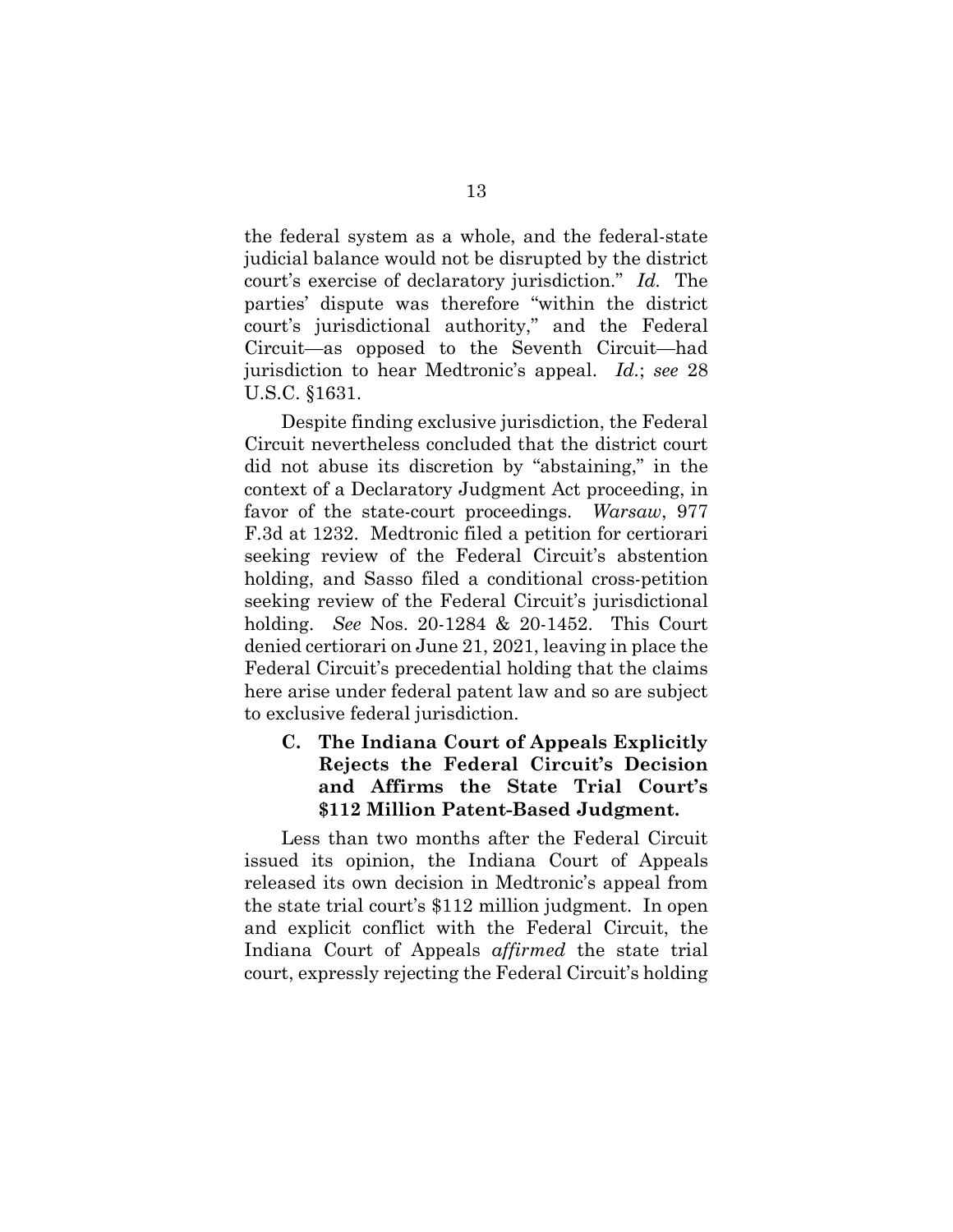the federal system as a whole, and the federal-state judicial balance would not be disrupted by the district court's exercise of declaratory jurisdiction." *Id.* The parties' dispute was therefore "within the district court's jurisdictional authority," and the Federal Circuit—as opposed to the Seventh Circuit—had jurisdiction to hear Medtronic's appeal. *Id.*; *see* 28 U.S.C. §1631.

Despite finding exclusive jurisdiction, the Federal Circuit nevertheless concluded that the district court did not abuse its discretion by "abstaining," in the context of a Declaratory Judgment Act proceeding, in favor of the state-court proceedings. *Warsaw*, 977 F.3d at 1232. Medtronic filed a petition for certiorari seeking review of the Federal Circuit's abstention holding, and Sasso filed a conditional cross-petition seeking review of the Federal Circuit's jurisdictional holding. *See* Nos. 20-1284 & 20-1452. This Court denied certiorari on June 21, 2021, leaving in place the Federal Circuit's precedential holding that the claims here arise under federal patent law and so are subject to exclusive federal jurisdiction.

**C. The Indiana Court of Appeals Explicitly Rejects the Federal Circuit's Decision and Affirms the State Trial Court's \$112 Million Patent-Based Judgment.** 

Less than two months after the Federal Circuit issued its opinion, the Indiana Court of Appeals released its own decision in Medtronic's appeal from the state trial court's \$112 million judgment. In open and explicit conflict with the Federal Circuit, the Indiana Court of Appeals *affirmed* the state trial court, expressly rejecting the Federal Circuit's holding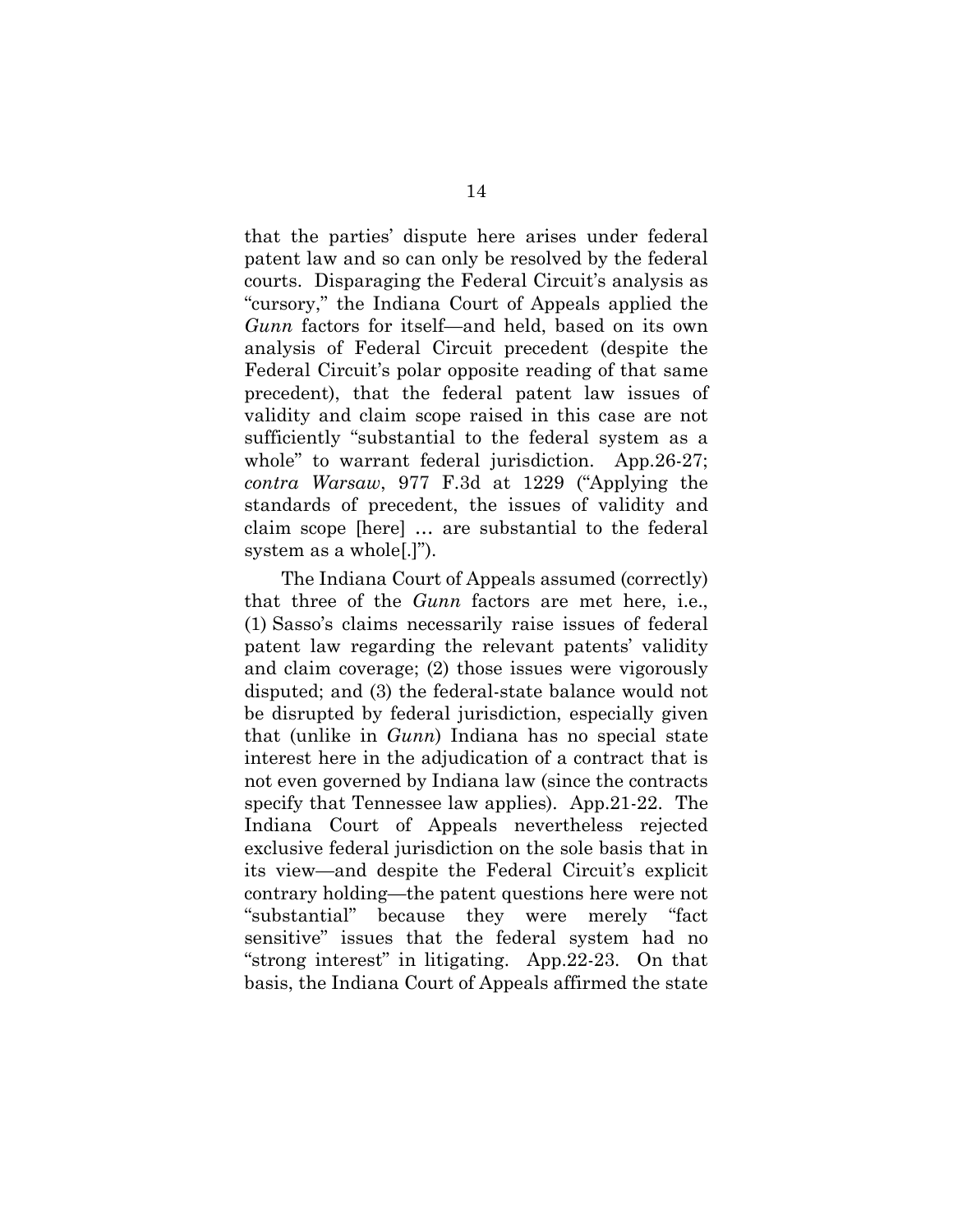that the parties' dispute here arises under federal patent law and so can only be resolved by the federal courts. Disparaging the Federal Circuit's analysis as "cursory," the Indiana Court of Appeals applied the *Gunn* factors for itself—and held, based on its own analysis of Federal Circuit precedent (despite the Federal Circuit's polar opposite reading of that same precedent), that the federal patent law issues of validity and claim scope raised in this case are not sufficiently "substantial to the federal system as a whole" to warrant federal jurisdiction. App.26-27; *contra Warsaw*, 977 F.3d at 1229 ("Applying the standards of precedent, the issues of validity and claim scope [here] … are substantial to the federal system as a whole[.]").

The Indiana Court of Appeals assumed (correctly) that three of the *Gunn* factors are met here, i.e., (1) Sasso's claims necessarily raise issues of federal patent law regarding the relevant patents' validity and claim coverage; (2) those issues were vigorously disputed; and (3) the federal-state balance would not be disrupted by federal jurisdiction, especially given that (unlike in *Gunn*) Indiana has no special state interest here in the adjudication of a contract that is not even governed by Indiana law (since the contracts specify that Tennessee law applies). App.21-22. The Indiana Court of Appeals nevertheless rejected exclusive federal jurisdiction on the sole basis that in its view—and despite the Federal Circuit's explicit contrary holding—the patent questions here were not "substantial" because they were merely "fact sensitive" issues that the federal system had no "strong interest" in litigating. App.22-23. On that basis, the Indiana Court of Appeals affirmed the state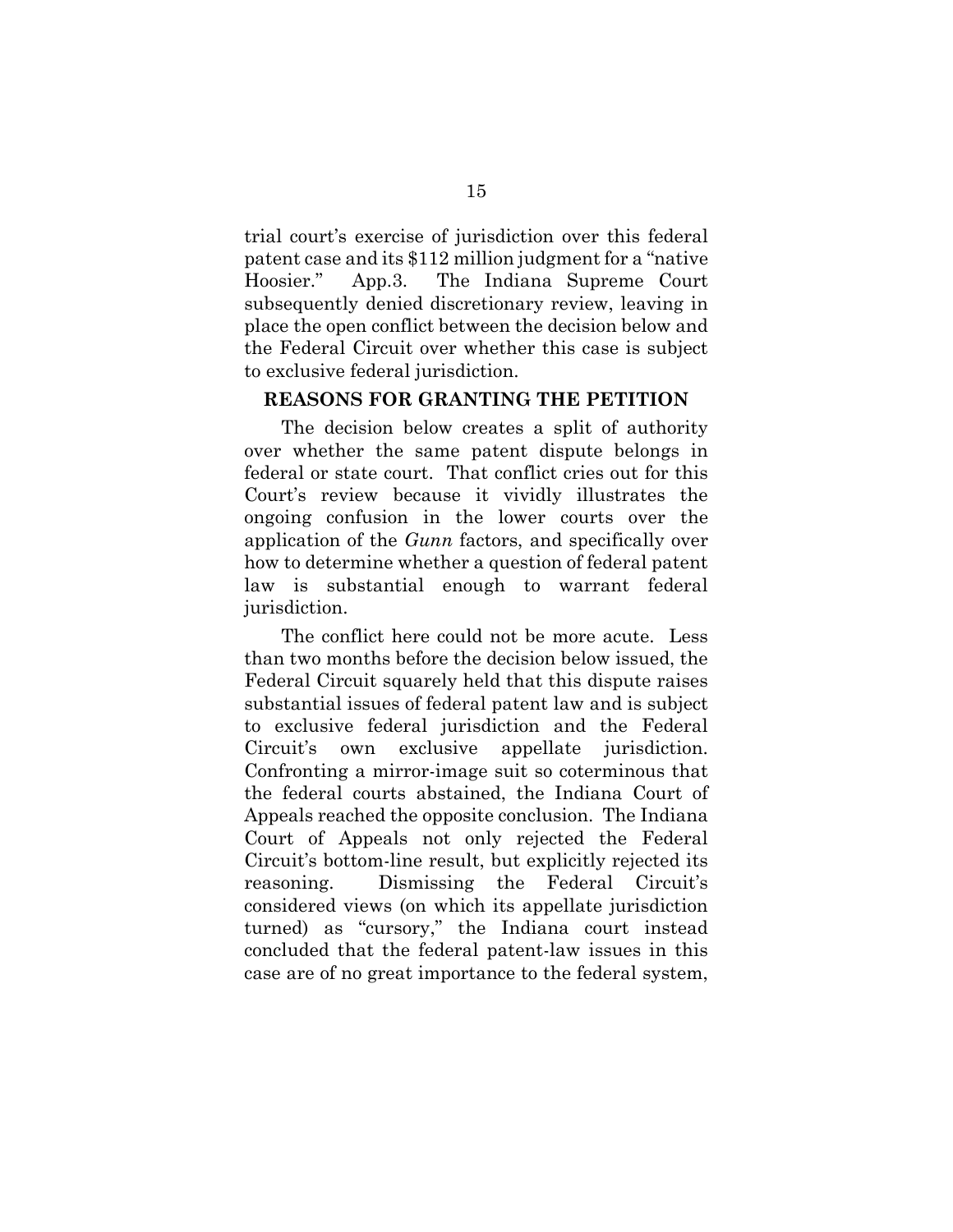trial court's exercise of jurisdiction over this federal patent case and its \$112 million judgment for a "native Hoosier." App.3. The Indiana Supreme Court subsequently denied discretionary review, leaving in place the open conflict between the decision below and the Federal Circuit over whether this case is subject to exclusive federal jurisdiction.

#### **REASONS FOR GRANTING THE PETITION**

The decision below creates a split of authority over whether the same patent dispute belongs in federal or state court. That conflict cries out for this Court's review because it vividly illustrates the ongoing confusion in the lower courts over the application of the *Gunn* factors, and specifically over how to determine whether a question of federal patent law is substantial enough to warrant federal jurisdiction.

The conflict here could not be more acute. Less than two months before the decision below issued, the Federal Circuit squarely held that this dispute raises substantial issues of federal patent law and is subject to exclusive federal jurisdiction and the Federal Circuit's own exclusive appellate jurisdiction. Confronting a mirror-image suit so coterminous that the federal courts abstained, the Indiana Court of Appeals reached the opposite conclusion. The Indiana Court of Appeals not only rejected the Federal Circuit's bottom-line result, but explicitly rejected its reasoning. Dismissing the Federal Circuit's considered views (on which its appellate jurisdiction turned) as "cursory," the Indiana court instead concluded that the federal patent-law issues in this case are of no great importance to the federal system,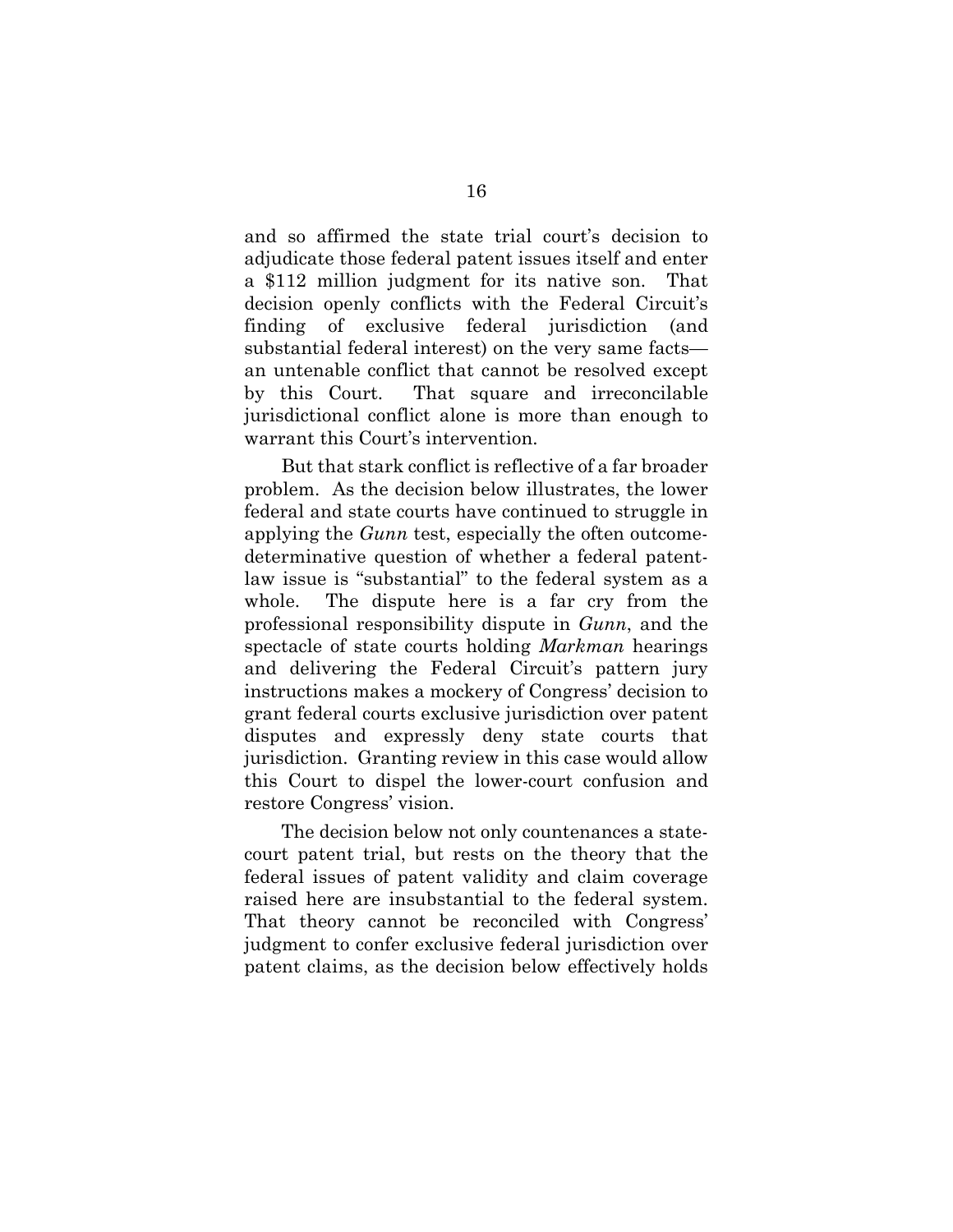and so affirmed the state trial court's decision to adjudicate those federal patent issues itself and enter a \$112 million judgment for its native son. That decision openly conflicts with the Federal Circuit's finding of exclusive federal jurisdiction (and substantial federal interest) on the very same facts an untenable conflict that cannot be resolved except by this Court. That square and irreconcilable jurisdictional conflict alone is more than enough to warrant this Court's intervention.

But that stark conflict is reflective of a far broader problem. As the decision below illustrates, the lower federal and state courts have continued to struggle in applying the *Gunn* test, especially the often outcomedeterminative question of whether a federal patentlaw issue is "substantial" to the federal system as a whole. The dispute here is a far cry from the professional responsibility dispute in *Gunn*, and the spectacle of state courts holding *Markman* hearings and delivering the Federal Circuit's pattern jury instructions makes a mockery of Congress' decision to grant federal courts exclusive jurisdiction over patent disputes and expressly deny state courts that jurisdiction. Granting review in this case would allow this Court to dispel the lower-court confusion and restore Congress' vision.

The decision below not only countenances a statecourt patent trial, but rests on the theory that the federal issues of patent validity and claim coverage raised here are insubstantial to the federal system. That theory cannot be reconciled with Congress' judgment to confer exclusive federal jurisdiction over patent claims, as the decision below effectively holds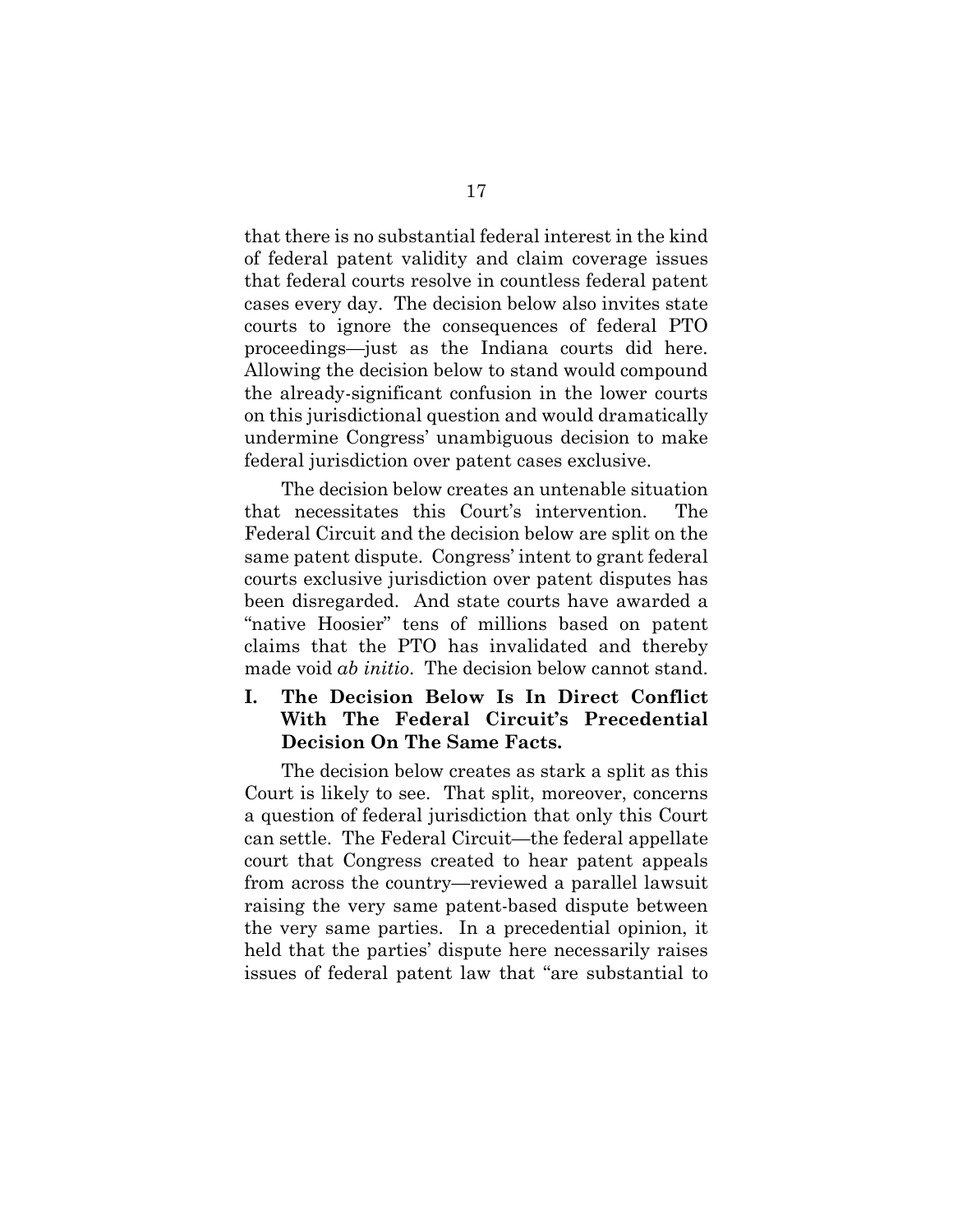that there is no substantial federal interest in the kind of federal patent validity and claim coverage issues that federal courts resolve in countless federal patent cases every day. The decision below also invites state courts to ignore the consequences of federal PTO proceedings—just as the Indiana courts did here. Allowing the decision below to stand would compound the already-significant confusion in the lower courts on this jurisdictional question and would dramatically undermine Congress' unambiguous decision to make federal jurisdiction over patent cases exclusive.

The decision below creates an untenable situation that necessitates this Court's intervention. The Federal Circuit and the decision below are split on the same patent dispute. Congress' intent to grant federal courts exclusive jurisdiction over patent disputes has been disregarded. And state courts have awarded a "native Hoosier" tens of millions based on patent claims that the PTO has invalidated and thereby made void *ab initio*. The decision below cannot stand.

# **I. The Decision Below Is In Direct Conflict With The Federal Circuit's Precedential Decision On The Same Facts.**

The decision below creates as stark a split as this Court is likely to see. That split, moreover, concerns a question of federal jurisdiction that only this Court can settle. The Federal Circuit—the federal appellate court that Congress created to hear patent appeals from across the country—reviewed a parallel lawsuit raising the very same patent-based dispute between the very same parties. In a precedential opinion, it held that the parties' dispute here necessarily raises issues of federal patent law that "are substantial to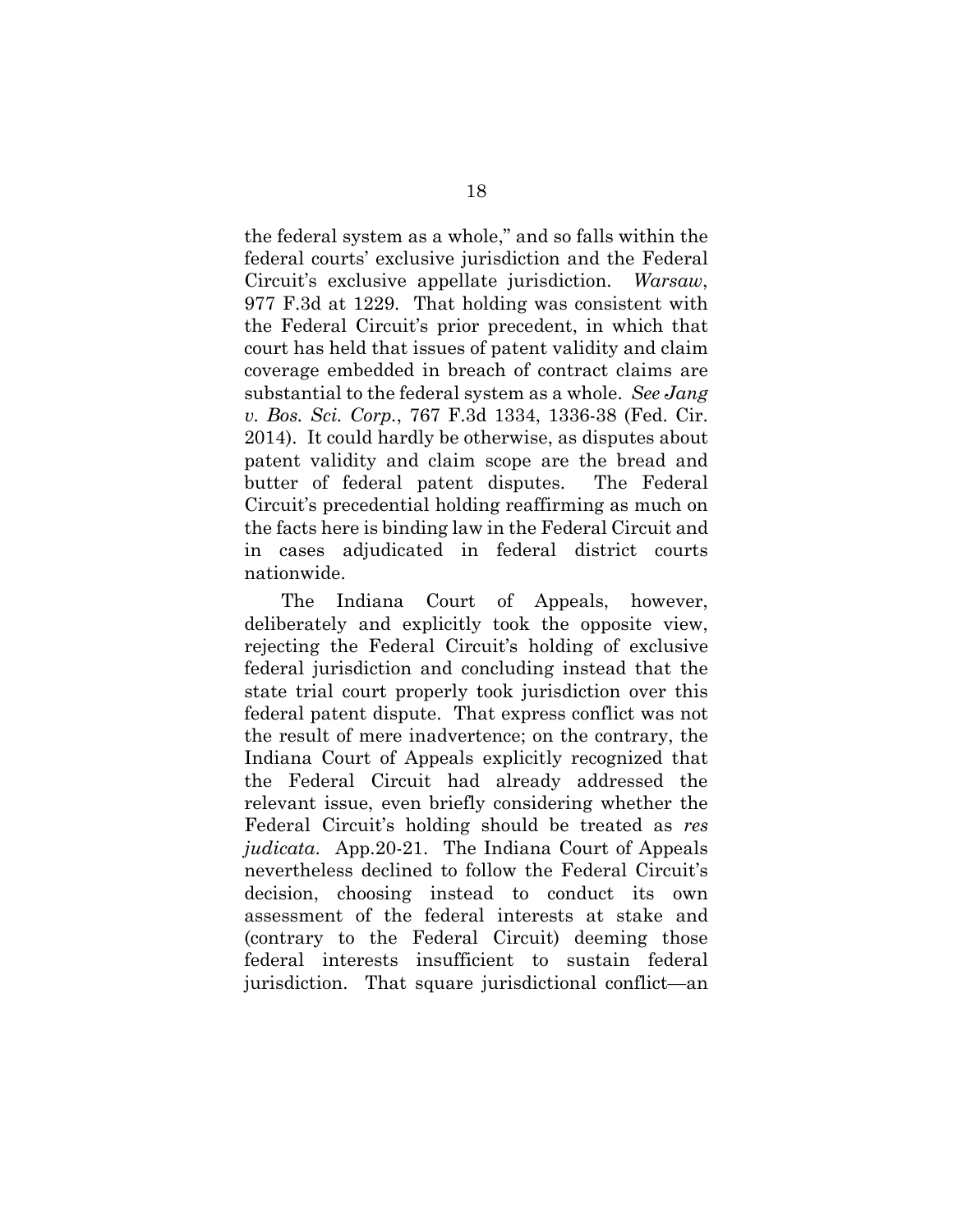the federal system as a whole," and so falls within the federal courts' exclusive jurisdiction and the Federal Circuit's exclusive appellate jurisdiction. *Warsaw*, 977 F.3d at 1229. That holding was consistent with the Federal Circuit's prior precedent, in which that court has held that issues of patent validity and claim coverage embedded in breach of contract claims are substantial to the federal system as a whole. *See Jang v. Bos. Sci. Corp.*, 767 F.3d 1334, 1336-38 (Fed. Cir. 2014). It could hardly be otherwise, as disputes about patent validity and claim scope are the bread and butter of federal patent disputes. The Federal Circuit's precedential holding reaffirming as much on the facts here is binding law in the Federal Circuit and in cases adjudicated in federal district courts nationwide.

The Indiana Court of Appeals, however, deliberately and explicitly took the opposite view, rejecting the Federal Circuit's holding of exclusive federal jurisdiction and concluding instead that the state trial court properly took jurisdiction over this federal patent dispute. That express conflict was not the result of mere inadvertence; on the contrary, the Indiana Court of Appeals explicitly recognized that the Federal Circuit had already addressed the relevant issue, even briefly considering whether the Federal Circuit's holding should be treated as *res judicata*. App.20-21. The Indiana Court of Appeals nevertheless declined to follow the Federal Circuit's decision, choosing instead to conduct its own assessment of the federal interests at stake and (contrary to the Federal Circuit) deeming those federal interests insufficient to sustain federal jurisdiction. That square jurisdictional conflict—an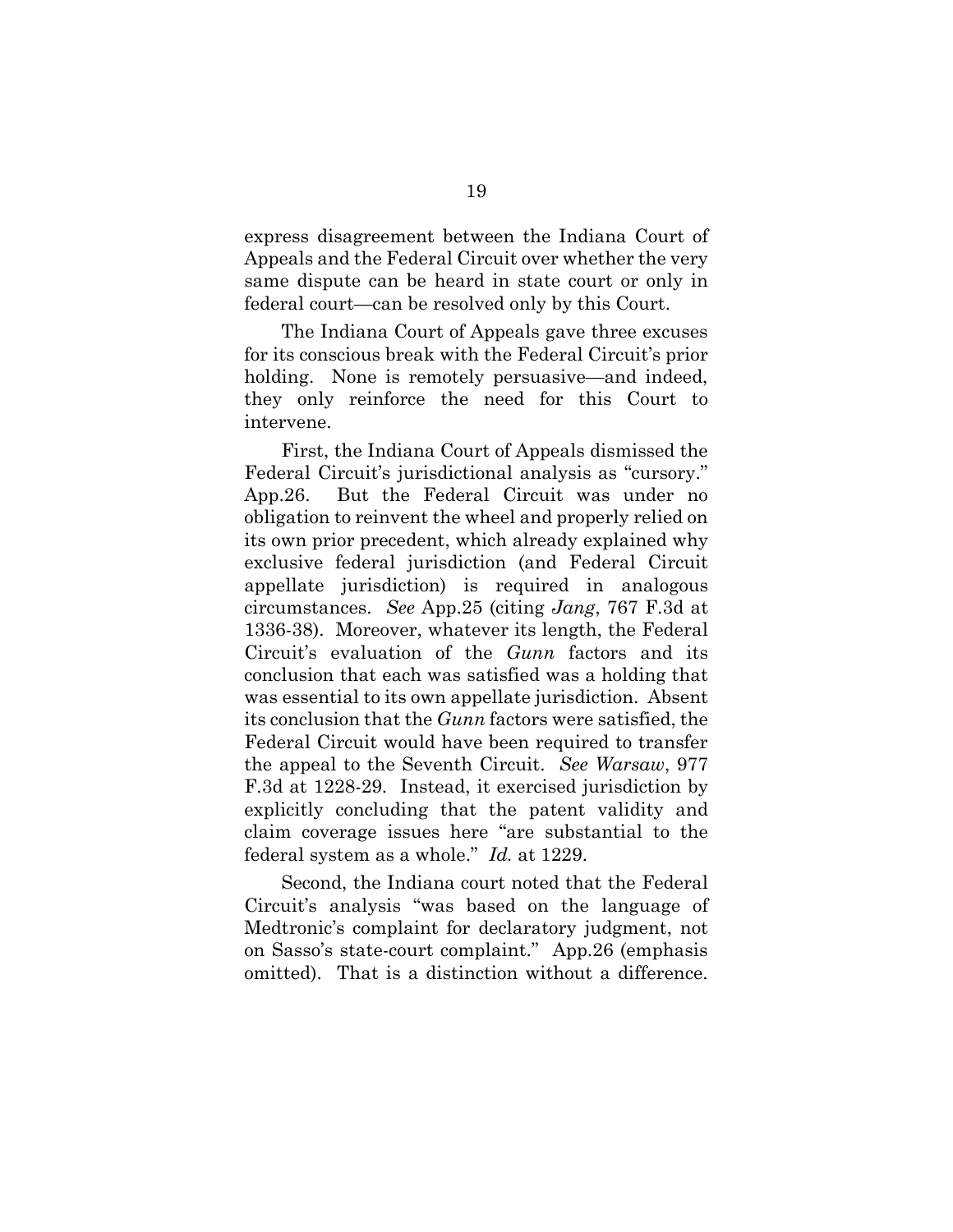express disagreement between the Indiana Court of Appeals and the Federal Circuit over whether the very same dispute can be heard in state court or only in federal court—can be resolved only by this Court.

The Indiana Court of Appeals gave three excuses for its conscious break with the Federal Circuit's prior holding. None is remotely persuasive—and indeed, they only reinforce the need for this Court to intervene.

First, the Indiana Court of Appeals dismissed the Federal Circuit's jurisdictional analysis as "cursory." App.26. But the Federal Circuit was under no obligation to reinvent the wheel and properly relied on its own prior precedent, which already explained why exclusive federal jurisdiction (and Federal Circuit appellate jurisdiction) is required in analogous circumstances. *See* App.25 (citing *Jang*, 767 F.3d at 1336-38). Moreover, whatever its length, the Federal Circuit's evaluation of the *Gunn* factors and its conclusion that each was satisfied was a holding that was essential to its own appellate jurisdiction. Absent its conclusion that the *Gunn* factors were satisfied, the Federal Circuit would have been required to transfer the appeal to the Seventh Circuit. *See Warsaw*, 977 F.3d at 1228-29. Instead, it exercised jurisdiction by explicitly concluding that the patent validity and claim coverage issues here "are substantial to the federal system as a whole." *Id.* at 1229.

Second, the Indiana court noted that the Federal Circuit's analysis "was based on the language of Medtronic's complaint for declaratory judgment, not on Sasso's state-court complaint." App.26 (emphasis omitted). That is a distinction without a difference.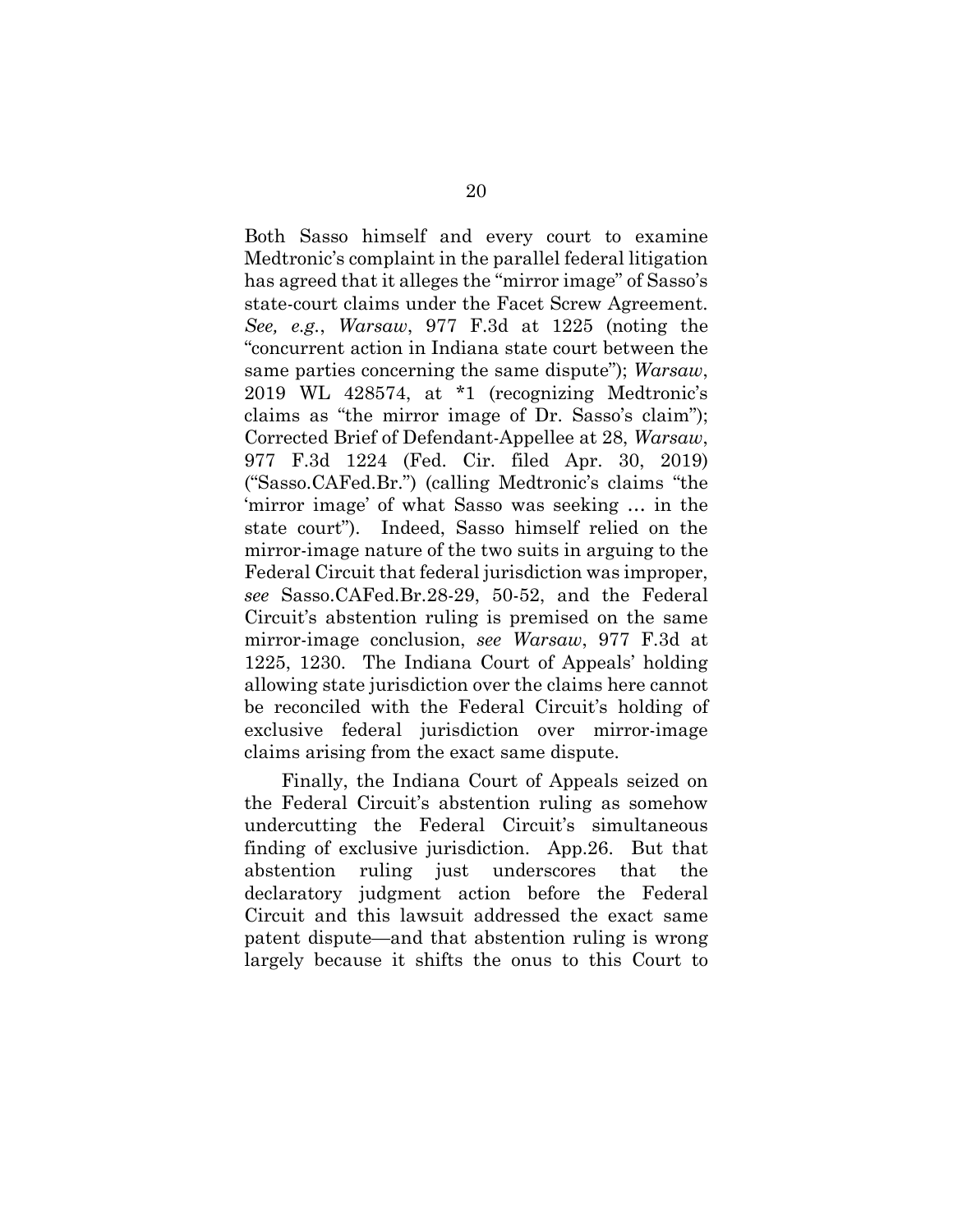Both Sasso himself and every court to examine Medtronic's complaint in the parallel federal litigation has agreed that it alleges the "mirror image" of Sasso's state-court claims under the Facet Screw Agreement. *See, e.g.*, *Warsaw*, 977 F.3d at 1225 (noting the "concurrent action in Indiana state court between the same parties concerning the same dispute"); *Warsaw*, 2019 WL 428574, at \*1 (recognizing Medtronic's claims as "the mirror image of Dr. Sasso's claim"); Corrected Brief of Defendant-Appellee at 28, *Warsaw*, 977 F.3d 1224 (Fed. Cir. filed Apr. 30, 2019) ("Sasso.CAFed.Br.") (calling Medtronic's claims "the 'mirror image' of what Sasso was seeking … in the state court"). Indeed, Sasso himself relied on the mirror-image nature of the two suits in arguing to the Federal Circuit that federal jurisdiction was improper, *see* Sasso.CAFed.Br.28-29, 50-52, and the Federal Circuit's abstention ruling is premised on the same mirror-image conclusion, *see Warsaw*, 977 F.3d at 1225, 1230. The Indiana Court of Appeals' holding allowing state jurisdiction over the claims here cannot be reconciled with the Federal Circuit's holding of exclusive federal jurisdiction over mirror-image claims arising from the exact same dispute.

Finally, the Indiana Court of Appeals seized on the Federal Circuit's abstention ruling as somehow undercutting the Federal Circuit's simultaneous finding of exclusive jurisdiction. App.26. But that abstention ruling just underscores that the declaratory judgment action before the Federal Circuit and this lawsuit addressed the exact same patent dispute—and that abstention ruling is wrong largely because it shifts the onus to this Court to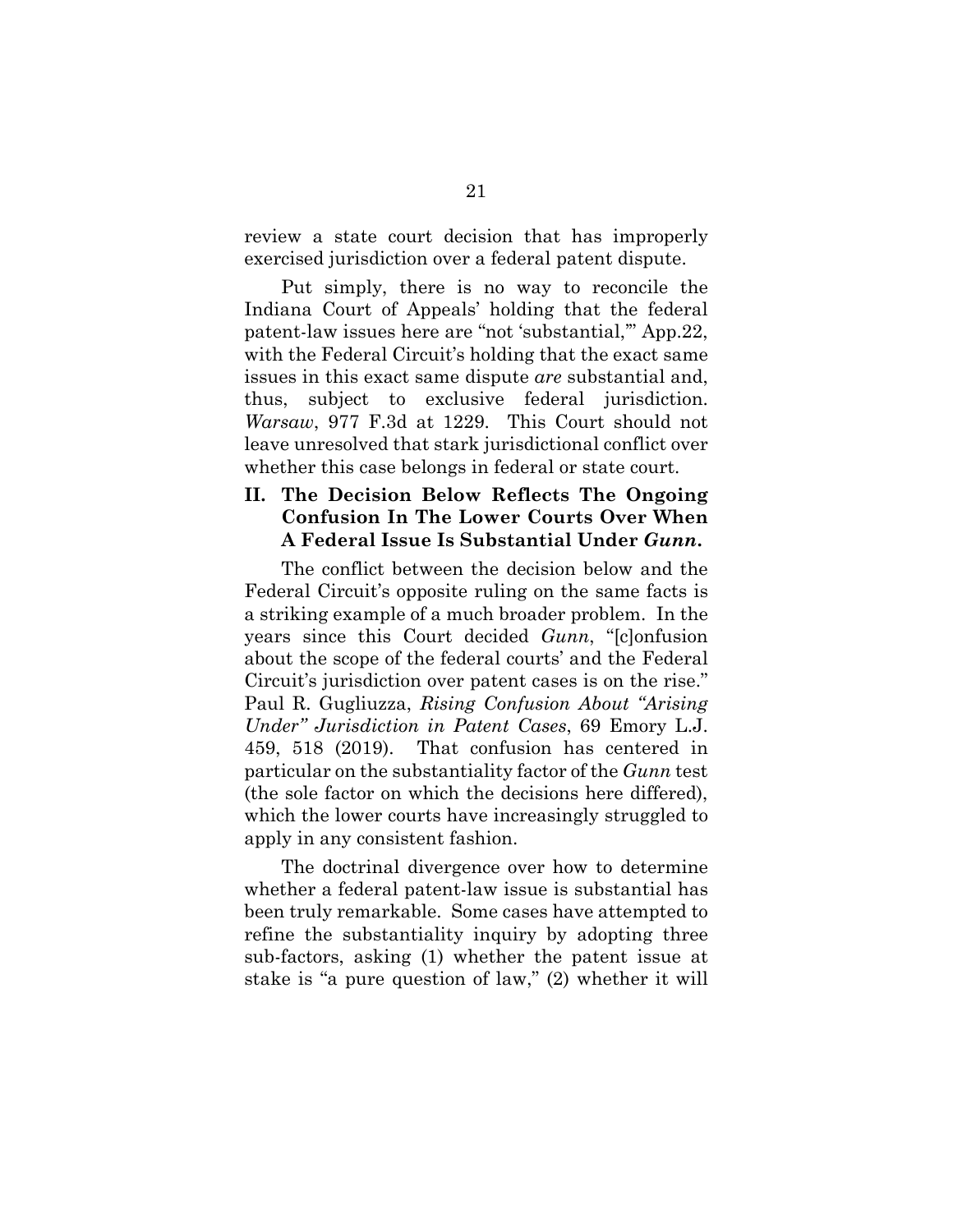review a state court decision that has improperly exercised jurisdiction over a federal patent dispute.

Put simply, there is no way to reconcile the Indiana Court of Appeals' holding that the federal patent-law issues here are "not 'substantial,'" App.22, with the Federal Circuit's holding that the exact same issues in this exact same dispute *are* substantial and, thus, subject to exclusive federal jurisdiction. *Warsaw*, 977 F.3d at 1229. This Court should not leave unresolved that stark jurisdictional conflict over whether this case belongs in federal or state court.

## **II. The Decision Below Reflects The Ongoing Confusion In The Lower Courts Over When A Federal Issue Is Substantial Under** *Gunn***.**

The conflict between the decision below and the Federal Circuit's opposite ruling on the same facts is a striking example of a much broader problem. In the years since this Court decided *Gunn*, "[c]onfusion about the scope of the federal courts' and the Federal Circuit's jurisdiction over patent cases is on the rise." Paul R. Gugliuzza, *Rising Confusion About "Arising Under" Jurisdiction in Patent Cases*, 69 Emory L.J. 459, 518 (2019). That confusion has centered in particular on the substantiality factor of the *Gunn* test (the sole factor on which the decisions here differed), which the lower courts have increasingly struggled to apply in any consistent fashion.

The doctrinal divergence over how to determine whether a federal patent-law issue is substantial has been truly remarkable. Some cases have attempted to refine the substantiality inquiry by adopting three sub-factors, asking (1) whether the patent issue at stake is "a pure question of law," (2) whether it will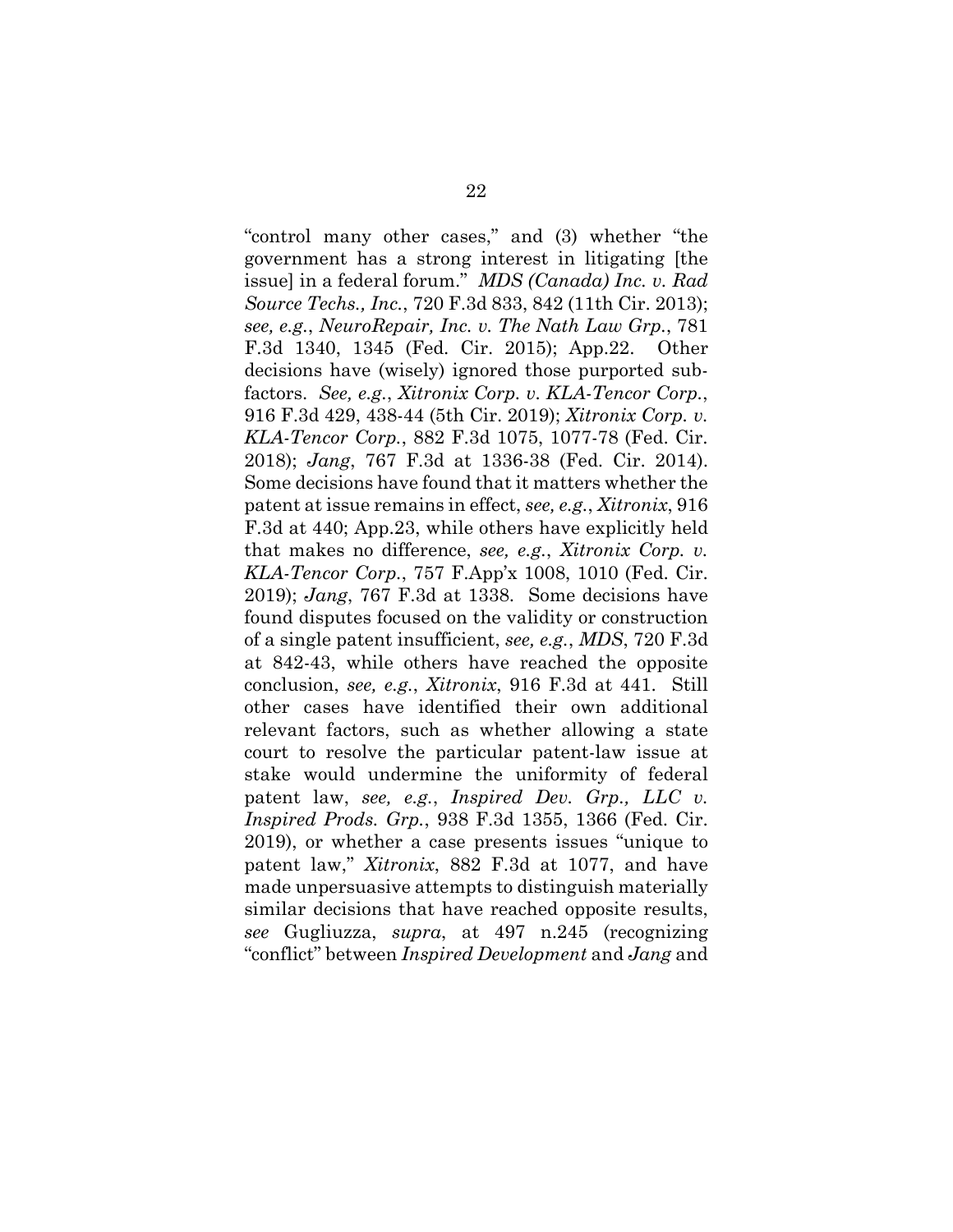"control many other cases," and (3) whether "the government has a strong interest in litigating [the issue] in a federal forum." *MDS (Canada) Inc. v. Rad Source Techs., Inc.*, 720 F.3d 833, 842 (11th Cir. 2013); *see, e.g.*, *NeuroRepair, Inc. v. The Nath Law Grp.*, 781 F.3d 1340, 1345 (Fed. Cir. 2015); App.22. Other decisions have (wisely) ignored those purported subfactors. *See, e.g.*, *Xitronix Corp. v. KLA-Tencor Corp.*, 916 F.3d 429, 438-44 (5th Cir. 2019); *Xitronix Corp. v. KLA-Tencor Corp.*, 882 F.3d 1075, 1077-78 (Fed. Cir. 2018); *Jang*, 767 F.3d at 1336-38 (Fed. Cir. 2014). Some decisions have found that it matters whether the patent at issue remains in effect, *see, e.g.*, *Xitronix*, 916 F.3d at 440; App.23, while others have explicitly held that makes no difference, *see, e.g.*, *Xitronix Corp. v. KLA-Tencor Corp.*, 757 F.App'x 1008, 1010 (Fed. Cir. 2019); *Jang*, 767 F.3d at 1338. Some decisions have found disputes focused on the validity or construction of a single patent insufficient, *see, e.g.*, *MDS*, 720 F.3d at 842-43, while others have reached the opposite conclusion, *see, e.g.*, *Xitronix*, 916 F.3d at 441. Still other cases have identified their own additional relevant factors, such as whether allowing a state court to resolve the particular patent-law issue at stake would undermine the uniformity of federal patent law, *see, e.g.*, *Inspired Dev. Grp., LLC v. Inspired Prods. Grp.*, 938 F.3d 1355, 1366 (Fed. Cir. 2019), or whether a case presents issues "unique to patent law," *Xitronix*, 882 F.3d at 1077, and have made unpersuasive attempts to distinguish materially similar decisions that have reached opposite results, *see* Gugliuzza, *supra*, at 497 n.245 (recognizing "conflict" between *Inspired Development* and *Jang* and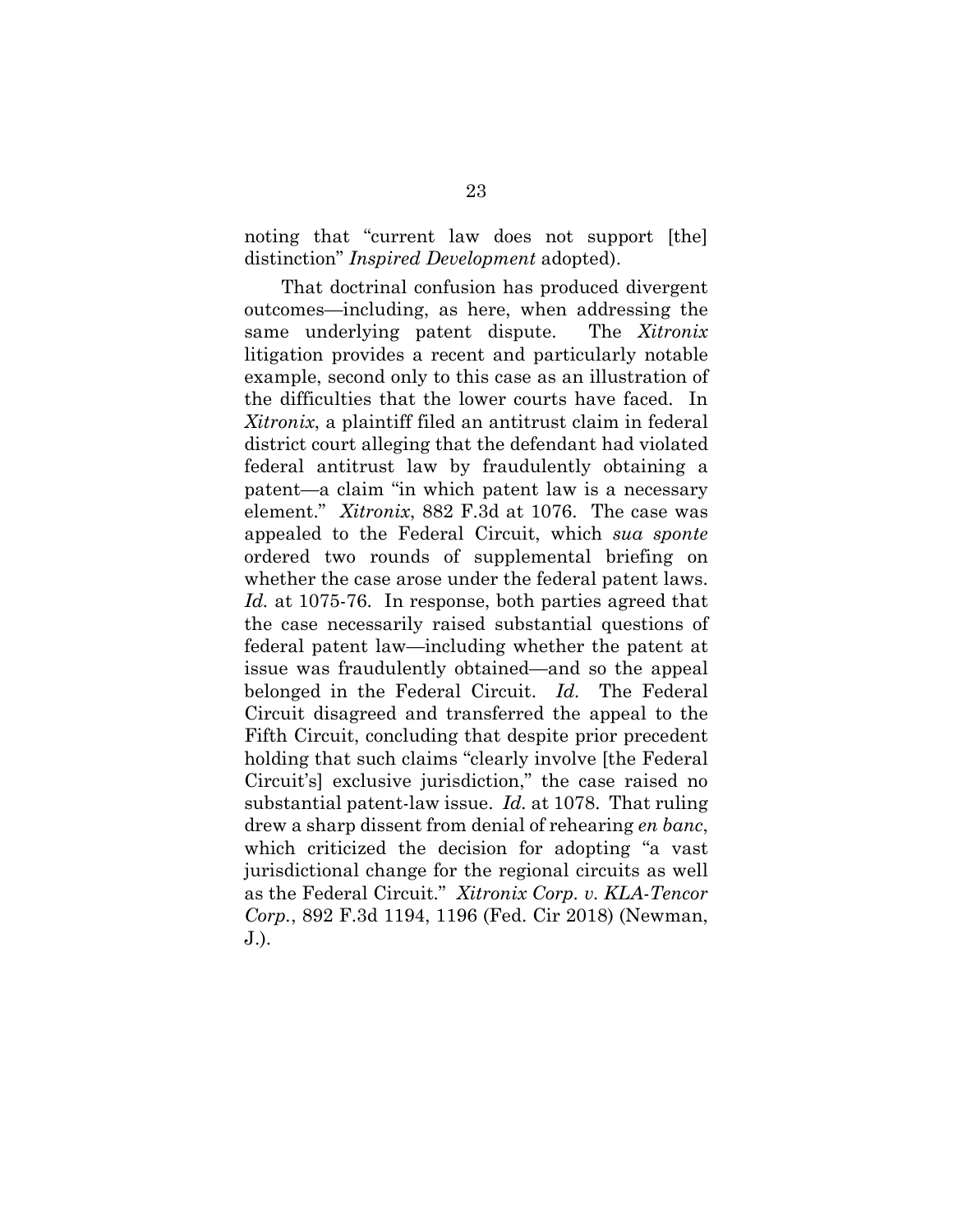noting that "current law does not support [the] distinction" *Inspired Development* adopted).

That doctrinal confusion has produced divergent outcomes—including, as here, when addressing the same underlying patent dispute. The *Xitronix* litigation provides a recent and particularly notable example, second only to this case as an illustration of the difficulties that the lower courts have faced. In *Xitronix*, a plaintiff filed an antitrust claim in federal district court alleging that the defendant had violated federal antitrust law by fraudulently obtaining a patent—a claim "in which patent law is a necessary element." *Xitronix*, 882 F.3d at 1076. The case was appealed to the Federal Circuit, which *sua sponte* ordered two rounds of supplemental briefing on whether the case arose under the federal patent laws. *Id.* at 1075-76. In response, both parties agreed that the case necessarily raised substantial questions of federal patent law—including whether the patent at issue was fraudulently obtained—and so the appeal belonged in the Federal Circuit. *Id.* The Federal Circuit disagreed and transferred the appeal to the Fifth Circuit, concluding that despite prior precedent holding that such claims "clearly involve [the Federal Circuit's] exclusive jurisdiction," the case raised no substantial patent-law issue. *Id.* at 1078. That ruling drew a sharp dissent from denial of rehearing *en banc*, which criticized the decision for adopting "a vast jurisdictional change for the regional circuits as well as the Federal Circuit." *Xitronix Corp. v. KLA-Tencor Corp.*, 892 F.3d 1194, 1196 (Fed. Cir 2018) (Newman, J.).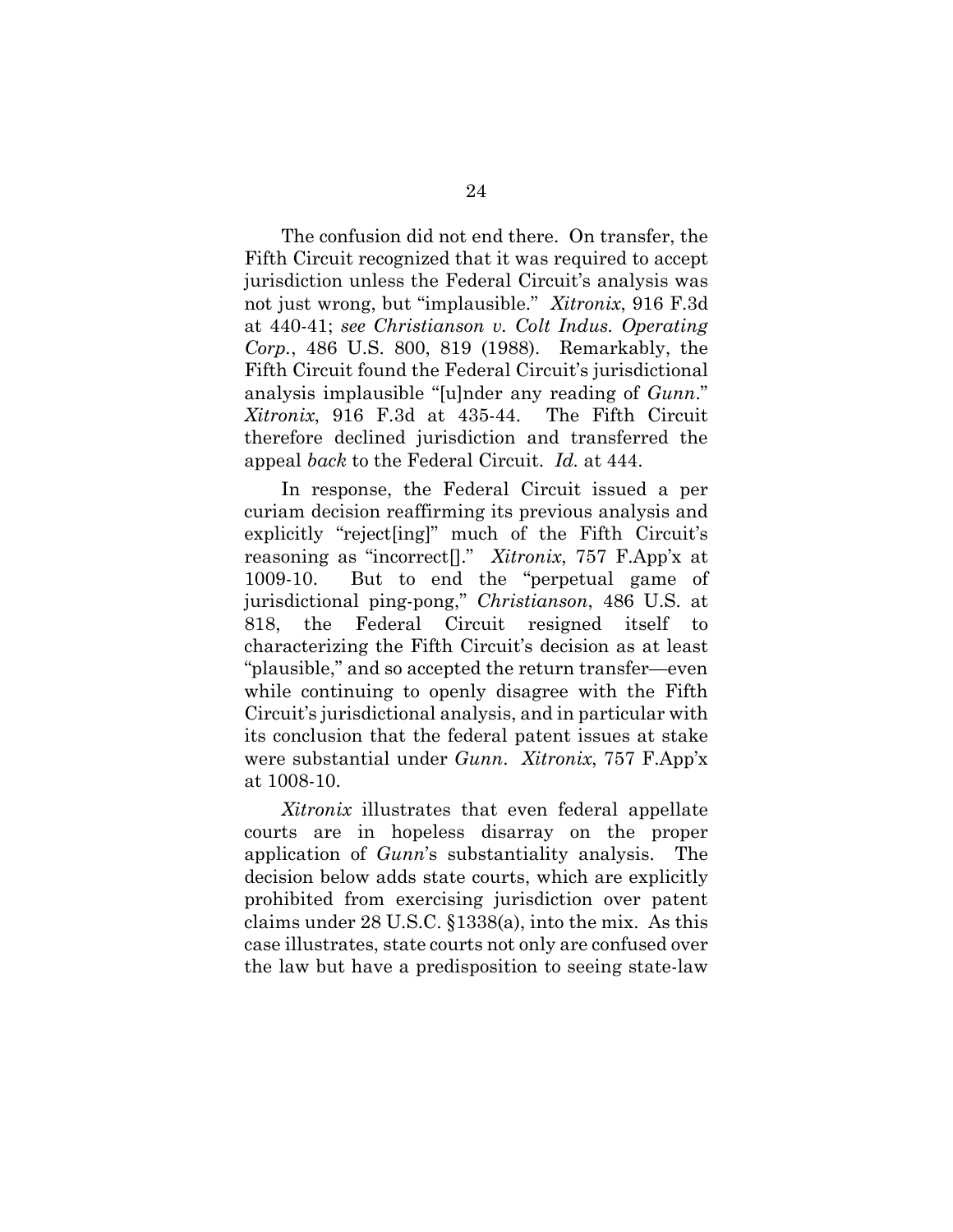The confusion did not end there. On transfer, the Fifth Circuit recognized that it was required to accept jurisdiction unless the Federal Circuit's analysis was not just wrong, but "implausible." *Xitronix*, 916 F.3d at 440-41; *see Christianson v. Colt Indus. Operating Corp.*, 486 U.S. 800, 819 (1988). Remarkably, the Fifth Circuit found the Federal Circuit's jurisdictional analysis implausible "[u]nder any reading of *Gunn*." *Xitronix*, 916 F.3d at 435-44. The Fifth Circuit therefore declined jurisdiction and transferred the appeal *back* to the Federal Circuit. *Id.* at 444.

In response, the Federal Circuit issued a per curiam decision reaffirming its previous analysis and explicitly "reject[ing]" much of the Fifth Circuit's reasoning as "incorrect[]." *Xitronix*, 757 F.App'x at 1009-10. But to end the "perpetual game of jurisdictional ping-pong," *Christianson*, 486 U.S. at 818, the Federal Circuit resigned itself to characterizing the Fifth Circuit's decision as at least "plausible," and so accepted the return transfer—even while continuing to openly disagree with the Fifth Circuit's jurisdictional analysis, and in particular with its conclusion that the federal patent issues at stake were substantial under *Gunn*. *Xitronix*, 757 F.App'x at 1008-10.

*Xitronix* illustrates that even federal appellate courts are in hopeless disarray on the proper application of *Gunn*'s substantiality analysis. The decision below adds state courts, which are explicitly prohibited from exercising jurisdiction over patent claims under 28 U.S.C. §1338(a), into the mix. As this case illustrates, state courts not only are confused over the law but have a predisposition to seeing state-law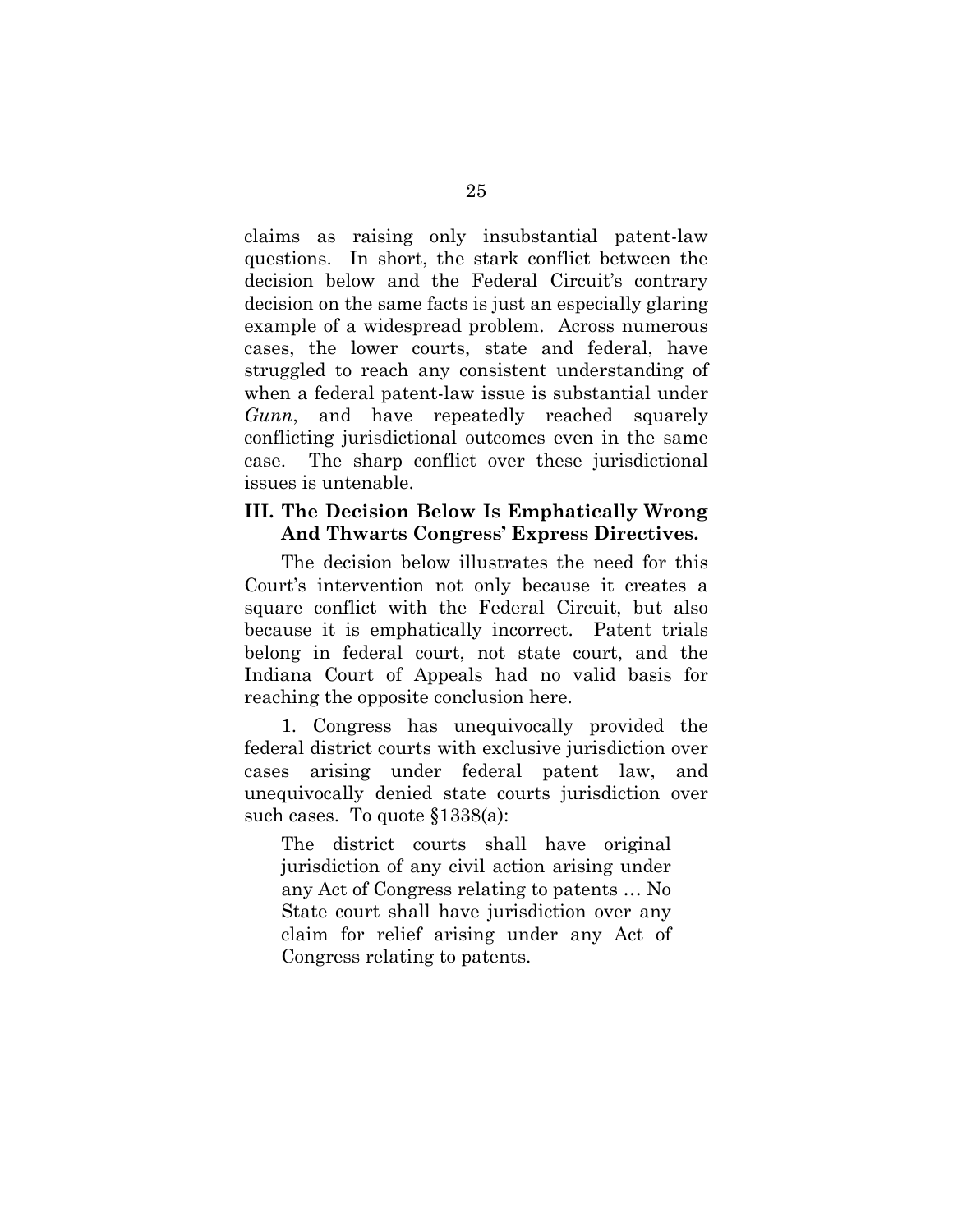claims as raising only insubstantial patent-law questions. In short, the stark conflict between the decision below and the Federal Circuit's contrary decision on the same facts is just an especially glaring example of a widespread problem. Across numerous cases, the lower courts, state and federal, have struggled to reach any consistent understanding of when a federal patent-law issue is substantial under *Gunn*, and have repeatedly reached squarely conflicting jurisdictional outcomes even in the same case. The sharp conflict over these jurisdictional issues is untenable.

## **III. The Decision Below Is Emphatically Wrong And Thwarts Congress' Express Directives.**

The decision below illustrates the need for this Court's intervention not only because it creates a square conflict with the Federal Circuit, but also because it is emphatically incorrect. Patent trials belong in federal court, not state court, and the Indiana Court of Appeals had no valid basis for reaching the opposite conclusion here.

1. Congress has unequivocally provided the federal district courts with exclusive jurisdiction over cases arising under federal patent law, and unequivocally denied state courts jurisdiction over such cases. To quote §1338(a):

The district courts shall have original jurisdiction of any civil action arising under any Act of Congress relating to patents … No State court shall have jurisdiction over any claim for relief arising under any Act of Congress relating to patents.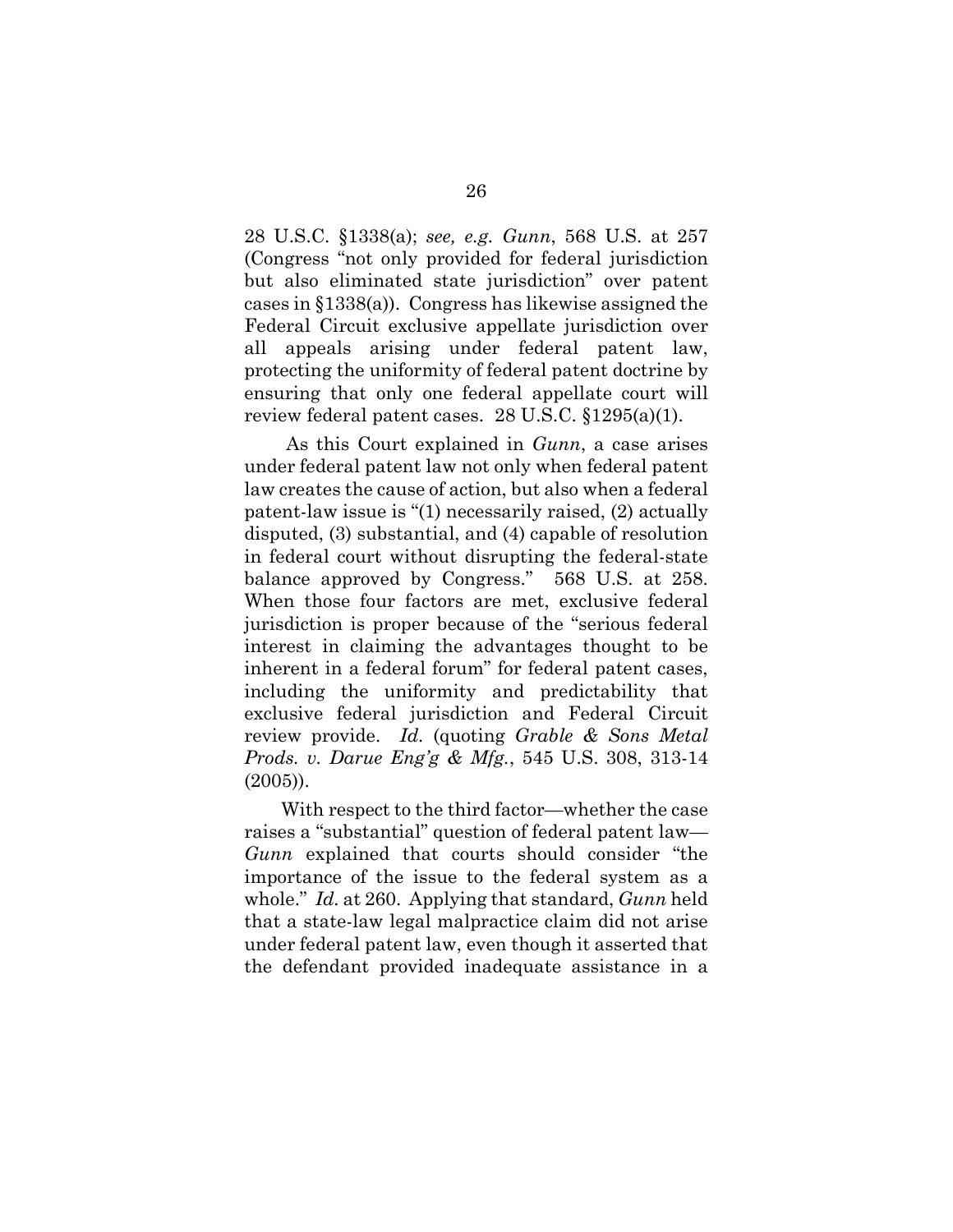28 U.S.C. §1338(a); *see, e.g. Gunn*, 568 U.S. at 257 (Congress "not only provided for federal jurisdiction but also eliminated state jurisdiction" over patent cases in §1338(a)). Congress has likewise assigned the Federal Circuit exclusive appellate jurisdiction over all appeals arising under federal patent law, protecting the uniformity of federal patent doctrine by ensuring that only one federal appellate court will review federal patent cases. 28 U.S.C. §1295(a)(1).

As this Court explained in *Gunn*, a case arises under federal patent law not only when federal patent law creates the cause of action, but also when a federal patent-law issue is "(1) necessarily raised, (2) actually disputed, (3) substantial, and (4) capable of resolution in federal court without disrupting the federal-state balance approved by Congress." 568 U.S. at 258. When those four factors are met, exclusive federal jurisdiction is proper because of the "serious federal interest in claiming the advantages thought to be inherent in a federal forum" for federal patent cases, including the uniformity and predictability that exclusive federal jurisdiction and Federal Circuit review provide. *Id.* (quoting *Grable & Sons Metal Prods. v. Darue Eng'g & Mfg.*, 545 U.S. 308, 313-14 (2005)).

With respect to the third factor—whether the case raises a "substantial" question of federal patent law— *Gunn* explained that courts should consider "the importance of the issue to the federal system as a whole." *Id.* at 260. Applying that standard, *Gunn* held that a state-law legal malpractice claim did not arise under federal patent law, even though it asserted that the defendant provided inadequate assistance in a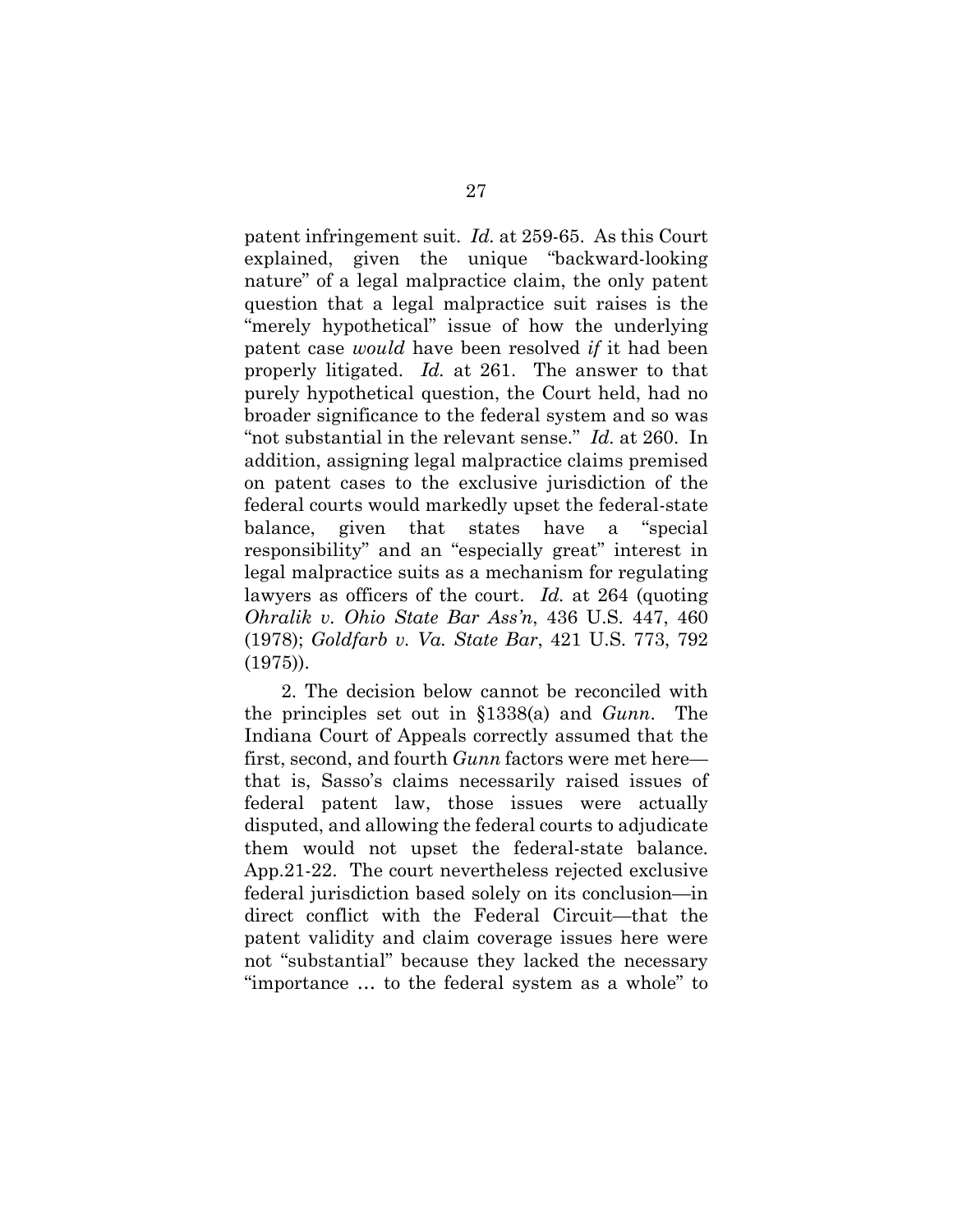patent infringement suit. *Id.* at 259-65. As this Court explained, given the unique "backward-looking nature" of a legal malpractice claim, the only patent question that a legal malpractice suit raises is the "merely hypothetical" issue of how the underlying patent case *would* have been resolved *if* it had been properly litigated. *Id.* at 261. The answer to that purely hypothetical question, the Court held, had no broader significance to the federal system and so was "not substantial in the relevant sense." *Id.* at 260. In addition, assigning legal malpractice claims premised on patent cases to the exclusive jurisdiction of the federal courts would markedly upset the federal-state balance, given that states have a "special responsibility" and an "especially great" interest in legal malpractice suits as a mechanism for regulating lawyers as officers of the court. *Id.* at 264 (quoting *Ohralik v. Ohio State Bar Ass'n*, 436 U.S. 447, 460 (1978); *Goldfarb v. Va. State Bar*, 421 U.S. 773, 792 (1975)).

2. The decision below cannot be reconciled with the principles set out in §1338(a) and *Gunn*. The Indiana Court of Appeals correctly assumed that the first, second, and fourth *Gunn* factors were met here that is, Sasso's claims necessarily raised issues of federal patent law, those issues were actually disputed, and allowing the federal courts to adjudicate them would not upset the federal-state balance. App.21-22. The court nevertheless rejected exclusive federal jurisdiction based solely on its conclusion—in direct conflict with the Federal Circuit—that the patent validity and claim coverage issues here were not "substantial" because they lacked the necessary "importance … to the federal system as a whole" to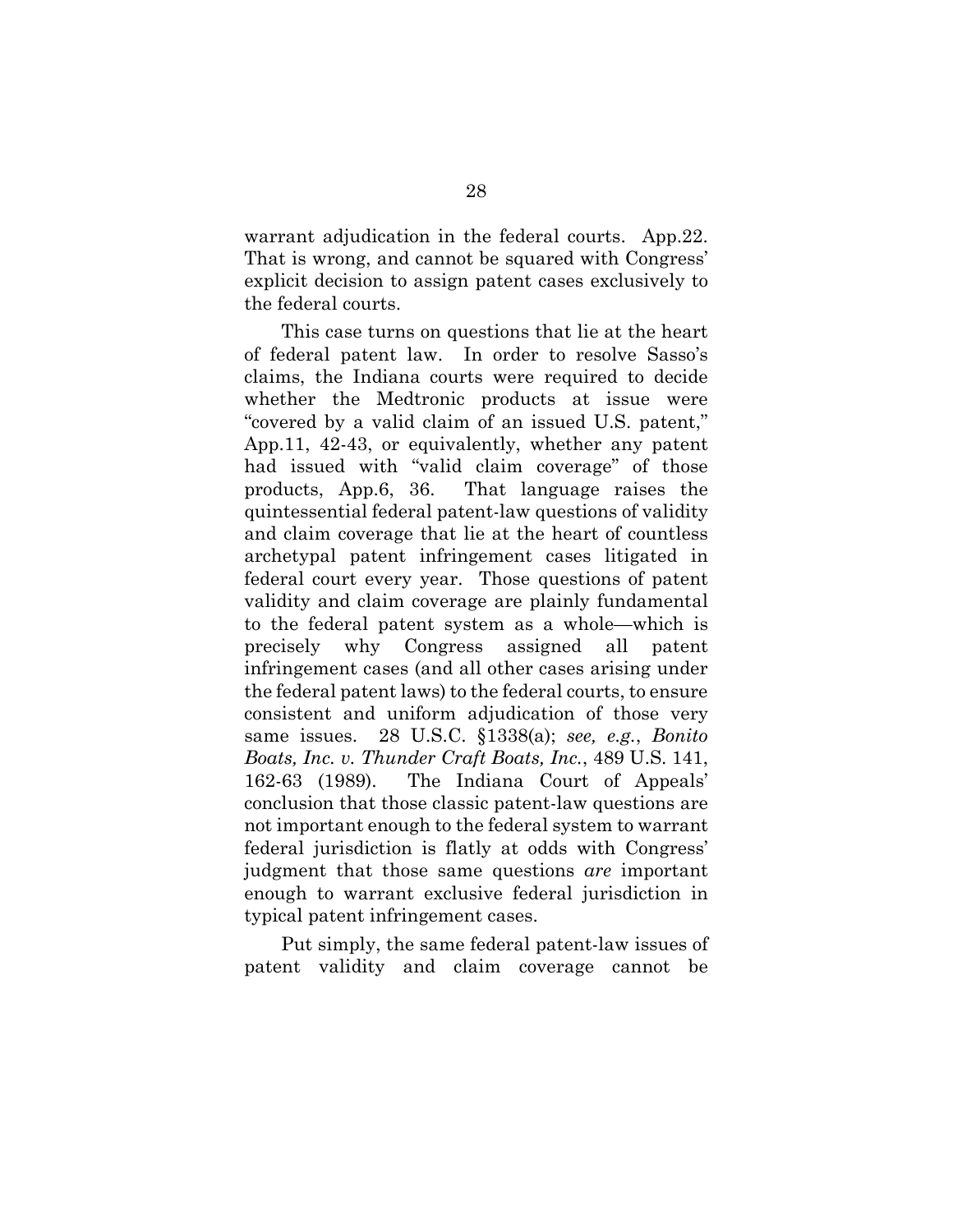warrant adjudication in the federal courts. App.22. That is wrong, and cannot be squared with Congress' explicit decision to assign patent cases exclusively to the federal courts.

This case turns on questions that lie at the heart of federal patent law. In order to resolve Sasso's claims, the Indiana courts were required to decide whether the Medtronic products at issue were "covered by a valid claim of an issued U.S. patent," App.11, 42-43, or equivalently, whether any patent had issued with "valid claim coverage" of those products, App.6, 36. That language raises the quintessential federal patent-law questions of validity and claim coverage that lie at the heart of countless archetypal patent infringement cases litigated in federal court every year. Those questions of patent validity and claim coverage are plainly fundamental to the federal patent system as a whole—which is precisely why Congress assigned all patent infringement cases (and all other cases arising under the federal patent laws) to the federal courts, to ensure consistent and uniform adjudication of those very same issues. 28 U.S.C. §1338(a); *see, e.g.*, *Bonito Boats, Inc. v. Thunder Craft Boats, Inc.*, 489 U.S. 141, 162-63 (1989). The Indiana Court of Appeals' conclusion that those classic patent-law questions are not important enough to the federal system to warrant federal jurisdiction is flatly at odds with Congress' judgment that those same questions *are* important enough to warrant exclusive federal jurisdiction in typical patent infringement cases.

Put simply, the same federal patent-law issues of patent validity and claim coverage cannot be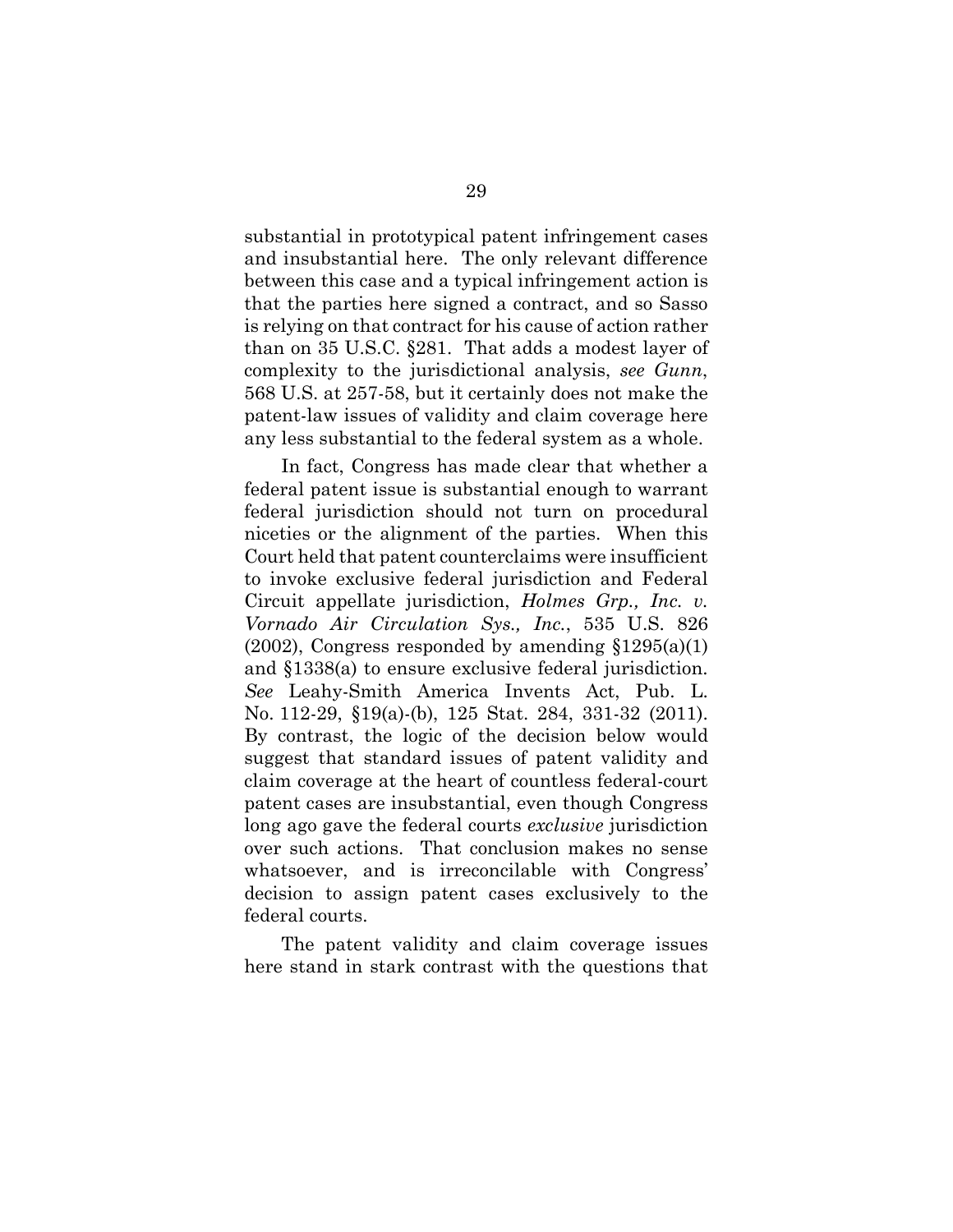substantial in prototypical patent infringement cases and insubstantial here. The only relevant difference between this case and a typical infringement action is that the parties here signed a contract, and so Sasso is relying on that contract for his cause of action rather than on 35 U.S.C. §281. That adds a modest layer of complexity to the jurisdictional analysis, *see Gunn*, 568 U.S. at 257-58, but it certainly does not make the patent-law issues of validity and claim coverage here any less substantial to the federal system as a whole.

In fact, Congress has made clear that whether a federal patent issue is substantial enough to warrant federal jurisdiction should not turn on procedural niceties or the alignment of the parties. When this Court held that patent counterclaims were insufficient to invoke exclusive federal jurisdiction and Federal Circuit appellate jurisdiction, *Holmes Grp., Inc. v. Vornado Air Circulation Sys., Inc.*, 535 U.S. 826  $(2002)$ , Congress responded by amending  $$1295(a)(1)$ and §1338(a) to ensure exclusive federal jurisdiction. *See* Leahy-Smith America Invents Act, Pub. L. No. 112-29, §19(a)-(b), 125 Stat. 284, 331-32 (2011). By contrast, the logic of the decision below would suggest that standard issues of patent validity and claim coverage at the heart of countless federal-court patent cases are insubstantial, even though Congress long ago gave the federal courts *exclusive* jurisdiction over such actions. That conclusion makes no sense whatsoever, and is irreconcilable with Congress' decision to assign patent cases exclusively to the federal courts.

The patent validity and claim coverage issues here stand in stark contrast with the questions that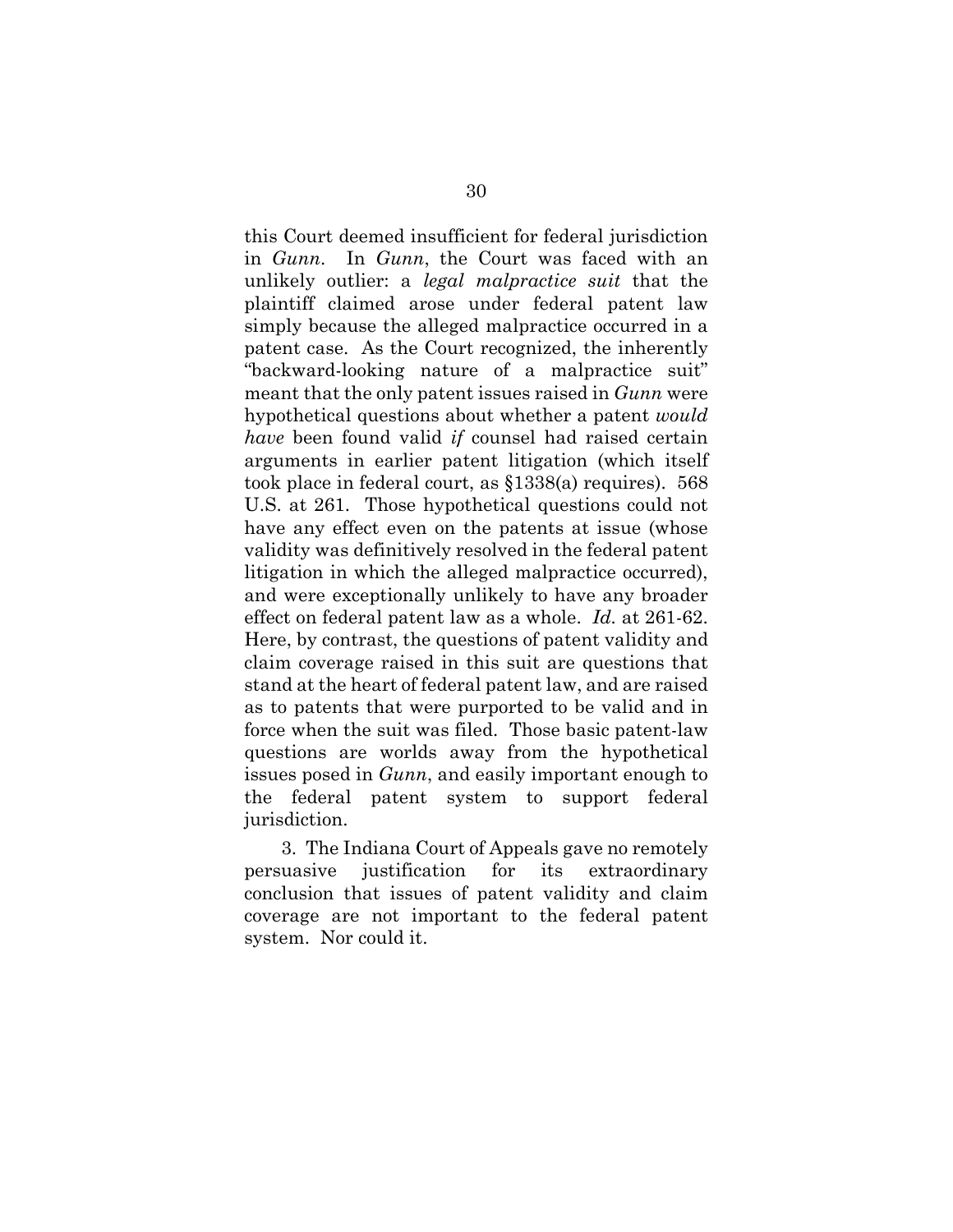this Court deemed insufficient for federal jurisdiction in *Gunn*. In *Gunn*, the Court was faced with an unlikely outlier: a *legal malpractice suit* that the plaintiff claimed arose under federal patent law simply because the alleged malpractice occurred in a patent case. As the Court recognized, the inherently "backward-looking nature of a malpractice suit" meant that the only patent issues raised in *Gunn* were hypothetical questions about whether a patent *would have* been found valid *if* counsel had raised certain arguments in earlier patent litigation (which itself took place in federal court, as §1338(a) requires). 568 U.S. at 261. Those hypothetical questions could not have any effect even on the patents at issue (whose validity was definitively resolved in the federal patent litigation in which the alleged malpractice occurred), and were exceptionally unlikely to have any broader effect on federal patent law as a whole. *Id.* at 261-62. Here, by contrast, the questions of patent validity and claim coverage raised in this suit are questions that stand at the heart of federal patent law, and are raised as to patents that were purported to be valid and in force when the suit was filed. Those basic patent-law questions are worlds away from the hypothetical issues posed in *Gunn*, and easily important enough to the federal patent system to support federal jurisdiction.

3. The Indiana Court of Appeals gave no remotely persuasive justification for its extraordinary conclusion that issues of patent validity and claim coverage are not important to the federal patent system. Nor could it.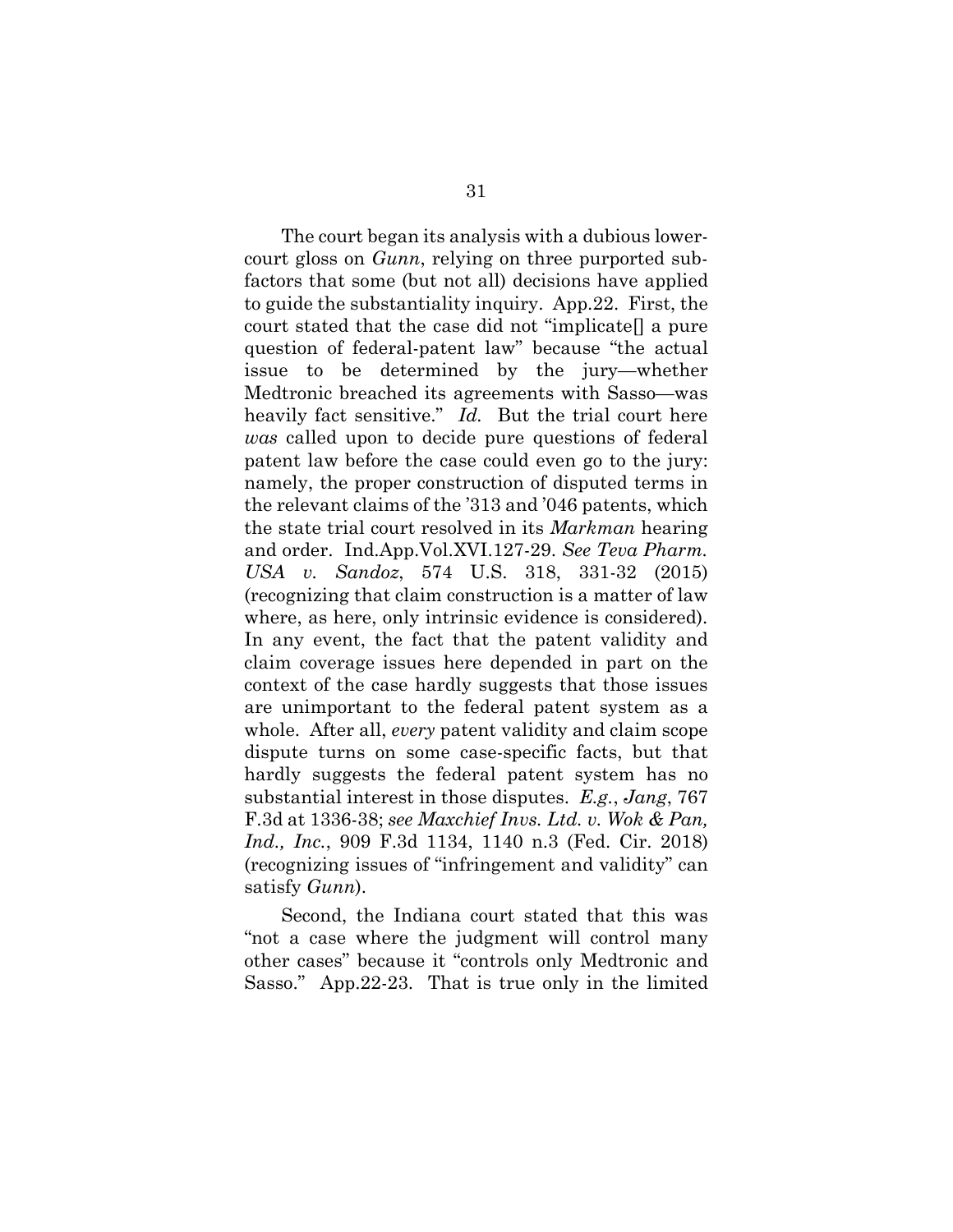The court began its analysis with a dubious lowercourt gloss on *Gunn*, relying on three purported subfactors that some (but not all) decisions have applied to guide the substantiality inquiry. App.22. First, the court stated that the case did not "implicate[] a pure question of federal-patent law" because "the actual issue to be determined by the jury—whether Medtronic breached its agreements with Sasso—was heavily fact sensitive." *Id.* But the trial court here *was* called upon to decide pure questions of federal patent law before the case could even go to the jury: namely, the proper construction of disputed terms in the relevant claims of the '313 and '046 patents, which the state trial court resolved in its *Markman* hearing and order. Ind.App.Vol.XVI.127-29. *See Teva Pharm. USA v. Sandoz*, 574 U.S. 318, 331-32 (2015) (recognizing that claim construction is a matter of law where, as here, only intrinsic evidence is considered). In any event, the fact that the patent validity and claim coverage issues here depended in part on the context of the case hardly suggests that those issues are unimportant to the federal patent system as a whole. After all, *every* patent validity and claim scope dispute turns on some case-specific facts, but that hardly suggests the federal patent system has no substantial interest in those disputes. *E.g.*, *Jang*, 767 F.3d at 1336-38; *see Maxchief Invs. Ltd. v. Wok & Pan, Ind., Inc.*, 909 F.3d 1134, 1140 n.3 (Fed. Cir. 2018) (recognizing issues of "infringement and validity" can satisfy *Gunn*).

Second, the Indiana court stated that this was "not a case where the judgment will control many other cases" because it "controls only Medtronic and Sasso." App.22-23. That is true only in the limited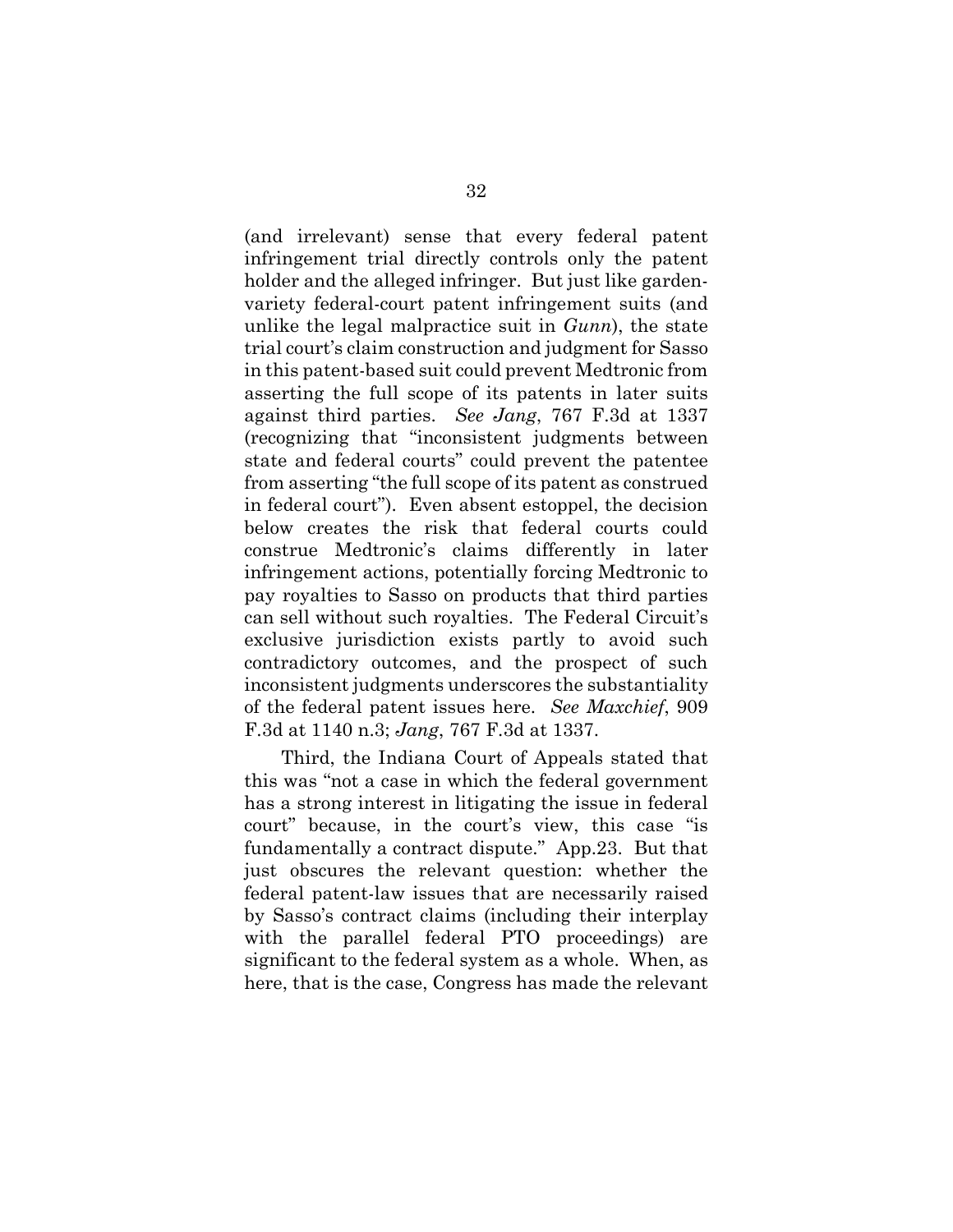(and irrelevant) sense that every federal patent infringement trial directly controls only the patent holder and the alleged infringer. But just like gardenvariety federal-court patent infringement suits (and unlike the legal malpractice suit in *Gunn*), the state trial court's claim construction and judgment for Sasso in this patent-based suit could prevent Medtronic from asserting the full scope of its patents in later suits against third parties. *See Jang*, 767 F.3d at 1337 (recognizing that "inconsistent judgments between state and federal courts" could prevent the patentee from asserting "the full scope of its patent as construed in federal court"). Even absent estoppel, the decision below creates the risk that federal courts could construe Medtronic's claims differently in later infringement actions, potentially forcing Medtronic to pay royalties to Sasso on products that third parties can sell without such royalties. The Federal Circuit's exclusive jurisdiction exists partly to avoid such contradictory outcomes, and the prospect of such inconsistent judgments underscores the substantiality of the federal patent issues here. *See Maxchief*, 909 F.3d at 1140 n.3; *Jang*, 767 F.3d at 1337.

Third, the Indiana Court of Appeals stated that this was "not a case in which the federal government has a strong interest in litigating the issue in federal court" because, in the court's view, this case "is fundamentally a contract dispute." App.23. But that just obscures the relevant question: whether the federal patent-law issues that are necessarily raised by Sasso's contract claims (including their interplay with the parallel federal PTO proceedings) are significant to the federal system as a whole. When, as here, that is the case, Congress has made the relevant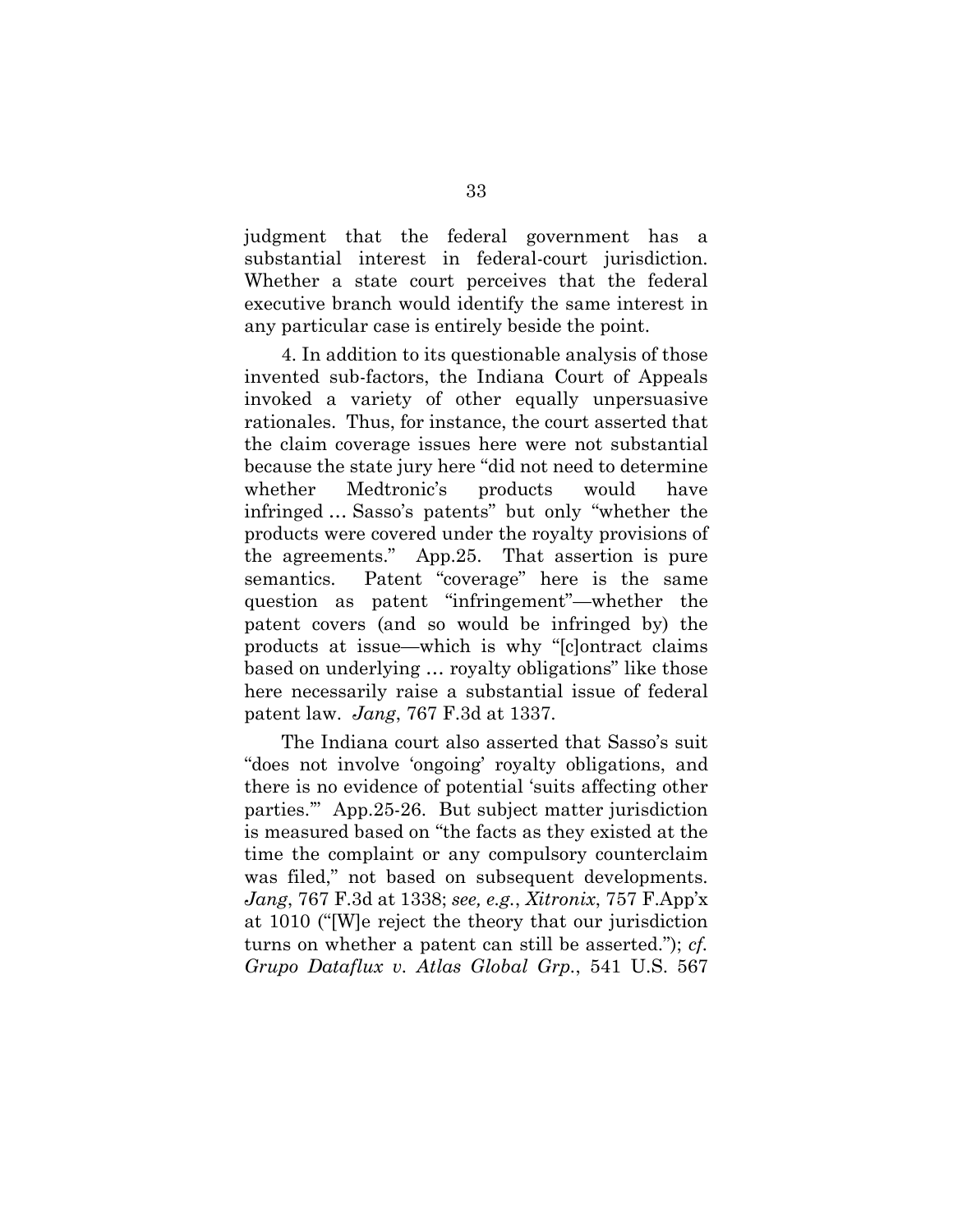judgment that the federal government has a substantial interest in federal-court jurisdiction. Whether a state court perceives that the federal executive branch would identify the same interest in any particular case is entirely beside the point.

4. In addition to its questionable analysis of those invented sub-factors, the Indiana Court of Appeals invoked a variety of other equally unpersuasive rationales. Thus, for instance, the court asserted that the claim coverage issues here were not substantial because the state jury here "did not need to determine whether Medtronic's products would have infringed … Sasso's patents" but only "whether the products were covered under the royalty provisions of the agreements." App.25. That assertion is pure semantics. Patent "coverage" here is the same question as patent "infringement"—whether the patent covers (and so would be infringed by) the products at issue—which is why "[c]ontract claims based on underlying … royalty obligations" like those here necessarily raise a substantial issue of federal patent law. *Jang*, 767 F.3d at 1337.

The Indiana court also asserted that Sasso's suit "does not involve 'ongoing' royalty obligations, and there is no evidence of potential 'suits affecting other parties.'" App.25-26. But subject matter jurisdiction is measured based on "the facts as they existed at the time the complaint or any compulsory counterclaim was filed," not based on subsequent developments. *Jang*, 767 F.3d at 1338; *see, e.g.*, *Xitronix*, 757 F.App'x at 1010 ("[W]e reject the theory that our jurisdiction turns on whether a patent can still be asserted."); *cf. Grupo Dataflux v. Atlas Global Grp.*, 541 U.S. 567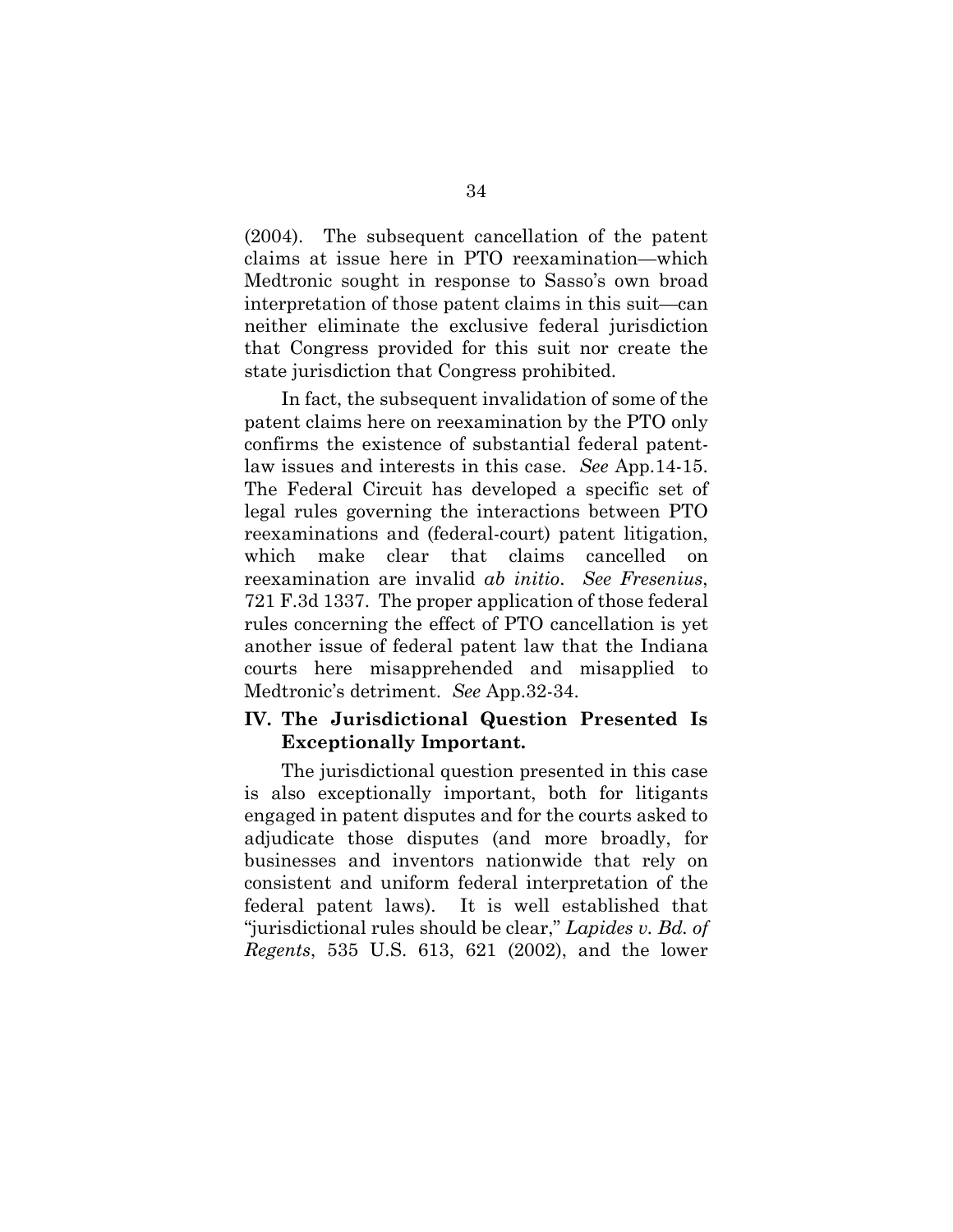(2004). The subsequent cancellation of the patent claims at issue here in PTO reexamination—which Medtronic sought in response to Sasso's own broad interpretation of those patent claims in this suit—can neither eliminate the exclusive federal jurisdiction that Congress provided for this suit nor create the state jurisdiction that Congress prohibited.

In fact, the subsequent invalidation of some of the patent claims here on reexamination by the PTO only confirms the existence of substantial federal patentlaw issues and interests in this case. *See* App.14-15. The Federal Circuit has developed a specific set of legal rules governing the interactions between PTO reexaminations and (federal-court) patent litigation, which make clear that claims cancelled on reexamination are invalid *ab initio*. *See Fresenius*, 721 F.3d 1337. The proper application of those federal rules concerning the effect of PTO cancellation is yet another issue of federal patent law that the Indiana courts here misapprehended and misapplied to Medtronic's detriment. *See* App.32-34.

# **IV. The Jurisdictional Question Presented Is Exceptionally Important.**

The jurisdictional question presented in this case is also exceptionally important, both for litigants engaged in patent disputes and for the courts asked to adjudicate those disputes (and more broadly, for businesses and inventors nationwide that rely on consistent and uniform federal interpretation of the federal patent laws). It is well established that "jurisdictional rules should be clear," *Lapides v. Bd. of Regents*, 535 U.S. 613, 621 (2002), and the lower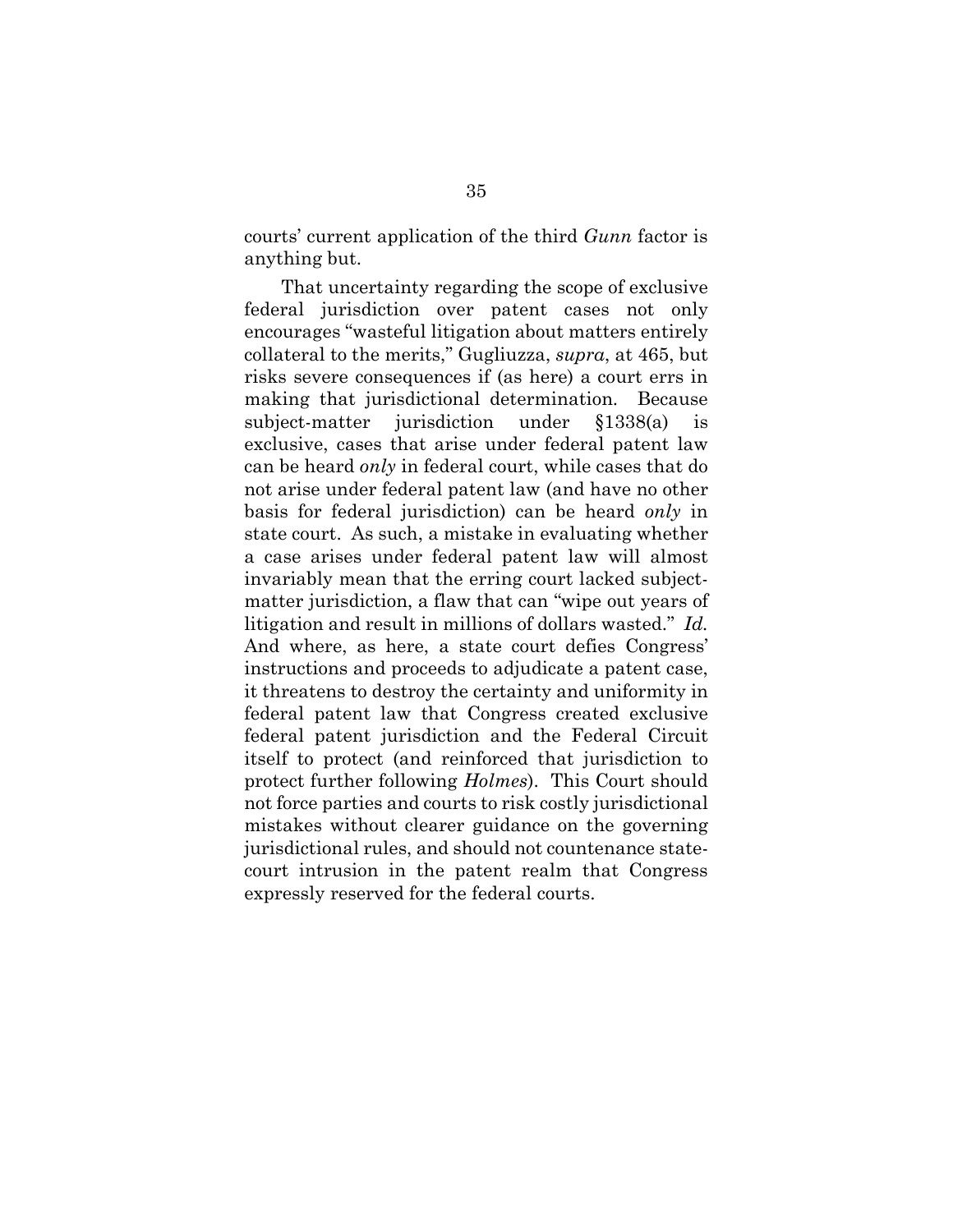courts' current application of the third *Gunn* factor is anything but.

That uncertainty regarding the scope of exclusive federal jurisdiction over patent cases not only encourages "wasteful litigation about matters entirely collateral to the merits," Gugliuzza, *supra*, at 465, but risks severe consequences if (as here) a court errs in making that jurisdictional determination. Because subject-matter jurisdiction under §1338(a) is exclusive, cases that arise under federal patent law can be heard *only* in federal court, while cases that do not arise under federal patent law (and have no other basis for federal jurisdiction) can be heard *only* in state court. As such, a mistake in evaluating whether a case arises under federal patent law will almost invariably mean that the erring court lacked subjectmatter jurisdiction, a flaw that can "wipe out years of litigation and result in millions of dollars wasted." *Id.* And where, as here, a state court defies Congress' instructions and proceeds to adjudicate a patent case, it threatens to destroy the certainty and uniformity in federal patent law that Congress created exclusive federal patent jurisdiction and the Federal Circuit itself to protect (and reinforced that jurisdiction to protect further following *Holmes*). This Court should not force parties and courts to risk costly jurisdictional mistakes without clearer guidance on the governing jurisdictional rules, and should not countenance statecourt intrusion in the patent realm that Congress expressly reserved for the federal courts.